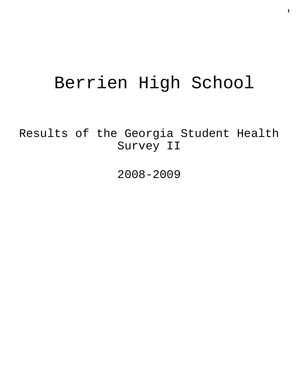# Berrien High School

Results of the Georgia Student Health Survey II

2008-2009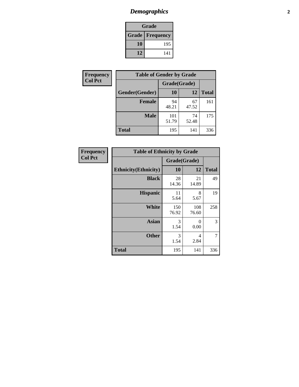# *Demographics* **2**

| Grade                    |     |  |  |  |
|--------------------------|-----|--|--|--|
| <b>Grade   Frequency</b> |     |  |  |  |
| 10                       | 195 |  |  |  |
| 12                       | 141 |  |  |  |

| <b>Frequency</b> | <b>Table of Gender by Grade</b> |              |             |              |  |  |
|------------------|---------------------------------|--------------|-------------|--------------|--|--|
| <b>Col Pct</b>   |                                 | Grade(Grade) |             |              |  |  |
|                  | Gender(Gender)                  | 10           | 12          | <b>Total</b> |  |  |
|                  | <b>Female</b>                   | 94<br>48.21  | 67<br>47.52 | 161          |  |  |
|                  | <b>Male</b>                     | 101<br>51.79 | 74<br>52.48 | 175          |  |  |
|                  | <b>Total</b>                    | 195          | 141         | 336          |  |  |

| <b>Frequency</b><br>Col Pct |
|-----------------------------|

| <b>Table of Ethnicity by Grade</b> |              |              |              |  |  |  |
|------------------------------------|--------------|--------------|--------------|--|--|--|
|                                    | Grade(Grade) |              |              |  |  |  |
| <b>Ethnicity</b> (Ethnicity)       | 10           | 12           | <b>Total</b> |  |  |  |
| <b>Black</b>                       | 28<br>14.36  | 21<br>14.89  | 49           |  |  |  |
| <b>Hispanic</b>                    | 11<br>5.64   | 8<br>5.67    | 19           |  |  |  |
| <b>White</b>                       | 150<br>76.92 | 108<br>76.60 | 258          |  |  |  |
| <b>Asian</b>                       | 3<br>1.54    | 0<br>0.00    | 3            |  |  |  |
| <b>Other</b>                       | 3<br>1.54    | 4<br>2.84    | 7            |  |  |  |
| <b>Total</b>                       | 195          | 141          | 336          |  |  |  |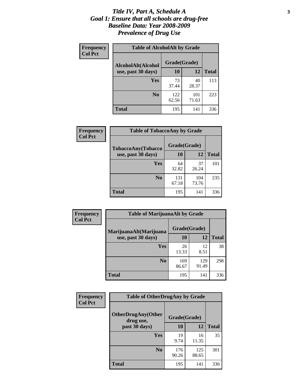#### *Title IV, Part A, Schedule A* **3** *Goal 1: Ensure that all schools are drug-free Baseline Data: Year 2008-2009 Prevalence of Drug Use*

| Frequency<br><b>Col Pct</b> | <b>Table of AlcoholAlt by Grade</b> |              |              |              |  |  |
|-----------------------------|-------------------------------------|--------------|--------------|--------------|--|--|
|                             | AlcoholAlt(Alcohol                  | Grade(Grade) |              |              |  |  |
|                             | use, past 30 days)                  | 10           | 12           | <b>Total</b> |  |  |
|                             | <b>Yes</b>                          | 73<br>37.44  | 40<br>28.37  | 113          |  |  |
|                             | N <sub>0</sub>                      | 122<br>62.56 | 101<br>71.63 | 223          |  |  |
|                             | Total                               | 195          | 141          | 336          |  |  |

| Frequency<br><b>Col Pct</b> | <b>Table of TobaccoAny by Grade</b> |              |              |              |  |
|-----------------------------|-------------------------------------|--------------|--------------|--------------|--|
|                             | <b>TobaccoAny(Tobacco</b>           | Grade(Grade) |              |              |  |
|                             | use, past 30 days)                  | <b>10</b>    | 12           | <b>Total</b> |  |
|                             | Yes                                 | 64<br>32.82  | 37<br>26.24  | 101          |  |
|                             | N <sub>0</sub>                      | 131<br>67.18 | 104<br>73.76 | 235          |  |
|                             | <b>Total</b>                        | 195          | 141          | 336          |  |

| Frequency<br><b>Col Pct</b> | <b>Table of MarijuanaAlt by Grade</b> |              |              |              |  |  |
|-----------------------------|---------------------------------------|--------------|--------------|--------------|--|--|
|                             | MarijuanaAlt(Marijuana                | Grade(Grade) |              |              |  |  |
|                             | use, past 30 days)                    | <b>10</b>    | 12           | <b>Total</b> |  |  |
|                             | <b>Yes</b>                            | 26<br>13.33  | 12<br>8.51   | 38           |  |  |
|                             | N <sub>0</sub>                        | 169<br>86.67 | 129<br>91.49 | 298          |  |  |
|                             | <b>Total</b>                          | 195          | 141          | 336          |  |  |

| Frequency      | <b>Table of OtherDrugAny by Grade</b>  |              |              |              |  |
|----------------|----------------------------------------|--------------|--------------|--------------|--|
| <b>Col Pct</b> | <b>OtherDrugAny(Other</b><br>drug use, | Grade(Grade) |              |              |  |
|                | past 30 days)                          | 10           | 12           | <b>Total</b> |  |
|                | Yes                                    | 19<br>9.74   | 16<br>11.35  | 35           |  |
|                | N <sub>0</sub>                         | 176<br>90.26 | 125<br>88.65 | 301          |  |
|                | <b>Total</b>                           | 195          | 141          | 336          |  |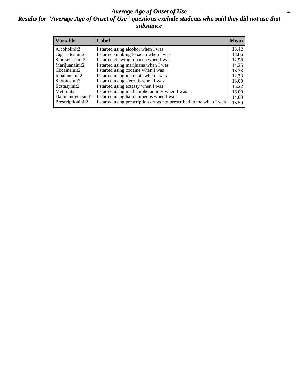#### *Average Age of Onset of Use* **4** *Results for "Average Age of Onset of Use" questions exclude students who said they did not use that substance*

| <b>Variable</b>    | Label                                                              | <b>Mean</b> |
|--------------------|--------------------------------------------------------------------|-------------|
| Alcoholinit2       | I started using alcohol when I was                                 | 13.42       |
| Cigarettesinit2    | I started smoking tobacco when I was                               | 13.86       |
| Smokelessinit2     | I started chewing tobacco when I was                               | 12.58       |
| Marijuanainit2     | I started using marijuana when I was                               | 14.25       |
| Cocaineinit2       | I started using cocaine when I was                                 | 13.33       |
| Inhalantsinit2     | I started using inhalants when I was                               | 12.33       |
| Steroidsinit2      | I started using steroids when I was                                | 13.00       |
| Ecstasyinit2       | I started using ecstasy when I was                                 | 15.22       |
| Methinit2          | I started using methamphetamines when I was                        | 16.00       |
| Hallucinogensinit2 | I started using hallucinogens when I was                           | 14.00       |
| Prescriptioninit2  | I started using prescription drugs not prescribed to me when I was | 13.59       |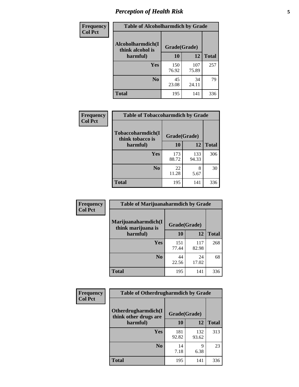# *Perception of Health Risk* **5**

| <b>Frequency</b> | <b>Table of Alcoholharmdich by Grade</b> |              |              |              |  |
|------------------|------------------------------------------|--------------|--------------|--------------|--|
| <b>Col Pct</b>   | Alcoholharmdich(I<br>think alcohol is    | Grade(Grade) |              |              |  |
|                  | harmful)                                 | 10           | 12           | <b>Total</b> |  |
|                  | <b>Yes</b>                               | 150<br>76.92 | 107<br>75.89 | 257          |  |
|                  | N <sub>0</sub>                           | 45<br>23.08  | 34<br>24.11  | 79           |  |
|                  | <b>Total</b>                             | 195          | 141          | 336          |  |

| Frequency      | <b>Table of Tobaccoharmdich by Grade</b> |              |              |              |  |
|----------------|------------------------------------------|--------------|--------------|--------------|--|
| <b>Col Pct</b> | Tobaccoharmdich(I<br>think tobacco is    | Grade(Grade) |              |              |  |
|                | harmful)                                 | 10           | 12           | <b>Total</b> |  |
|                | Yes                                      | 173<br>88.72 | 133<br>94.33 | 306          |  |
|                | N <sub>0</sub>                           | 22<br>11.28  | 8<br>5.67    | 30           |  |
|                | <b>Total</b>                             | 195          | 141          | 336          |  |

| Frequency      | <b>Table of Marijuanaharmdich by Grade</b> |              |              |              |  |  |
|----------------|--------------------------------------------|--------------|--------------|--------------|--|--|
| <b>Col Pct</b> | Marijuanaharmdich(I<br>think marijuana is  | Grade(Grade) |              |              |  |  |
|                | harmful)                                   | 10           | 12           | <b>Total</b> |  |  |
|                | <b>Yes</b>                                 | 151<br>77.44 | 117<br>82.98 | 268          |  |  |
|                | N <sub>0</sub>                             | 44<br>22.56  | 24<br>17.02  | 68           |  |  |
|                | <b>Total</b>                               | 195          | 141          | 336          |  |  |

| <b>Frequency</b> | <b>Table of Otherdrugharmdich by Grade</b>   |              |              |              |  |  |  |
|------------------|----------------------------------------------|--------------|--------------|--------------|--|--|--|
| <b>Col Pct</b>   | Otherdrugharmdich(I<br>think other drugs are | Grade(Grade) |              |              |  |  |  |
|                  | harmful)                                     | <b>10</b>    | 12           | <b>Total</b> |  |  |  |
|                  | <b>Yes</b>                                   | 181<br>92.82 | 132<br>93.62 | 313          |  |  |  |
|                  | N <sub>0</sub>                               | 14<br>7.18   | 9<br>6.38    | 23           |  |  |  |
|                  | <b>Total</b>                                 | 195          | 141          | 336          |  |  |  |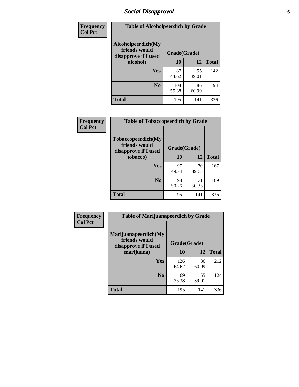# *Social Disapproval* **6**

| Frequency      | <b>Table of Alcoholpeerdich by Grade</b>                    |              |             |              |  |  |  |  |
|----------------|-------------------------------------------------------------|--------------|-------------|--------------|--|--|--|--|
| <b>Col Pct</b> | Alcoholpeerdich(My<br>friends would<br>disapprove if I used | Grade(Grade) |             |              |  |  |  |  |
|                | alcohol)                                                    | 10           | 12          | <b>Total</b> |  |  |  |  |
|                | <b>Yes</b>                                                  | 87<br>44.62  | 55<br>39.01 | 142          |  |  |  |  |
|                | N <sub>0</sub>                                              | 108<br>55.38 | 86<br>60.99 | 194          |  |  |  |  |
|                | <b>Total</b>                                                | 195          | 141         | 336          |  |  |  |  |

| <b>Frequency</b> |
|------------------|
| <b>Col Pct</b>   |

| <b>Table of Tobaccopeerdich by Grade</b>                    |              |             |              |  |  |
|-------------------------------------------------------------|--------------|-------------|--------------|--|--|
| Tobaccopeerdich(My<br>friends would<br>disapprove if I used | Grade(Grade) |             |              |  |  |
| tobacco)                                                    | 10           | 12          | <b>Total</b> |  |  |
| Yes                                                         | 97<br>49.74  | 70<br>49.65 | 167          |  |  |
| N <sub>0</sub>                                              | 98<br>50.26  | 71<br>50.35 | 169          |  |  |
| <b>Total</b>                                                | 195          | 141         | 336          |  |  |

| <b>Frequency</b> | <b>Table of Marijuanapeerdich by Grade</b>                    |              |             |              |  |  |  |
|------------------|---------------------------------------------------------------|--------------|-------------|--------------|--|--|--|
| <b>Col Pct</b>   | Marijuanapeerdich(My<br>friends would<br>disapprove if I used | Grade(Grade) |             |              |  |  |  |
|                  | marijuana)                                                    | 10           | 12          | <b>Total</b> |  |  |  |
|                  | <b>Yes</b>                                                    | 126<br>64.62 | 86<br>60.99 | 212          |  |  |  |
|                  | N <sub>0</sub>                                                | 69<br>35.38  | 55<br>39.01 | 124          |  |  |  |
|                  | <b>Total</b>                                                  | 195          | 141         | 336          |  |  |  |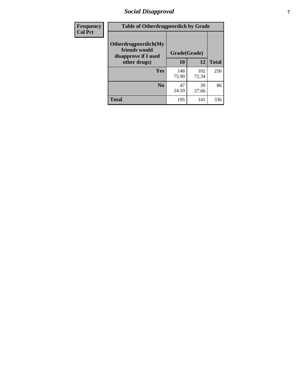# *Social Disapproval* **7**

| Frequency      | <b>Table of Otherdrugpeerdich by Grade</b>                    |              |              |              |  |  |  |
|----------------|---------------------------------------------------------------|--------------|--------------|--------------|--|--|--|
| <b>Col Pct</b> | Otherdrugpeerdich(My<br>friends would<br>disapprove if I used | Grade(Grade) |              |              |  |  |  |
|                | other drugs)                                                  | 10           | 12           | <b>Total</b> |  |  |  |
|                | Yes                                                           | 148<br>75.90 | 102<br>72.34 | 250          |  |  |  |
|                | N <sub>0</sub>                                                | 47<br>24.10  | 39<br>27.66  | 86           |  |  |  |
|                | <b>Total</b>                                                  | 195          | 141          | 336          |  |  |  |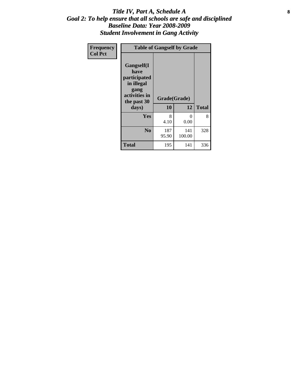#### Title IV, Part A, Schedule A **8** *Goal 2: To help ensure that all schools are safe and disciplined Baseline Data: Year 2008-2009 Student Involvement in Gang Activity*

| Frequency      | <b>Table of Gangself by Grade</b>                                                                 |                    |                  |              |  |  |
|----------------|---------------------------------------------------------------------------------------------------|--------------------|------------------|--------------|--|--|
| <b>Col Pct</b> | Gangself(I<br>have<br>participated<br>in illegal<br>gang<br>activities in<br>the past 30<br>days) | Grade(Grade)<br>10 | 12               | <b>Total</b> |  |  |
|                | Yes                                                                                               | 8<br>4.10          | $\theta$<br>0.00 | 8            |  |  |
|                | N <sub>0</sub>                                                                                    | 187<br>95.90       | 141<br>100.00    | 328          |  |  |
|                | <b>Total</b>                                                                                      | 195                | 141              | 336          |  |  |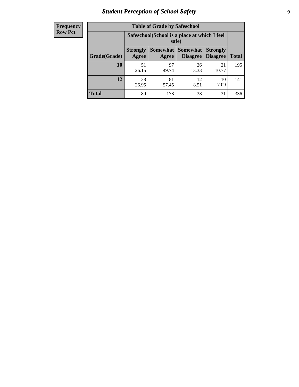# *Student Perception of School Safety* **9**

| <b>Frequency</b><br>Row Pct |
|-----------------------------|
|                             |

| <b>Table of Grade by Safeschool</b> |                                                                                                                                                  |                                                        |             |             |     |  |  |
|-------------------------------------|--------------------------------------------------------------------------------------------------------------------------------------------------|--------------------------------------------------------|-------------|-------------|-----|--|--|
|                                     |                                                                                                                                                  | Safeschool (School is a place at which I feel<br>safe) |             |             |     |  |  |
| Grade(Grade)                        | <b>Somewhat</b><br><b>Somewhat</b><br><b>Strongly</b><br><b>Strongly</b><br><b>Disagree</b><br><b>Disagree</b><br><b>Total</b><br>Agree<br>Agree |                                                        |             |             |     |  |  |
| <b>10</b>                           | 51<br>26.15                                                                                                                                      | 97<br>49.74                                            | 26<br>13.33 | 21<br>10.77 | 195 |  |  |
| 12                                  | 38<br>26.95                                                                                                                                      | 81<br>57.45                                            | 12<br>8.51  | 10<br>7.09  | 141 |  |  |
| <b>Total</b>                        | 89                                                                                                                                               | 178                                                    | 38          | 31          | 336 |  |  |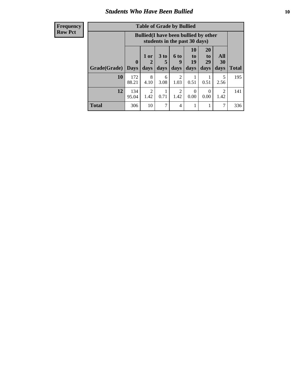### *Students Who Have Been Bullied* **10**

#### **Frequency Row Pct**

| <b>Table of Grade by Bullied</b> |                  |                                                                               |                              |                        |                        |                        |                          |              |
|----------------------------------|------------------|-------------------------------------------------------------------------------|------------------------------|------------------------|------------------------|------------------------|--------------------------|--------------|
|                                  |                  | <b>Bullied</b> (I have been bullied by other<br>students in the past 30 days) |                              |                        |                        |                        |                          |              |
| Grade(Grade)                     | 0<br><b>Days</b> | 1 or<br>days                                                                  | 3 <sub>to</sub><br>5<br>days | 6 to<br>9<br>days      | 10<br>to<br>19<br>days | 20<br>to<br>29<br>days | All<br><b>30</b><br>days | <b>Total</b> |
| 10                               | 172<br>88.21     | 8<br>4.10                                                                     | 6<br>3.08                    | $\overline{2}$<br>1.03 | 0.51                   | 0.51                   | 5<br>2.56                | 195          |
| 12                               | 134<br>95.04     | $\overline{2}$<br>1.42                                                        | 0.71                         | $\overline{2}$<br>1.42 | 0<br>0.00              | 0<br>0.00              | 2<br>1.42                | 141          |
| <b>Total</b>                     | 306              | 10                                                                            | 7                            | 4                      | 1                      |                        | 7                        | 336          |

 $\blacksquare$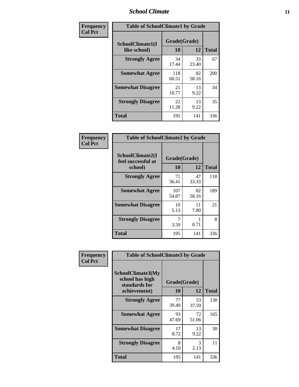#### *School Climate* **11**

| Frequency      | <b>Table of SchoolClimate1 by Grade</b>                                      |              |             |     |  |  |
|----------------|------------------------------------------------------------------------------|--------------|-------------|-----|--|--|
| <b>Col Pct</b> | Grade(Grade)<br>SchoolClimate1(I<br>10<br>12<br><b>Total</b><br>like school) |              |             |     |  |  |
|                | <b>Strongly Agree</b>                                                        | 34<br>17.44  | 33<br>23.40 | 67  |  |  |
|                | <b>Somewhat Agree</b>                                                        | 118<br>60.51 | 82<br>58.16 | 200 |  |  |
|                | <b>Somewhat Disagree</b>                                                     | 21<br>10.77  | 13<br>9.22  | 34  |  |  |
|                | <b>Strongly Disagree</b>                                                     | 22<br>11.28  | 13<br>9.22  | 35  |  |  |
|                | Total                                                                        | 195          | 141         | 336 |  |  |

| <b>Frequency</b> |
|------------------|
| <b>Col Pct</b>   |

| <b>Table of SchoolClimate2 by Grade</b>           |                    |             |              |  |  |
|---------------------------------------------------|--------------------|-------------|--------------|--|--|
| SchoolClimate2(I<br>feel successful at<br>school) | Grade(Grade)<br>10 | 12          | <b>Total</b> |  |  |
| <b>Strongly Agree</b>                             | 71<br>36.41        | 47<br>33.33 | 118          |  |  |
| <b>Somewhat Agree</b>                             | 107<br>54.87       | 82<br>58.16 | 189          |  |  |
| <b>Somewhat Disagree</b>                          | 10<br>5.13         | 11<br>7.80  | 21           |  |  |
| <b>Strongly Disagree</b>                          | 3.59               | 0.71        | 8            |  |  |
| <b>Total</b>                                      | 195                | 141         | 336          |  |  |

| Frequency      | <b>Table of SchoolClimate3 by Grade</b>                               |                    |             |              |  |  |
|----------------|-----------------------------------------------------------------------|--------------------|-------------|--------------|--|--|
| <b>Col Pct</b> | SchoolClimate3(My<br>school has high<br>standards for<br>achievement) | Grade(Grade)<br>10 | 12          | <b>Total</b> |  |  |
|                |                                                                       |                    |             |              |  |  |
|                | <b>Strongly Agree</b>                                                 | 77<br>39.49        | 53<br>37.59 | 130          |  |  |
|                | <b>Somewhat Agree</b>                                                 | 93<br>47.69        | 72<br>51.06 | 165          |  |  |
|                | <b>Somewhat Disagree</b>                                              | 17<br>8.72         | 13<br>9.22  | 30           |  |  |
|                | <b>Strongly Disagree</b>                                              | 8<br>4.10          | 3<br>2.13   | 11           |  |  |
|                | Total                                                                 | 195                | 141         | 336          |  |  |
|                |                                                                       |                    |             |              |  |  |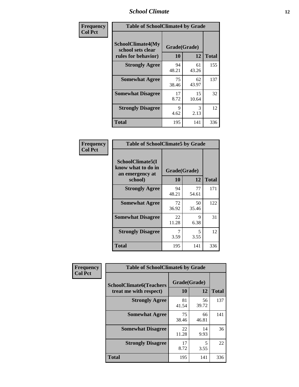### *School Climate* **12**

| Frequency      | <b>Table of SchoolClimate4 by Grade</b>                       |                    |             |              |
|----------------|---------------------------------------------------------------|--------------------|-------------|--------------|
| <b>Col Pct</b> | SchoolClimate4(My<br>school sets clear<br>rules for behavior) | Grade(Grade)<br>10 | 12          | <b>Total</b> |
|                | <b>Strongly Agree</b>                                         | 94<br>48.21        | 61<br>43.26 | 155          |
|                | <b>Somewhat Agree</b>                                         | 75<br>38.46        | 62<br>43.97 | 137          |
|                | <b>Somewhat Disagree</b>                                      | 17<br>8.72         | 15<br>10.64 | 32           |
|                | <b>Strongly Disagree</b>                                      | 9<br>4.62          | 3<br>2.13   | 12           |
|                | <b>Total</b>                                                  | 195                | 141         | 336          |

| <b>Table of SchoolClimate5 by Grade</b>                              |             |                    |              |  |  |
|----------------------------------------------------------------------|-------------|--------------------|--------------|--|--|
| SchoolClimate5(I<br>know what to do in<br>an emergency at<br>school) | 10          | Grade(Grade)<br>12 | <b>Total</b> |  |  |
|                                                                      |             |                    |              |  |  |
| <b>Strongly Agree</b>                                                | 94<br>48.21 | 77<br>54.61        | 171          |  |  |
| <b>Somewhat Agree</b>                                                | 72<br>36.92 | 50<br>35.46        | 122          |  |  |
| <b>Somewhat Disagree</b>                                             | 22<br>11.28 | 9<br>6.38          | 31           |  |  |
| <b>Strongly Disagree</b>                                             | 3.59        | 5<br>3.55          | 12           |  |  |
| Total                                                                | 195         | 141                | 336          |  |  |

| Frequency      | <b>Table of SchoolClimate6 by Grade</b> |              |             |              |  |  |
|----------------|-----------------------------------------|--------------|-------------|--------------|--|--|
| <b>Col Pct</b> |                                         |              |             |              |  |  |
|                | <b>SchoolClimate6(Teachers</b>          | Grade(Grade) |             |              |  |  |
|                | treat me with respect)                  | <b>10</b>    | 12          | <b>Total</b> |  |  |
|                | <b>Strongly Agree</b>                   | 81<br>41.54  | 56<br>39.72 | 137          |  |  |
|                | <b>Somewhat Agree</b>                   | 75<br>38.46  | 66<br>46.81 | 141          |  |  |
|                | <b>Somewhat Disagree</b>                | 22<br>11.28  | 14<br>9.93  | 36           |  |  |
|                | <b>Strongly Disagree</b>                | 17<br>8.72   | 5<br>3.55   | 22           |  |  |
|                | <b>Total</b>                            | 195          | 141         | 336          |  |  |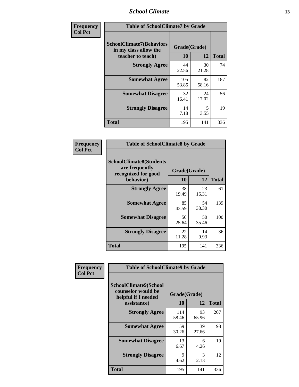### *School Climate* **13**

| Frequency      | <b>Table of SchoolClimate7 by Grade</b>                                       |                           |             |              |
|----------------|-------------------------------------------------------------------------------|---------------------------|-------------|--------------|
| <b>Col Pct</b> | <b>SchoolClimate7(Behaviors</b><br>in my class allow the<br>teacher to teach) | Grade(Grade)<br><b>10</b> | 12          | <b>Total</b> |
|                | <b>Strongly Agree</b>                                                         | 44<br>22.56               | 30<br>21.28 | 74           |
|                | <b>Somewhat Agree</b>                                                         | 105<br>53.85              | 82<br>58.16 | 187          |
|                | <b>Somewhat Disagree</b>                                                      | 32<br>16.41               | 24<br>17.02 | 56           |
|                | <b>Strongly Disagree</b>                                                      | 14<br>7.18                | 5<br>3.55   | 19           |
|                | <b>Total</b>                                                                  | 195                       | 141         | 336          |

| Frequency      | <b>Table of SchoolClimate8 by Grade</b>                                              |                    |             |              |
|----------------|--------------------------------------------------------------------------------------|--------------------|-------------|--------------|
| <b>Col Pct</b> | <b>SchoolClimate8(Students</b><br>are frequently<br>recognized for good<br>behavior) | Grade(Grade)<br>10 | 12          | <b>Total</b> |
|                | <b>Strongly Agree</b>                                                                | 38<br>19.49        | 23<br>16.31 | 61           |
|                | <b>Somewhat Agree</b>                                                                | 85<br>43.59        | 54<br>38.30 | 139          |
|                | <b>Somewhat Disagree</b>                                                             | 50<br>25.64        | 50<br>35.46 | 100          |
|                | <b>Strongly Disagree</b>                                                             | 22<br>11.28        | 14<br>9.93  | 36           |
|                | <b>Total</b>                                                                         | 195                | 141         | 336          |

| Frequency      | <b>Table of SchoolClimate9 by Grade</b>                                           |                    |                       |              |
|----------------|-----------------------------------------------------------------------------------|--------------------|-----------------------|--------------|
| <b>Col Pct</b> | SchoolClimate9(School<br>counselor would be<br>helpful if I needed<br>assistance) | Grade(Grade)<br>10 | 12                    | <b>Total</b> |
|                | <b>Strongly Agree</b>                                                             | 114<br>58.46       | 93<br>65.96           | 207          |
|                | <b>Somewhat Agree</b>                                                             | 59<br>30.26        | 39<br>27.66           | 98           |
|                | <b>Somewhat Disagree</b>                                                          | 13<br>6.67         | 6<br>4.26             | 19           |
|                | <b>Strongly Disagree</b>                                                          | 9<br>4.62          | $\mathcal{F}$<br>2.13 | 12           |
|                | Total                                                                             | 195                | 141                   | 336          |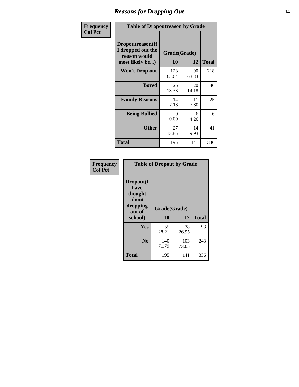### *Reasons for Dropping Out* **14**

| Frequency      | <b>Table of Dropoutreason by Grade</b>                                   |                  |                    |              |
|----------------|--------------------------------------------------------------------------|------------------|--------------------|--------------|
| <b>Col Pct</b> | Dropoutreason(If<br>I dropped out the<br>reason would<br>most likely be) | 10               | Grade(Grade)<br>12 | <b>Total</b> |
|                | <b>Won't Drop out</b>                                                    | 128<br>65.64     | 90<br>63.83        | 218          |
|                | <b>Bored</b>                                                             | 26<br>13.33      | 20<br>14.18        | 46           |
|                | <b>Family Reasons</b>                                                    | 14<br>7.18       | 11<br>7.80         | 25           |
|                | <b>Being Bullied</b>                                                     | $\Omega$<br>0.00 | 6<br>4.26          | 6            |
|                | <b>Other</b>                                                             | 27<br>13.85      | 14<br>9.93         | 41           |
|                | <b>Total</b>                                                             | 195              | 141                | 336          |

| Frequency<br><b>Col Pct</b> | <b>Table of Dropout by Grade</b>                            |                    |              |     |  |
|-----------------------------|-------------------------------------------------------------|--------------------|--------------|-----|--|
|                             | Dropout(I<br>have<br>thought<br>about<br>dropping<br>out of | Grade(Grade)<br>10 | <b>Total</b> |     |  |
|                             | school)                                                     |                    | 12           |     |  |
|                             | Yes                                                         | 55<br>28.21        | 38<br>26.95  | 93  |  |
|                             | N <sub>0</sub>                                              | 140<br>71.79       | 103<br>73.05 | 243 |  |
|                             | <b>Total</b>                                                | 195                | 141          | 336 |  |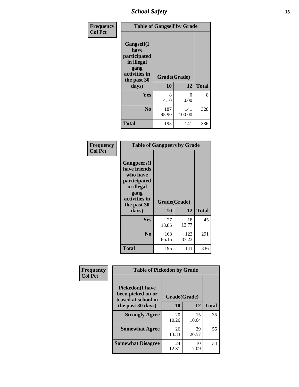*School Safety* **15**

| Frequency      | <b>Table of Gangself by Grade</b>                                                                 |                    |               |              |
|----------------|---------------------------------------------------------------------------------------------------|--------------------|---------------|--------------|
| <b>Col Pct</b> | Gangself(I<br>have<br>participated<br>in illegal<br>gang<br>activities in<br>the past 30<br>days) | Grade(Grade)<br>10 | 12            | <b>Total</b> |
|                | Yes                                                                                               | 8<br>4.10          | 0<br>0.00     | 8            |
|                | N <sub>0</sub>                                                                                    | 187<br>95.90       | 141<br>100.00 | 328          |
|                | Total                                                                                             | 195                | 141           | 336          |

| Frequency<br><b>Col Pct</b> | <b>Table of Gangpeers by Grade</b>                                                                                             |                    |              |              |
|-----------------------------|--------------------------------------------------------------------------------------------------------------------------------|--------------------|--------------|--------------|
|                             | <b>Gangpeers</b> (I<br>have friends<br>who have<br>participated<br>in illegal<br>gang<br>activities in<br>the past 30<br>days) | Grade(Grade)<br>10 | 12           | <b>Total</b> |
|                             | Yes                                                                                                                            | 27<br>13.85        | 18<br>12.77  | 45           |
|                             | N <sub>0</sub>                                                                                                                 | 168<br>86.15       | 123<br>87.23 | 291          |
|                             | <b>Total</b>                                                                                                                   | 195                | 141          | 336          |

| Frequency      | <b>Table of Pickedon by Grade</b>                                  |              |             |              |  |  |  |  |  |
|----------------|--------------------------------------------------------------------|--------------|-------------|--------------|--|--|--|--|--|
| <b>Col Pct</b> | <b>Pickedon(I have</b><br>been picked on or<br>teased at school in | Grade(Grade) |             |              |  |  |  |  |  |
|                | the past 30 days)                                                  | 10           | 12          | <b>Total</b> |  |  |  |  |  |
|                | <b>Strongly Agree</b>                                              | 20<br>10.26  | 15<br>10.64 | 35           |  |  |  |  |  |
|                | <b>Somewhat Agree</b>                                              | 26<br>13.33  | 29<br>20.57 | 55           |  |  |  |  |  |
|                | <b>Somewhat Disagree</b>                                           | 24<br>12.31  | 10<br>7.09  | 34           |  |  |  |  |  |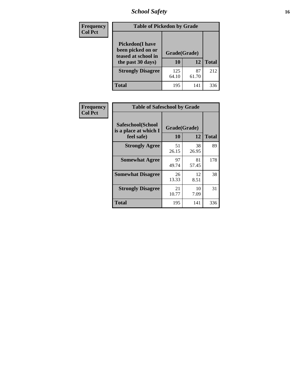# *School Safety* **16**

| <b>Frequency</b> | <b>Table of Pickedon by Grade</b>                                                        |                    |             |              |  |  |  |  |  |  |
|------------------|------------------------------------------------------------------------------------------|--------------------|-------------|--------------|--|--|--|--|--|--|
| <b>Col Pct</b>   | <b>Pickedon</b> (I have<br>been picked on or<br>teased at school in<br>the past 30 days) | Grade(Grade)<br>10 | 12          | <b>Total</b> |  |  |  |  |  |  |
|                  | <b>Strongly Disagree</b>                                                                 | 125<br>64.10       | 87<br>61.70 | 212          |  |  |  |  |  |  |
|                  | Total                                                                                    | 195                | 141         | 336          |  |  |  |  |  |  |

| Frequency      |                                                          | <b>Table of Safeschool by Grade</b> |             |              |  |  |  |  |  |
|----------------|----------------------------------------------------------|-------------------------------------|-------------|--------------|--|--|--|--|--|
| <b>Col Pct</b> | Safeschool(School<br>is a place at which I<br>feel safe) | Grade(Grade)<br>10                  | 12          | <b>Total</b> |  |  |  |  |  |
|                | <b>Strongly Agree</b>                                    | 51<br>26.15                         | 38<br>26.95 | 89           |  |  |  |  |  |
|                | <b>Somewhat Agree</b>                                    | 97<br>49.74                         | 81<br>57.45 | 178          |  |  |  |  |  |
|                | <b>Somewhat Disagree</b>                                 | 26<br>13.33                         | 12<br>8.51  | 38           |  |  |  |  |  |
|                | <b>Strongly Disagree</b>                                 | 21<br>10.77                         | 10<br>7.09  | 31           |  |  |  |  |  |
|                | Total                                                    | 195                                 | 141         | 336          |  |  |  |  |  |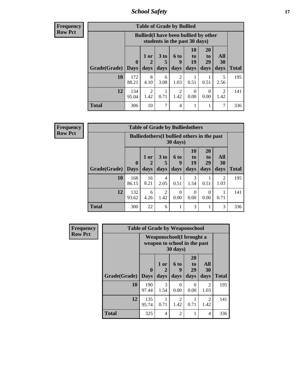*School Safety* **17**

| Frequency      |
|----------------|
| <b>Row Pct</b> |

| <b>Table of Grade by Bullied</b> |              |                                                                               |                      |                        |                |                |                        |                     |  |  |
|----------------------------------|--------------|-------------------------------------------------------------------------------|----------------------|------------------------|----------------|----------------|------------------------|---------------------|--|--|
|                                  |              | <b>Bullied</b> (I have been bullied by other<br>students in the past 30 days) |                      |                        |                |                |                        |                     |  |  |
|                                  | $\mathbf 0$  | 1 or                                                                          | 3 <sub>to</sub><br>5 | 6 to<br>q              | 10<br>to<br>19 | 20<br>to<br>29 | <b>All</b><br>30       |                     |  |  |
| Grade(Grade)   Days<br>10        | 172          | days<br>8                                                                     | days                 | days<br>$\mathfrak{D}$ | days           | days           | days<br>5              | <b>Total</b><br>195 |  |  |
|                                  | 88.21        | 4.10                                                                          | 6<br>3.08            | 1.03                   | 0.51           | 0.51           | 2.56                   |                     |  |  |
| 12                               | 134<br>95.04 | $\mathfrak{D}$<br>1.42                                                        | 0.71                 | 2<br>1.42              | 0<br>0.00      | 0<br>0.00      | $\mathfrak{D}$<br>1.42 | 141                 |  |  |
| <b>Total</b>                     | 306          | 10                                                                            | 7                    | 4                      |                |                |                        | 336                 |  |  |

| <b>Frequency</b> |
|------------------|
| <b>Row Pct</b>   |

| <b>Table of Grade by Bulliedothers</b> |                      |                                                                |                              |                   |                               |                               |                        |              |  |  |  |
|----------------------------------------|----------------------|----------------------------------------------------------------|------------------------------|-------------------|-------------------------------|-------------------------------|------------------------|--------------|--|--|--|
|                                        |                      | <b>Bulliedothers</b> (I bullied others in the past<br>30 days) |                              |                   |                               |                               |                        |              |  |  |  |
| Grade(Grade)                           | $\mathbf{0}$<br>Days | 1 or<br>days                                                   | 3 <sub>to</sub><br>5<br>days | 6 to<br>9<br>days | <b>10</b><br>to<br>19<br>days | <b>20</b><br>to<br>29<br>days | All<br>30<br>days      | <b>Total</b> |  |  |  |
| 10                                     | 168<br>86.15         | 16<br>8.21                                                     | 4<br>2.05                    | 0.51              | 3<br>1.54                     | 0.51                          | $\mathfrak{D}$<br>1.03 | 195          |  |  |  |
| 12                                     | 132<br>93.62         | 6<br>4.26                                                      | 2<br>1.42                    | 0<br>0.00         | $\Omega$<br>0.00              | $\Omega$<br>0.00              | 0.71                   | 141          |  |  |  |
| <b>Total</b>                           | 300                  | 22                                                             | 6                            |                   | 3                             |                               | 3                      | 336          |  |  |  |

| Frequency      | <b>Table of Grade by Weaponschool</b> |                                                                  |                   |                   |                        |                          |              |  |  |
|----------------|---------------------------------------|------------------------------------------------------------------|-------------------|-------------------|------------------------|--------------------------|--------------|--|--|
| <b>Row Pct</b> |                                       | <b>Weaponschool</b> (I brought a<br>weapon to school in the past |                   |                   |                        |                          |              |  |  |
|                | <b>Grade(Grade)</b>                   | $\bf{0}$<br><b>Days</b>                                          | 1 or<br>2<br>days | 6 to<br>9<br>days | 20<br>to<br>29<br>days | All<br><b>30</b><br>days | <b>Total</b> |  |  |
|                | 10                                    | 190<br>97.44                                                     | 3<br>1.54         | $\Omega$<br>0.00  | 0<br>0.00              | $\mathfrak{D}$<br>1.03   | 195          |  |  |
|                | 12                                    | 135<br>95.74                                                     | 0.71              | 2<br>1.42         | 0.71                   | 2<br>1.42                | 141          |  |  |
|                | <b>Total</b>                          | 325                                                              | $\overline{4}$    | 2                 |                        | $\overline{4}$           | 336          |  |  |

Ŧ.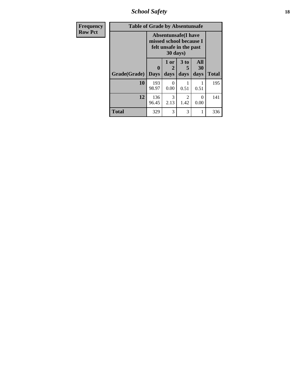*School Safety* **18**

| <b>Frequency</b> | <b>Table of Grade by Absentunsafe</b> |                  |                                                                                               |                              |                   |              |  |  |  |
|------------------|---------------------------------------|------------------|-----------------------------------------------------------------------------------------------|------------------------------|-------------------|--------------|--|--|--|
| <b>Row Pct</b>   |                                       |                  | <b>Absentunsafe</b> (I have<br>missed school because I<br>felt unsafe in the past<br>30 days) |                              |                   |              |  |  |  |
|                  | <b>Grade(Grade)</b>                   | 0<br><b>Days</b> | 1 or<br>2<br>days                                                                             | 3 <sub>to</sub><br>5<br>days | All<br>30<br>days | <b>Total</b> |  |  |  |
|                  | 10                                    | 193<br>98.97     | 0<br>0.00                                                                                     | 0.51                         | 0.51              | 195          |  |  |  |
|                  | 12                                    | 136<br>96.45     | 3<br>2.13                                                                                     | 2<br>1.42                    | 0<br>0.00         | 141          |  |  |  |
|                  | <b>Total</b>                          | 329              | 3                                                                                             | 3                            | 1                 | 336          |  |  |  |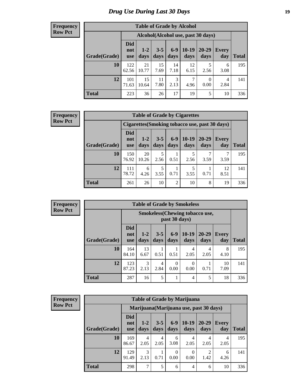# *Drug Use During Last 30 Days* **19**

#### **Frequency Row Pct**

| <b>Table of Grade by Alcohol</b> |                                    |               |                 |               |                 |                  |                     |       |  |  |
|----------------------------------|------------------------------------|---------------|-----------------|---------------|-----------------|------------------|---------------------|-------|--|--|
|                                  | Alcohol(Alcohol use, past 30 days) |               |                 |               |                 |                  |                     |       |  |  |
| Grade(Grade)                     | <b>Did</b><br>not<br>use           | $1-2$<br>days | $3 - 5$<br>days | $6-9$<br>days | $10-19$<br>days | 20-29<br>days    | <b>Every</b><br>day | Total |  |  |
| 10                               | 122<br>62.56                       | 21<br>10.77   | 15<br>7.69      | 14<br>7.18    | 12<br>6.15      | 5<br>2.56        | 6<br>3.08           | 195   |  |  |
| 12                               | 101<br>71.63                       | 15<br>10.64   | 11<br>7.80      | 3<br>2.13     | 7<br>4.96       | $\Omega$<br>0.00 | 4<br>2.84           | 141   |  |  |
| <b>Total</b>                     | 223                                | 36            | 26              | 17            | 19              | 5                | 10                  | 336   |  |  |

#### **Frequency Row Pct**

| <b>Table of Grade by Cigarettes</b>                                                                                                                              |                                                |             |           |                |           |      |              |     |  |  |
|------------------------------------------------------------------------------------------------------------------------------------------------------------------|------------------------------------------------|-------------|-----------|----------------|-----------|------|--------------|-----|--|--|
|                                                                                                                                                                  | Cigarettes (Smoking tobacco use, past 30 days) |             |           |                |           |      |              |     |  |  |
| Did<br>$6 - 9$<br>$10-19$<br>$20 - 29$<br>$3 - 5$<br>$1 - 2$<br><b>Every</b><br>not<br>Grade(Grade)<br>days<br>days<br>day<br>days<br>days<br>days<br><b>use</b> |                                                |             |           |                |           |      | <b>Total</b> |     |  |  |
| 10                                                                                                                                                               | 150<br>76.92                                   | 20<br>10.26 | 5<br>2.56 | 0.51           | 5<br>2.56 | 3.59 | 3.59         | 195 |  |  |
| 12                                                                                                                                                               | 111<br>78.72                                   | 6<br>4.26   | 5<br>3.55 | 0.71           | 5<br>3.55 | 0.71 | 12<br>8.51   | 141 |  |  |
| <b>Total</b>                                                                                                                                                     | 261                                            | 26          | 10        | $\overline{2}$ | 10        | 8    | 19           | 336 |  |  |

**Frequency Row Pct**

| <b>Table of Grade by Smokeless</b> |                                 |                                                         |                 |                 |                 |                   |                     |              |  |  |
|------------------------------------|---------------------------------|---------------------------------------------------------|-----------------|-----------------|-----------------|-------------------|---------------------|--------------|--|--|
|                                    |                                 | <b>Smokeless</b> (Chewing tobacco use,<br>past 30 days) |                 |                 |                 |                   |                     |              |  |  |
| Grade(Grade)                       | <b>Did</b><br>not<br><b>use</b> | $1 - 2$<br>days                                         | $3 - 5$<br>days | $6 - 9$<br>days | $10-19$<br>days | $20 - 29$<br>days | <b>Every</b><br>day | <b>Total</b> |  |  |
| 10                                 | 164<br>84.10                    | 13<br>6.67                                              | 0.51            | 0.51            | 4<br>2.05       | 4<br>2.05         | 8<br>4.10           | 195          |  |  |
| 12                                 | 123<br>87.23                    | 3<br>2.13                                               | 4<br>2.84       | 0<br>0.00       | 0<br>0.00       | 0.71              | 10<br>7.09          | 141          |  |  |
| <b>Total</b>                       | 287                             | 16                                                      | 5               |                 | 4               | 5                 | 18                  | 336          |  |  |

**Frequency Row Pct**

| <b>Table of Grade by Marijuana</b> |                                 |                                         |                 |                  |                 |                   |                     |       |  |  |
|------------------------------------|---------------------------------|-----------------------------------------|-----------------|------------------|-----------------|-------------------|---------------------|-------|--|--|
|                                    |                                 | Marijuana (Marijuana use, past 30 days) |                 |                  |                 |                   |                     |       |  |  |
| Grade(Grade)                       | <b>Did</b><br>not<br><b>use</b> | $1-2$<br>days                           | $3 - 5$<br>days | $6-9$<br>days    | $10-19$<br>days | $20 - 29$<br>days | <b>Every</b><br>day | Total |  |  |
| 10                                 | 169<br>86.67                    | 4<br>2.05                               | 4<br>2.05       | 6<br>3.08        | 4<br>2.05       | 4<br>2.05         | 4<br>2.05           | 195   |  |  |
| 12                                 | 129<br>91.49                    | 3<br>2.13                               | 0.71            | $\Omega$<br>0.00 | 0<br>0.00       | 1.42              | 6<br>4.26           | 141   |  |  |
| <b>Total</b>                       | 298                             | 7                                       | 5               | 6                | $\overline{4}$  | 6                 | 10                  | 336   |  |  |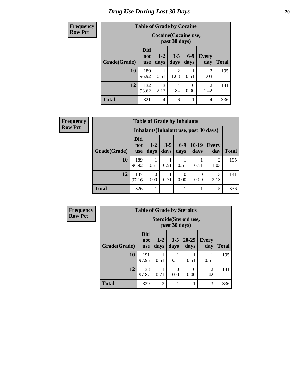# *Drug Use During Last 30 Days* 20

| <b>Frequency</b> | <b>Table of Grade by Cocaine</b> |                                        |               |                        |                  |                        |              |  |
|------------------|----------------------------------|----------------------------------------|---------------|------------------------|------------------|------------------------|--------------|--|
| <b>Row Pct</b>   |                                  | Cocaine (Cocaine use,<br>past 30 days) |               |                        |                  |                        |              |  |
|                  | Grade(Grade)                     | <b>Did</b><br>not<br><b>use</b>        | $1-2$<br>days | $3 - 5$<br>days        | $6-9$<br>days    | <b>Every</b><br>day    | <b>Total</b> |  |
|                  | 10                               | 189<br>96.92                           | 0.51          | $\overline{c}$<br>1.03 | 0.51             | $\overline{2}$<br>1.03 | 195          |  |
|                  | 12                               | 132<br>93.62                           | 3<br>2.13     | 4<br>2.84              | $\Omega$<br>0.00 | 2<br>1.42              | 141          |  |
|                  | <b>Total</b>                     | 321                                    | 4             | 6                      |                  | $\overline{4}$         | 336          |  |

| Frequency      |              | <b>Table of Grade by Inhalants</b> |                                        |                 |               |                  |              |              |  |  |
|----------------|--------------|------------------------------------|----------------------------------------|-----------------|---------------|------------------|--------------|--------------|--|--|
| <b>Row Pct</b> |              |                                    | Inhalants (Inhalant use, past 30 days) |                 |               |                  |              |              |  |  |
|                | Grade(Grade) | <b>Did</b><br>not<br><b>use</b>    | $1-2$<br>days                          | $3 - 5$<br>days | $6-9$<br>days | $10-19$<br>days  | Every<br>day | <b>Total</b> |  |  |
|                | 10           | 189<br>96.92                       | 0.51                                   | 0.51            | 0.51          | 0.51             | 2<br>1.03    | 195          |  |  |
|                | 12           | 137<br>97.16                       | $\Omega$<br>0.00                       | 0.71            | 0<br>0.00     | $\Omega$<br>0.00 | 3<br>2.13    | 141          |  |  |
|                | <b>Total</b> | 326                                |                                        | $\overline{c}$  |               |                  | 5            | 336          |  |  |

| Frequency      | <b>Table of Grade by Steroids</b> |                                         |                 |                 |                   |                        |              |  |
|----------------|-----------------------------------|-----------------------------------------|-----------------|-----------------|-------------------|------------------------|--------------|--|
| <b>Row Pct</b> |                                   | Steroids (Steroid use,<br>past 30 days) |                 |                 |                   |                        |              |  |
|                | Grade(Grade)                      | <b>Did</b><br>not<br><b>use</b>         | $1 - 2$<br>days | $3 - 5$<br>days | $20 - 29$<br>days | Every<br>day           | <b>Total</b> |  |
|                | 10                                | 191<br>97.95                            | 0.51            | 0.51            | 0.51              | 0.51                   | 195          |  |
|                | 12                                | 138<br>97.87                            | 0.71            | 0<br>0.00       | 0.00              | $\overline{2}$<br>1.42 | 141          |  |
|                | <b>Total</b>                      | 329                                     | $\overline{2}$  | 1               |                   | 3                      | 336          |  |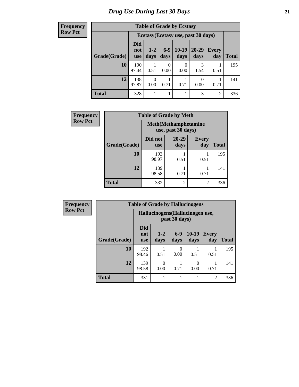**Frequency Row Pct**

| <b>Table of Grade by Ecstasy</b> |                                 |                                     |               |                 |               |                     |              |  |  |  |
|----------------------------------|---------------------------------|-------------------------------------|---------------|-----------------|---------------|---------------------|--------------|--|--|--|
|                                  |                                 | Ecstasy (Ecstasy use, past 30 days) |               |                 |               |                     |              |  |  |  |
| Grade(Grade)                     | <b>Did</b><br>not<br><b>use</b> | $1 - 2$<br>days                     | $6-9$<br>days | $10-19$<br>days | 20-29<br>days | <b>Every</b><br>day | <b>Total</b> |  |  |  |
| 10                               | 190<br>97.44                    | 0.51                                | 0<br>0.00     | 0<br>0.00       | 3<br>1.54     | 0.51                | 195          |  |  |  |
| 12                               | 138<br>97.87                    | 0<br>0.00                           | 0.71          | 0.71            | 0.00          | 0.71                | 141          |  |  |  |
| <b>Total</b>                     | 328                             | 1                                   |               |                 | 3             | 2                   | 336          |  |  |  |

| <b>Frequency</b> | <b>Table of Grade by Meth</b> |                       |                                                    |                     |              |  |  |  |  |
|------------------|-------------------------------|-----------------------|----------------------------------------------------|---------------------|--------------|--|--|--|--|
| <b>Row Pct</b>   |                               |                       | <b>Meth</b> (Methamphetamine<br>use, past 30 days) |                     |              |  |  |  |  |
|                  | Grade(Grade)                  | Did not<br><b>use</b> | $20 - 29$<br>days                                  | <b>Every</b><br>day | <b>Total</b> |  |  |  |  |
|                  | 10                            | 193<br>98.97          | 0.51                                               | 0.51                | 195          |  |  |  |  |
|                  | 12                            | 139<br>98.58          | 0.71                                               | 0.71                | 141          |  |  |  |  |
|                  | <b>Total</b>                  | 332                   | $\overline{2}$                                     | $\overline{2}$      | 336          |  |  |  |  |

| <b>Frequency</b> |              | <b>Table of Grade by Hallucinogens</b> |                                  |                  |                 |                     |              |
|------------------|--------------|----------------------------------------|----------------------------------|------------------|-----------------|---------------------|--------------|
| <b>Row Pct</b>   |              |                                        | Hallucinogens (Hallucinogen use, | past 30 days)    |                 |                     |              |
|                  | Grade(Grade) | <b>Did</b><br>not<br><b>use</b>        | $1-2$<br>days                    | $6 - 9$<br>days  | $10-19$<br>days | <b>Every</b><br>day | <b>Total</b> |
|                  | 10           | 192<br>98.46                           | 0.51                             | $\Omega$<br>0.00 | 0.51            | 0.51                | 195          |
|                  | 12           | 139<br>98.58                           | ∩<br>0.00                        | 0.71             | 0<br>0.00       | 0.71                | 141          |
|                  | <b>Total</b> | 331                                    |                                  |                  | 1               | $\overline{2}$      | 336          |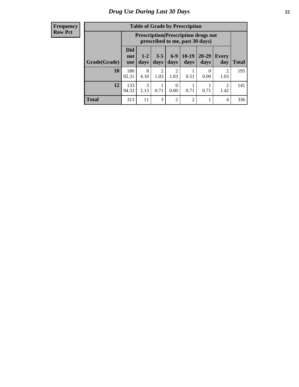#### **Frequency Row Pct**

| <b>Table of Grade by Prescription</b> |                                                                                                                                                     |                                                                                |           |                  |                |           |                        |              |  |  |
|---------------------------------------|-----------------------------------------------------------------------------------------------------------------------------------------------------|--------------------------------------------------------------------------------|-----------|------------------|----------------|-----------|------------------------|--------------|--|--|
|                                       |                                                                                                                                                     | <b>Prescription</b> (Prescription drugs not<br>prescribed to me, past 30 days) |           |                  |                |           |                        |              |  |  |
| Grade(Grade)                          | <b>Did</b><br>$6 - 9$<br>$10-19$<br>20-29<br>$3 - 5$<br>$1 - 2$<br><b>Every</b><br>not<br>days<br>days<br>days<br>days<br>day<br>days<br><b>use</b> |                                                                                |           |                  |                |           |                        | <b>Total</b> |  |  |
| 10                                    | 180<br>92.31                                                                                                                                        | 8<br>4.10                                                                      | 2<br>1.03 | 2<br>1.03        | 0.51           | 0<br>0.00 | 2<br>1.03              | 195          |  |  |
| 12                                    | 133<br>94.33                                                                                                                                        | 3<br>2.13                                                                      | 0.71      | $\Omega$<br>0.00 | 0.71           | 0.71      | $\mathfrak{D}$<br>1.42 | 141          |  |  |
| <b>Total</b>                          | 313                                                                                                                                                 | 11                                                                             | 3         | $\overline{2}$   | $\overline{2}$ |           | $\overline{4}$         | 336          |  |  |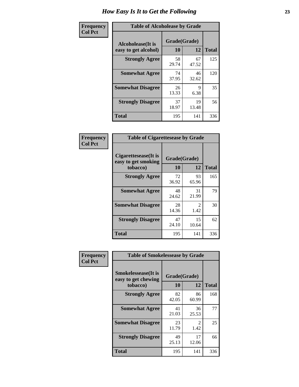| Frequency      | <b>Table of Alcoholease by Grade</b>              |                    |             |              |  |  |  |
|----------------|---------------------------------------------------|--------------------|-------------|--------------|--|--|--|
| <b>Col Pct</b> | <b>Alcoholease</b> (It is<br>easy to get alcohol) | Grade(Grade)<br>10 | 12          | <b>Total</b> |  |  |  |
|                | <b>Strongly Agree</b>                             | 58<br>29.74        | 67<br>47.52 | 125          |  |  |  |
|                | <b>Somewhat Agree</b>                             | 74<br>37.95        | 46<br>32.62 | 120          |  |  |  |
|                | <b>Somewhat Disagree</b>                          | 26<br>13.33        | 9<br>6.38   | 35           |  |  |  |
|                | <b>Strongly Disagree</b>                          | 37<br>18.97        | 19<br>13.48 | 56           |  |  |  |
|                | <b>Total</b>                                      | 195                | 141         | 336          |  |  |  |

| Frequency      | <b>Table of Cigarettesease by Grade</b>                  |                           |                       |              |  |  |  |  |
|----------------|----------------------------------------------------------|---------------------------|-----------------------|--------------|--|--|--|--|
| <b>Col Pct</b> | Cigarettesease (It is<br>easy to get smoking<br>tobacco) | Grade(Grade)<br><b>10</b> | 12                    | <b>Total</b> |  |  |  |  |
|                | <b>Strongly Agree</b>                                    | 72<br>36.92               | 93<br>65.96           | 165          |  |  |  |  |
|                | <b>Somewhat Agree</b>                                    | 48<br>24.62               | 31<br>21.99           | 79           |  |  |  |  |
|                | <b>Somewhat Disagree</b>                                 | 28<br>14.36               | $\mathcal{L}$<br>1.42 | 30           |  |  |  |  |
|                | <b>Strongly Disagree</b>                                 | 47<br>24.10               | 15<br>10.64           | 62           |  |  |  |  |
|                | Total                                                    | 195                       | 141                   | 336          |  |  |  |  |

| Frequency      | <b>Table of Smokelessease by Grade</b>             |              |                       |              |
|----------------|----------------------------------------------------|--------------|-----------------------|--------------|
| <b>Col Pct</b> | <b>Smokelessease</b> (It is<br>easy to get chewing | Grade(Grade) |                       |              |
|                | tobacco)                                           | 10           | 12                    | <b>Total</b> |
|                | <b>Strongly Agree</b>                              | 82<br>42.05  | 86<br>60.99           | 168          |
|                | <b>Somewhat Agree</b>                              | 41<br>21.03  | 36<br>25.53           | 77           |
|                | <b>Somewhat Disagree</b>                           | 23<br>11.79  | $\mathcal{L}$<br>1.42 | 25           |
|                | <b>Strongly Disagree</b>                           | 49<br>25.13  | 17<br>12.06           | 66           |
|                | Total                                              | 195          | 141                   | 336          |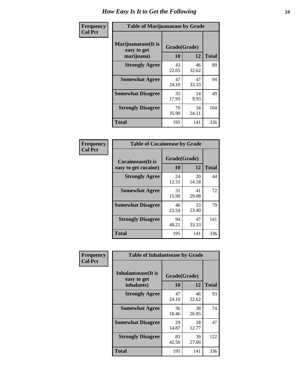| Frequency      | <b>Table of Marijuanaease by Grade</b>           |                    |             |              |  |  |  |  |
|----------------|--------------------------------------------------|--------------------|-------------|--------------|--|--|--|--|
| <b>Col Pct</b> | Marijuanaease(It is<br>easy to get<br>marijuana) | Grade(Grade)<br>10 | 12          | <b>Total</b> |  |  |  |  |
|                | <b>Strongly Agree</b>                            | 43<br>22.05        | 46<br>32.62 | 89           |  |  |  |  |
|                | <b>Somewhat Agree</b>                            | 47<br>24.10        | 47<br>33.33 | 94           |  |  |  |  |
|                | <b>Somewhat Disagree</b>                         | 35<br>17.95        | 14<br>9.93  | 49           |  |  |  |  |
|                | <b>Strongly Disagree</b>                         | 70<br>35.90        | 34<br>24.11 | 104          |  |  |  |  |
|                | Total                                            | 195                | 141         | 336          |  |  |  |  |

| <b>Table of Cocaineease by Grade</b>              |                    |              |     |  |  |  |  |  |  |  |  |
|---------------------------------------------------|--------------------|--------------|-----|--|--|--|--|--|--|--|--|
| <b>Cocaineease</b> (It is<br>easy to get cocaine) | Grade(Grade)<br>10 | <b>Total</b> |     |  |  |  |  |  |  |  |  |
| <b>Strongly Agree</b>                             | 24<br>12.31        | 20<br>14.18  | 44  |  |  |  |  |  |  |  |  |
| <b>Somewhat Agree</b>                             | 31<br>15.90        | 41<br>29.08  | 72  |  |  |  |  |  |  |  |  |
| <b>Somewhat Disagree</b>                          | 46<br>23.59        | 33<br>23.40  | 79  |  |  |  |  |  |  |  |  |
| <b>Strongly Disagree</b>                          | 94<br>48.21        | 47<br>33.33  | 141 |  |  |  |  |  |  |  |  |
| <b>Total</b>                                      | 195                | 141          | 336 |  |  |  |  |  |  |  |  |

| Frequency      | <b>Table of Inhalantsease by Grade</b>     |              |             |              |
|----------------|--------------------------------------------|--------------|-------------|--------------|
| <b>Col Pct</b> | <b>Inhalantsease</b> (It is<br>easy to get | Grade(Grade) |             |              |
|                | inhalants)                                 | 10           | 12          | <b>Total</b> |
|                | <b>Strongly Agree</b>                      | 47<br>24.10  | 46<br>32.62 | 93           |
|                | <b>Somewhat Agree</b>                      | 36<br>18.46  | 38<br>26.95 | 74           |
|                | <b>Somewhat Disagree</b>                   | 29<br>14.87  | 18<br>12.77 | 47           |
|                | <b>Strongly Disagree</b>                   | 83<br>42.56  | 39<br>27.66 | 122          |
|                | <b>Total</b>                               | 195          | 141         | 336          |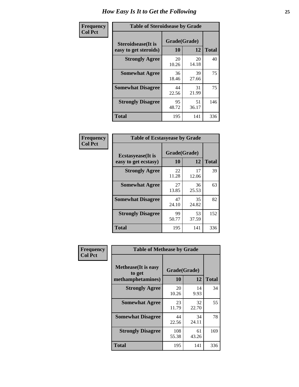| Frequency      |                                                     | <b>Table of Steroidsease by Grade</b> |             |              |  |  |  |  |  |  |  |  |
|----------------|-----------------------------------------------------|---------------------------------------|-------------|--------------|--|--|--|--|--|--|--|--|
| <b>Col Pct</b> | <b>Steroidsease</b> (It is<br>easy to get steroids) | Grade(Grade)<br>10                    | 12          | <b>Total</b> |  |  |  |  |  |  |  |  |
|                | <b>Strongly Agree</b>                               | 20<br>10.26                           | 20<br>14.18 | 40           |  |  |  |  |  |  |  |  |
|                | <b>Somewhat Agree</b>                               | 36<br>18.46                           | 39<br>27.66 | 75           |  |  |  |  |  |  |  |  |
|                | <b>Somewhat Disagree</b>                            | 44<br>22.56                           | 31<br>21.99 | 75           |  |  |  |  |  |  |  |  |
|                | <b>Strongly Disagree</b>                            | 95<br>48.72                           | 51<br>36.17 | 146          |  |  |  |  |  |  |  |  |
|                | <b>Total</b>                                        | 195                                   | 141         | 336          |  |  |  |  |  |  |  |  |

| Frequency      | <b>Table of Ecstasyease by Grade</b>              |                    |             |              |  |  |  |  |  |  |  |  |
|----------------|---------------------------------------------------|--------------------|-------------|--------------|--|--|--|--|--|--|--|--|
| <b>Col Pct</b> | <b>Ecstasyease</b> (It is<br>easy to get ecstasy) | Grade(Grade)<br>10 | 12          | <b>Total</b> |  |  |  |  |  |  |  |  |
|                | <b>Strongly Agree</b>                             | 22<br>11.28        | 17<br>12.06 | 39           |  |  |  |  |  |  |  |  |
|                | <b>Somewhat Agree</b>                             | 27<br>13.85        | 36<br>25.53 | 63           |  |  |  |  |  |  |  |  |
|                | <b>Somewhat Disagree</b>                          | 47<br>24.10        | 35<br>24.82 | 82           |  |  |  |  |  |  |  |  |
|                | <b>Strongly Disagree</b>                          | 99<br>50.77        | 53<br>37.59 | 152          |  |  |  |  |  |  |  |  |
|                | <b>Total</b>                                      | 195                | 141         | 336          |  |  |  |  |  |  |  |  |

| Frequency      | <b>Table of Methease by Grade</b>                          |                    |             |              |
|----------------|------------------------------------------------------------|--------------------|-------------|--------------|
| <b>Col Pct</b> | <b>Methease</b> (It is easy<br>to get<br>methamphetamines) | Grade(Grade)<br>10 | 12          | <b>Total</b> |
|                | <b>Strongly Agree</b>                                      | 20<br>10.26        | 14<br>9.93  | 34           |
|                | <b>Somewhat Agree</b>                                      | 23<br>11.79        | 32<br>22.70 | 55           |
|                | <b>Somewhat Disagree</b>                                   | 44<br>22.56        | 34<br>24.11 | 78           |
|                | <b>Strongly Disagree</b>                                   | 108<br>55.38       | 61<br>43.26 | 169          |
|                | <b>Total</b>                                               | 195                | 141         | 336          |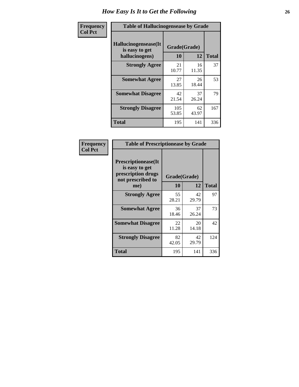| <b>Frequency</b> | <b>Table of Hallucinogensease by Grade</b>               |                    |             |              |
|------------------|----------------------------------------------------------|--------------------|-------------|--------------|
| <b>Col Pct</b>   | Hallucinogensease(It<br>is easy to get<br>hallucinogens) | Grade(Grade)<br>10 | 12          | <b>Total</b> |
|                  | <b>Strongly Agree</b>                                    | 21<br>10.77        | 16<br>11.35 | 37           |
|                  | <b>Somewhat Agree</b>                                    | 27<br>13.85        | 26<br>18.44 | 53           |
|                  | <b>Somewhat Disagree</b>                                 | 42<br>21.54        | 37<br>26.24 | 79           |
|                  | <b>Strongly Disagree</b>                                 | 105<br>53.85       | 62<br>43.97 | 167          |
|                  | <b>Total</b>                                             | 195                | 141         | 336          |

| Frequency<br>Col Pct |
|----------------------|
|                      |

| <b>Table of Prescriptionease by Grade</b>                                                |             |              |              |  |  |  |  |  |  |  |
|------------------------------------------------------------------------------------------|-------------|--------------|--------------|--|--|--|--|--|--|--|
| <b>Prescriptionease</b> (It<br>is easy to get<br>prescription drugs<br>not prescribed to |             | Grade(Grade) |              |  |  |  |  |  |  |  |
| me)                                                                                      | 10          | 12           | <b>Total</b> |  |  |  |  |  |  |  |
| <b>Strongly Agree</b>                                                                    | 55<br>28.21 | 42<br>29.79  | 97           |  |  |  |  |  |  |  |
| <b>Somewhat Agree</b>                                                                    | 36<br>18.46 | 37<br>26.24  | 73           |  |  |  |  |  |  |  |
| <b>Somewhat Disagree</b>                                                                 | 22<br>11.28 | 20<br>14.18  | 42           |  |  |  |  |  |  |  |
| <b>Strongly Disagree</b>                                                                 | 82<br>42.05 | 42<br>29.79  | 124          |  |  |  |  |  |  |  |
| Total                                                                                    | 195         | 141          | 336          |  |  |  |  |  |  |  |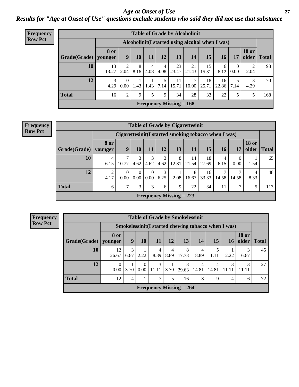*Age at Onset of Use* **27** *Results for "Age at Onset of Use" questions exclude students who said they did not use that substance*

| <b>Frequency</b> | <b>Table of Grade by Alcoholinit</b> |                        |                  |           |                        |                |                           |             |             |                                                  |                      |                       |              |
|------------------|--------------------------------------|------------------------|------------------|-----------|------------------------|----------------|---------------------------|-------------|-------------|--------------------------------------------------|----------------------|-----------------------|--------------|
| <b>Row Pct</b>   |                                      |                        |                  |           |                        |                |                           |             |             | Alcoholinit (I started using alcohol when I was) |                      |                       |              |
|                  | Grade(Grade)                         | <b>8 or</b><br>vounger | 9                | 10        | 11                     | 12             | 13                        | 14          | 15          | <b>16</b>                                        | 17                   | <b>18 or</b><br>older | <b>Total</b> |
|                  | 10                                   | 13<br>13.27            | 2<br>2.04        | 8<br>8.16 | $\overline{4}$<br>4.08 | $\overline{4}$ | 23<br>$4.08$   23.47      | 21<br>21.43 | 15<br>15.31 | 6<br>6.12                                        | $\theta$<br>$0.00\,$ | 2.04                  | 98           |
|                  | 12                                   | 3<br>4.29              | $\Omega$<br>0.00 | 1.43      | 1.43                   | 7.14           | 11<br>15.71               | 7<br>10.00  | 18<br>25.71 | 16<br>22.86                                      | 5<br>7.14            | 3<br>4.29             | 70           |
|                  | <b>Total</b>                         | 16                     | $\overline{2}$   | 9         | 5                      | 9              | 34                        | 28          | 33          | 22                                               | 5                    | 5                     | 168          |
|                  |                                      |                        |                  |           |                        |                | Frequency Missing $= 168$ |             |             |                                                  |                      |                       |              |

#### **Frequency Row Pct**

| <b>Table of Grade by Cigarettesinit</b> |                 |                                                      |           |                      |           |                           |             |             |           |               |                       |              |  |
|-----------------------------------------|-----------------|------------------------------------------------------|-----------|----------------------|-----------|---------------------------|-------------|-------------|-----------|---------------|-----------------------|--------------|--|
|                                         |                 | Cigarettesinit(I started smoking tobacco when I was) |           |                      |           |                           |             |             |           |               |                       |              |  |
| Grade(Grade)                            | 8 or<br>vounger | 9                                                    | 10        | 11                   | 12        | 13                        | 14          | 15          | 16        | 17            | <b>18 or</b><br>older | <b>Total</b> |  |
| 10                                      | 4<br>6.15       | 10.77                                                | 3<br>4.62 | 3<br>4.62            | 3<br>4.62 | 8<br>12.31                | 14<br>21.54 | 18<br>27.69 | 4<br>6.15 | 0<br>0.00     | 1.54                  | 65           |  |
| 12                                      | ∍<br>4.17       | $\Omega$<br>0.00                                     | 0<br>0.00 | $\Omega$<br>$0.00\,$ | 3<br>6.25 | 2.08                      | 8<br>16.67  | 16<br>33.33 | 14.58     | 14.58         | 4<br>8.33             | 48           |  |
| <b>Total</b>                            | 6               | $\mathcal{L}$                                        | 3         | 3                    | 6         | 9                         | 22          | 34          | 11        | $\mathcal{I}$ | 5                     | 113          |  |
|                                         |                 |                                                      |           |                      |           | Frequency Missing $= 223$ |             |             |           |               |                       |              |  |

**Frequency Row Pct**

|              | <b>Table of Grade by Smokelessinit</b> |                                                      |                  |                           |           |            |                         |                         |                 |                       |              |  |  |  |
|--------------|----------------------------------------|------------------------------------------------------|------------------|---------------------------|-----------|------------|-------------------------|-------------------------|-----------------|-----------------------|--------------|--|--|--|
|              |                                        | Smokelessinit (I started chewing tobacco when I was) |                  |                           |           |            |                         |                         |                 |                       |              |  |  |  |
| Grade(Grade) | 8 or<br>younger                        | 9                                                    | 10               | 11                        | 12        | 13         | 14                      | 15                      | 16 <sup>1</sup> | <b>18 or</b><br>older | <b>Total</b> |  |  |  |
| 10           | 12<br>26.67                            | 3<br>6.67                                            | 2.22             | 4<br>8.89                 | 4<br>8.89 | 8<br>17.78 | 4<br>8.89               | 5<br>11.11              | 2.22            | 6.67                  | 45           |  |  |  |
| 12           | $\Omega$<br>0.00                       | 3.70                                                 | $\Omega$<br>0.00 | 3<br>11.11                | 3.70      | 8<br>29.63 | $\overline{4}$<br>14.81 | $\overline{4}$<br>14.81 | 3               | 3<br>11.11            | 27           |  |  |  |
| <b>Total</b> | 12                                     | 4                                                    |                  | ⇁                         | 5         | 16         | 8                       | 9                       | 4               | 6                     | 72           |  |  |  |
|              |                                        |                                                      |                  | Frequency Missing $= 264$ |           |            |                         |                         |                 |                       |              |  |  |  |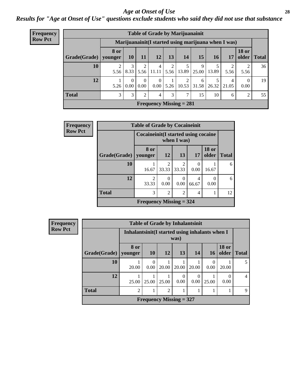#### *Age at Onset of Use* **28**

*Results for "Age at Onset of Use" questions exclude students who said they did not use that substance*

|                             | <b>Table of Grade by Marijuanainit</b> |             |                  |                  |                                  |           |                         |            |             |                                                      |                        |              |  |
|-----------------------------|----------------------------------------|-------------|------------------|------------------|----------------------------------|-----------|-------------------------|------------|-------------|------------------------------------------------------|------------------------|--------------|--|
| Frequency<br><b>Row Pct</b> |                                        |             |                  |                  |                                  |           |                         |            |             |                                                      |                        |              |  |
|                             |                                        |             |                  |                  |                                  |           |                         |            |             | Marijuanainit (I started using marijuana when I was) |                        |              |  |
|                             |                                        | <b>8 or</b> |                  |                  |                                  |           |                         |            |             |                                                      | <b>18 or</b>           |              |  |
|                             | Grade(Grade)                           | younger     | <b>10</b>        | <b>11</b>        | 12                               | 13        | 14                      | 15         | <b>16</b>   | 17                                                   | older                  | <b>Total</b> |  |
|                             | 10                                     | 5.56        | 3<br>8.33        | $\mathfrak{D}$   | $\overline{4}$<br>$5.56$   11.11 | 2<br>5.56 | 13.89                   | 9<br>25.00 | 13.89       | 5.56                                                 | $\overline{2}$<br>5.56 | 36           |  |
|                             | 12                                     | 5.26        | $\Omega$<br>0.00 | $\Omega$<br>0.00 | $\theta$<br>0.00                 | 5.26      | $\mathfrak{D}$<br>10.53 | 6          | 31.58 26.32 | 4<br>21.05                                           | $\Omega$<br>0.00       | 19           |  |
|                             | <b>Total</b>                           | 3           | 3                | $\mathfrak{D}$   | 4                                | 3         | 7                       | 15         | 10          | 6                                                    | 2                      | 55           |  |
|                             |                                        |             |                  |                  | Frequency Missing $= 281$        |           |                         |            |             |                                                      |                        |              |  |

| Frequency      |              | <b>Table of Grade by Cocaineinit</b>   |                |                |                  |                       |              |  |  |  |
|----------------|--------------|----------------------------------------|----------------|----------------|------------------|-----------------------|--------------|--|--|--|
| <b>Row Pct</b> |              | Cocaine in it (I started using cocaine |                | when I was)    |                  |                       |              |  |  |  |
|                | Grade(Grade) | 8 or<br>vounger                        | <b>12</b>      | 13             | 17               | <b>18 or</b><br>older | <b>Total</b> |  |  |  |
|                | 10           | 16.67                                  | 2<br>33.33     | 2<br>33.33     | $\Omega$<br>0.00 | 16.67                 | 6            |  |  |  |
|                | 12           | $\mathfrak{D}$<br>33.33                | 0<br>0.00      | 0.00           | 4<br>66.67       | 0<br>0.00             | 6            |  |  |  |
|                | <b>Total</b> | 3                                      | $\overline{c}$ | $\overline{2}$ | 4                |                       | 12           |  |  |  |
|                |              | Frequency Missing $=$ 324              |                |                |                  |                       |              |  |  |  |

| <b>Frequency</b> |  |
|------------------|--|
| <b>Row Pct</b>   |  |

| <b>Table of Grade by Inhalantsinit</b> |                 |                                                         |                |           |           |       |                       |              |  |
|----------------------------------------|-----------------|---------------------------------------------------------|----------------|-----------|-----------|-------|-----------------------|--------------|--|
|                                        |                 | Inhalantsinit (I started using inhalants when I<br>was) |                |           |           |       |                       |              |  |
| Grade(Grade)                           | 8 or<br>vounger | <b>10</b>                                               | 12             | 13        | 14        | 16    | <b>18 or</b><br>older | <b>Total</b> |  |
| 10                                     | 20.00           | ∩<br>0.00                                               | 20.00          | 20.00     | 20.00     | 0.00  | 20.00                 |              |  |
| 12                                     | 25.00           | 25.00                                                   | 25.00          | 0<br>0.00 | 0<br>0.00 | 25.00 | 0.00                  |              |  |
| <b>Total</b>                           | $\overline{2}$  |                                                         | $\mathfrak{D}$ |           |           |       |                       | 9            |  |
|                                        |                 | Frequency Missing $= 327$                               |                |           |           |       |                       |              |  |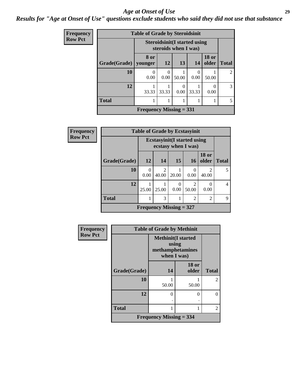#### *Age at Onset of Use* **29**

*Results for "Age at Onset of Use" questions exclude students who said they did not use that substance*

| Frequency      | <b>Table of Grade by Steroidsinit</b> |                                                             |                  |                       |       |                          |               |  |  |  |
|----------------|---------------------------------------|-------------------------------------------------------------|------------------|-----------------------|-------|--------------------------|---------------|--|--|--|
| <b>Row Pct</b> |                                       | <b>Steroidsinit(I started using</b><br>steroids when I was) |                  |                       |       |                          |               |  |  |  |
|                | Grade(Grade)                          | 8 or<br>vounger                                             | <b>12</b>        | 13                    | 14    | <b>18 or</b><br>older    | <b>Total</b>  |  |  |  |
|                | 10                                    | $\theta$<br>0.00                                            | $\theta$<br>0.00 | 50.00                 | 0.00  | 50.00                    | 2             |  |  |  |
|                | 12                                    | 33.33                                                       | 33.33            | $\mathcal{L}$<br>0.00 | 33.33 | $\left( \right)$<br>0.00 | 3             |  |  |  |
|                | <b>Total</b>                          |                                                             |                  |                       |       |                          | $\mathcal{F}$ |  |  |  |
|                |                                       | Frequency Missing $= 331$                                   |                  |                       |       |                          |               |  |  |  |

| Frequency      |                                                            | <b>Table of Grade by Ecstasyinit</b> |                         |                           |                |                           |              |  |  |
|----------------|------------------------------------------------------------|--------------------------------------|-------------------------|---------------------------|----------------|---------------------------|--------------|--|--|
| <b>Row Pct</b> | <b>Ecstasyinit</b> (I started using<br>ecstasy when I was) |                                      |                         |                           |                |                           |              |  |  |
|                | Grade(Grade)                                               | 12                                   | 14                      | 15                        | <b>16</b>      | <b>18 or</b><br>older     | <b>Total</b> |  |  |
|                | 10                                                         | 0<br>0.00                            | $\overline{2}$<br>40.00 | 20.00                     | 0<br>0.00      | 2<br>40.00                |              |  |  |
|                | 12                                                         | 25.00                                | 25.00                   | $\Omega$<br>0.00          | 2<br>50.00     | $\mathbf{\Omega}$<br>0.00 | 4            |  |  |
|                | <b>Total</b>                                               |                                      | 3                       |                           | $\overline{2}$ | $\overline{2}$            | 9            |  |  |
|                |                                                            |                                      |                         | Frequency Missing $= 327$ |                |                           |              |  |  |

| <b>Frequency</b> | <b>Table of Grade by Methinit</b> |                                                                       |                       |                |  |  |  |  |  |
|------------------|-----------------------------------|-----------------------------------------------------------------------|-----------------------|----------------|--|--|--|--|--|
| <b>Row Pct</b>   |                                   | <b>Methinit(I started</b><br>using<br>methamphetamines<br>when I was) |                       |                |  |  |  |  |  |
|                  | Grade(Grade)                      | 14                                                                    | <b>18 or</b><br>older | <b>Total</b>   |  |  |  |  |  |
|                  | 10                                | 50.00                                                                 | 50.00                 | $\mathfrak{D}$ |  |  |  |  |  |
|                  | 12                                | $\Omega$                                                              | 0<br>٠                | $\Omega$       |  |  |  |  |  |
|                  | <b>Total</b>                      |                                                                       |                       | $\mathfrak{D}$ |  |  |  |  |  |
|                  | Frequency Missing $=$ 334         |                                                                       |                       |                |  |  |  |  |  |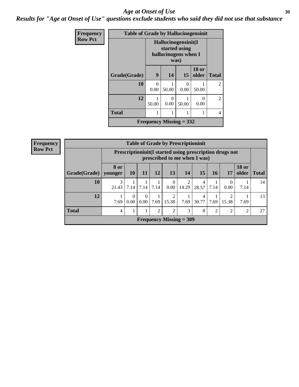#### Age at Onset of Use **30**

*Results for "Age at Onset of Use" questions exclude students who said they did not use that substance*

| <b>Frequency</b> | <b>Table of Grade by Hallucinogensinit</b> |                  |                                                                      |           |                       |                |  |  |  |
|------------------|--------------------------------------------|------------------|----------------------------------------------------------------------|-----------|-----------------------|----------------|--|--|--|
| <b>Row Pct</b>   |                                            |                  | Hallucinogensinit(I<br>started using<br>hallucinogens when I<br>was) |           |                       |                |  |  |  |
|                  | Grade(Grade)                               | $\boldsymbol{9}$ | 14                                                                   | <b>15</b> | <b>18 or</b><br>older | <b>Total</b>   |  |  |  |
|                  | 10                                         | 0<br>0.00        | 50.00                                                                | 0<br>0.00 | 50.00                 | $\mathfrak{D}$ |  |  |  |
|                  | 12                                         | 50.00            | $\mathcal{L}$<br>0.00                                                | 50.00     | 0<br>0.00             | $\mathfrak{D}$ |  |  |  |
|                  | <b>Total</b>                               |                  |                                                                      |           | 1                     | 4              |  |  |  |
|                  |                                            |                  | Frequency Missing $= 332$                                            |           |                       |                |  |  |  |

| Frequency      |                                                                                         | <b>Table of Grade by Prescriptioninit</b> |                 |      |               |                           |       |            |      |       |                       |              |
|----------------|-----------------------------------------------------------------------------------------|-------------------------------------------|-----------------|------|---------------|---------------------------|-------|------------|------|-------|-----------------------|--------------|
| <b>Row Pct</b> | Prescriptioninit(I started using prescription drugs not<br>prescribed to me when I was) |                                           |                 |      |               |                           |       |            |      |       |                       |              |
|                | Grade(Grade)   younger                                                                  | 8 or                                      | 10 <sup>1</sup> | 11   | 12            | 13                        | 14    | 15         | 16   | 17    | <b>18 or</b><br>older | <b>Total</b> |
|                | 10                                                                                      | 21.43                                     | 7.14            | 7.14 | 7.14          | 0<br>0.00                 | 14.29 | 4<br>28.57 | 7.14 | 0.00  | 7.14                  | 14           |
|                | 12                                                                                      | 7.69                                      | $0.00\vert$     |      | $0.00$   7.69 | 2<br>15.38                | 7.69  | 4<br>30.77 | 7.69 | 15.38 | 7.69                  | 13           |
|                | <b>Total</b>                                                                            | 4                                         |                 |      | 2             | $\overline{2}$            | 3     | 8          | 2    | 2     | 2                     | 27           |
|                |                                                                                         |                                           |                 |      |               | Frequency Missing $=$ 309 |       |            |      |       |                       |              |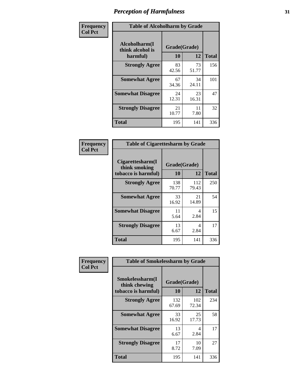| Frequency      | <b>Table of Alcoholharm by Grade</b>          |                    |             |              |  |  |  |
|----------------|-----------------------------------------------|--------------------|-------------|--------------|--|--|--|
| <b>Col Pct</b> | Alcoholharm(I<br>think alcohol is<br>harmful) | Grade(Grade)<br>10 | 12          | <b>Total</b> |  |  |  |
|                | <b>Strongly Agree</b>                         | 83<br>42.56        | 73<br>51.77 | 156          |  |  |  |
|                | <b>Somewhat Agree</b>                         | 67<br>34.36        | 34<br>24.11 | 101          |  |  |  |
|                | <b>Somewhat Disagree</b>                      | 24<br>12.31        | 23<br>16.31 | 47           |  |  |  |
|                | <b>Strongly Disagree</b>                      | 21<br>10.77        | 11<br>7.80  | 32           |  |  |  |
|                | <b>Total</b>                                  | 195                | 141         | 336          |  |  |  |

|                                                          | <b>Table of Cigarettesharm by Grade</b> |              |              |  |  |  |  |  |
|----------------------------------------------------------|-----------------------------------------|--------------|--------------|--|--|--|--|--|
| Cigarettesharm(I<br>think smoking<br>tobacco is harmful) | Grade(Grade)<br>10                      | 12           | <b>Total</b> |  |  |  |  |  |
| <b>Strongly Agree</b>                                    | 138<br>70.77                            | 112<br>79.43 | 250          |  |  |  |  |  |
| <b>Somewhat Agree</b>                                    | 33<br>16.92                             | 21<br>14.89  | 54           |  |  |  |  |  |
| <b>Somewhat Disagree</b>                                 | 11<br>5.64                              | 4<br>2.84    | 15           |  |  |  |  |  |
| <b>Strongly Disagree</b>                                 | 13<br>6.67                              | 4<br>2.84    | 17           |  |  |  |  |  |
| <b>Total</b>                                             | 195                                     | 141          | 336          |  |  |  |  |  |

| Frequency      | <b>Table of Smokelessharm by Grade</b>                  |                    |              |              |
|----------------|---------------------------------------------------------|--------------------|--------------|--------------|
| <b>Col Pct</b> | Smokelessharm(I<br>think chewing<br>tobacco is harmful) | Grade(Grade)<br>10 | 12           | <b>Total</b> |
|                | <b>Strongly Agree</b>                                   | 132<br>67.69       | 102<br>72.34 | 234          |
|                | <b>Somewhat Agree</b>                                   | 33<br>16.92        | 25<br>17.73  | 58           |
|                | <b>Somewhat Disagree</b>                                | 13<br>6.67         | 4<br>2.84    | 17           |
|                | <b>Strongly Disagree</b>                                | 17<br>8.72         | 10<br>7.09   | 27           |
|                | <b>Total</b>                                            | 195                | 141          | 336          |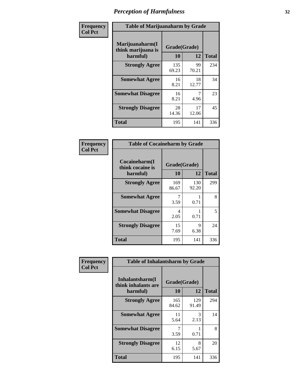| Frequency      | <b>Table of Marijuanaharm by Grade</b>            |                    |             |              |  |  |  |  |
|----------------|---------------------------------------------------|--------------------|-------------|--------------|--|--|--|--|
| <b>Col Pct</b> | Marijuanaharm(I<br>think marijuana is<br>harmful) | Grade(Grade)<br>10 | 12          | <b>Total</b> |  |  |  |  |
|                | <b>Strongly Agree</b>                             | 135<br>69.23       | 99<br>70.21 | 234          |  |  |  |  |
|                | <b>Somewhat Agree</b>                             | 16<br>8.21         | 18<br>12.77 | 34           |  |  |  |  |
|                | <b>Somewhat Disagree</b>                          | 16<br>8.21         | 4.96        | 23           |  |  |  |  |
|                | <b>Strongly Disagree</b>                          | 28<br>14.36        | 17<br>12.06 | 45           |  |  |  |  |
|                | <b>Total</b>                                      | 195                | 141         | 336          |  |  |  |  |

| <b>Table of Cocaineharm by Grade</b>          |                    |              |     |  |  |
|-----------------------------------------------|--------------------|--------------|-----|--|--|
| Cocaineharm(I<br>think cocaine is<br>harmful) | Grade(Grade)<br>10 | <b>Total</b> |     |  |  |
| <b>Strongly Agree</b>                         | 169<br>86.67       | 130<br>92.20 | 299 |  |  |
| <b>Somewhat Agree</b>                         | 7<br>3.59          | 0.71         | 8   |  |  |
| <b>Somewhat Disagree</b>                      | 4<br>2.05          | 0.71         | 5   |  |  |
| <b>Strongly Disagree</b>                      | 15<br>7.69         | 9<br>6.38    | 24  |  |  |
| Total                                         | 195                | 141          | 336 |  |  |

| Frequency      | <b>Table of Inhalantsharm by Grade</b>             |                    |              |              |  |
|----------------|----------------------------------------------------|--------------------|--------------|--------------|--|
| <b>Col Pct</b> | Inhalantsharm(I<br>think inhalants are<br>harmful) | Grade(Grade)<br>10 | 12           | <b>Total</b> |  |
|                | <b>Strongly Agree</b>                              | 165<br>84.62       | 129<br>91.49 | 294          |  |
|                | <b>Somewhat Agree</b>                              | 11<br>5.64         | 3<br>2.13    | 14           |  |
|                | <b>Somewhat Disagree</b>                           | 7<br>3.59          | 0.71         | 8            |  |
|                | <b>Strongly Disagree</b>                           | 12<br>6.15         | 8<br>5.67    | 20           |  |
|                | Total                                              | 195                | 141          | 336          |  |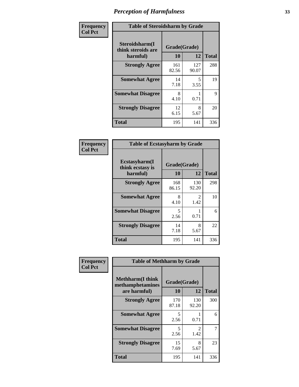| Frequency      | <b>Table of Steroidsharm by Grade</b>            |                    |              |              |
|----------------|--------------------------------------------------|--------------------|--------------|--------------|
| <b>Col Pct</b> | Steroidsharm(I<br>think steroids are<br>harmful) | Grade(Grade)<br>10 | 12           | <b>Total</b> |
|                | <b>Strongly Agree</b>                            | 161<br>82.56       | 127<br>90.07 | 288          |
|                | <b>Somewhat Agree</b>                            | 14<br>7.18         | 5<br>3.55    | 19           |
|                | <b>Somewhat Disagree</b>                         | 8<br>4.10          | 0.71         | 9            |
|                | <b>Strongly Disagree</b>                         | 12<br>6.15         | 8<br>5.67    | 20           |
|                | <b>Total</b>                                     | 195                | 141          | 336          |

| <b>Table of Ecstasyharm by Grade</b>          |                    |              |     |  |  |  |
|-----------------------------------------------|--------------------|--------------|-----|--|--|--|
| Ecstasyharm(I<br>think ecstasy is<br>harmful) | Grade(Grade)<br>10 | <b>Total</b> |     |  |  |  |
| <b>Strongly Agree</b>                         | 168<br>86.15       | 130<br>92.20 | 298 |  |  |  |
| <b>Somewhat Agree</b>                         | 8<br>4.10          | 2<br>1.42    | 10  |  |  |  |
| <b>Somewhat Disagree</b>                      | 5<br>2.56          | 0.71         | 6   |  |  |  |
| <b>Strongly Disagree</b>                      | 14<br>7.18         | 8<br>5.67    | 22  |  |  |  |
| <b>Total</b>                                  | 195                | 141          | 336 |  |  |  |

| Frequency      | <b>Table of Methharm by Grade</b>                            |                           |              |              |
|----------------|--------------------------------------------------------------|---------------------------|--------------|--------------|
| <b>Col Pct</b> | <b>Methharm</b> (I think<br>methamphetamines<br>are harmful) | Grade(Grade)<br><b>10</b> | 12           | <b>Total</b> |
|                | <b>Strongly Agree</b>                                        | 170<br>87.18              | 130<br>92.20 | 300          |
|                | <b>Somewhat Agree</b>                                        | 5<br>2.56                 | 0.71         | 6            |
|                | <b>Somewhat Disagree</b>                                     | 5<br>2.56                 | 2<br>1.42    | 7            |
|                | <b>Strongly Disagree</b>                                     | 15<br>7.69                | 8<br>5.67    | 23           |
|                | <b>Total</b>                                                 | 195                       | 141          | 336          |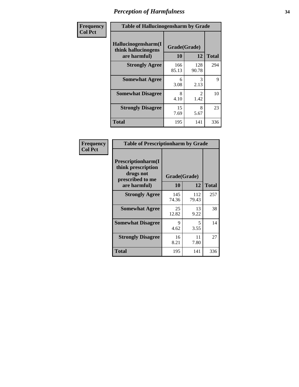| Frequency      | <b>Table of Hallucinogensharm by Grade</b>                 |                    |                       |              |
|----------------|------------------------------------------------------------|--------------------|-----------------------|--------------|
| <b>Col Pct</b> | Hallucinogensharm(I<br>think hallucinogens<br>are harmful) | Grade(Grade)<br>10 | 12                    | <b>Total</b> |
|                | <b>Strongly Agree</b>                                      | 166<br>85.13       | 128<br>90.78          | 294          |
|                | <b>Somewhat Agree</b>                                      | 6<br>3.08          | 3<br>2.13             | 9            |
|                | <b>Somewhat Disagree</b>                                   | 8<br>4.10          | $\mathcal{L}$<br>1.42 | 10           |
|                | <b>Strongly Disagree</b>                                   | 15<br>7.69         | 8<br>5.67             | 23           |
|                | <b>Total</b>                                               | 195                | 141                   | 336          |

| <b>Table of Prescriptionharm by Grade</b>                                 |              |              |              |  |  |
|---------------------------------------------------------------------------|--------------|--------------|--------------|--|--|
| Prescriptionharm(I<br>think prescription<br>drugs not<br>prescribed to me | Grade(Grade) |              |              |  |  |
| are harmful)                                                              | 10           | 12           | <b>Total</b> |  |  |
| <b>Strongly Agree</b>                                                     | 145<br>74.36 | 112<br>79.43 | 257          |  |  |
| <b>Somewhat Agree</b>                                                     | 25<br>12.82  | 13<br>9.22   | 38           |  |  |
| <b>Somewhat Disagree</b>                                                  | 9<br>4.62    | 5<br>3.55    | 14           |  |  |
| <b>Strongly Disagree</b>                                                  | 16<br>8.21   | 11<br>7.80   | 27           |  |  |
| <b>Total</b>                                                              | 195          | 141          | 336          |  |  |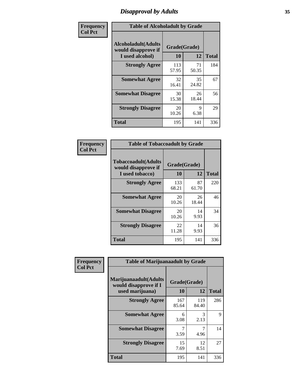# *Disapproval by Adults* **35**

| Frequency      | <b>Table of Alcoholadult by Grade</b>                                 |                    |             |              |  |
|----------------|-----------------------------------------------------------------------|--------------------|-------------|--------------|--|
| <b>Col Pct</b> | <b>Alcoholadult</b> (Adults<br>would disapprove if<br>I used alcohol) | Grade(Grade)<br>10 | 12          | <b>Total</b> |  |
|                | <b>Strongly Agree</b>                                                 | 113<br>57.95       | 71<br>50.35 | 184          |  |
|                | <b>Somewhat Agree</b>                                                 | 32<br>16.41        | 35<br>24.82 | 67           |  |
|                | <b>Somewhat Disagree</b>                                              | 30<br>15.38        | 26<br>18.44 | 56           |  |
|                | <b>Strongly Disagree</b>                                              | 20<br>10.26        | 9<br>6.38   | 29           |  |
|                | <b>Total</b>                                                          | 195                | 141         | 336          |  |

| <b>Table of Tobaccoadult by Grade</b>                                |              |             |     |  |  |
|----------------------------------------------------------------------|--------------|-------------|-----|--|--|
| <b>Tobaccoadult(Adults</b><br>would disapprove if<br>I used tobacco) | <b>Total</b> |             |     |  |  |
| <b>Strongly Agree</b>                                                | 133<br>68.21 | 87<br>61.70 | 220 |  |  |
| <b>Somewhat Agree</b>                                                | 20<br>10.26  | 26<br>18.44 | 46  |  |  |
| <b>Somewhat Disagree</b>                                             | 20<br>10.26  | 14<br>9.93  | 34  |  |  |
| <b>Strongly Disagree</b>                                             | 22<br>11.28  | 14<br>9.93  | 36  |  |  |
| Total                                                                | 195          | 141         | 336 |  |  |

| Frequency      | <b>Table of Marijuanaadult by Grade</b>                           |                    |              |              |  |
|----------------|-------------------------------------------------------------------|--------------------|--------------|--------------|--|
| <b>Col Pct</b> | Marijuanaadult(Adults<br>would disapprove if I<br>used marijuana) | Grade(Grade)<br>10 | 12           | <b>Total</b> |  |
|                | <b>Strongly Agree</b>                                             | 167<br>85.64       | 119<br>84.40 | 286          |  |
|                | <b>Somewhat Agree</b>                                             | 6<br>3.08          | 3<br>2.13    | 9            |  |
|                | <b>Somewhat Disagree</b>                                          | 7<br>3.59          | 7<br>4.96    | 14           |  |
|                | <b>Strongly Disagree</b>                                          | 15<br>7.69         | 12<br>8.51   | 27           |  |
|                | <b>Total</b>                                                      | 195                | 141          | 336          |  |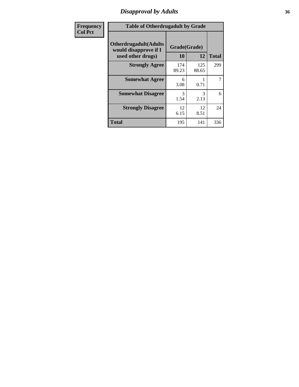### *Disapproval by Adults* **36**

| <b>Frequency</b> | <b>Table of Otherdrugadult by Grade</b>                                     |                    |              |              |
|------------------|-----------------------------------------------------------------------------|--------------------|--------------|--------------|
| <b>Col Pct</b>   | <b>Otherdrugadult</b> (Adults<br>would disapprove if I<br>used other drugs) | Grade(Grade)<br>10 | 12           | <b>Total</b> |
|                  | <b>Strongly Agree</b>                                                       | 174<br>89.23       | 125<br>88.65 | 299          |
|                  | <b>Somewhat Agree</b>                                                       | 6<br>3.08          | 0.71         | 7            |
|                  | <b>Somewhat Disagree</b>                                                    | 3<br>1.54          | 3<br>2.13    | 6            |
|                  | <b>Strongly Disagree</b>                                                    | 12<br>6.15         | 12<br>8.51   | 24           |
|                  | <b>Total</b>                                                                | 195                | 141          | 336          |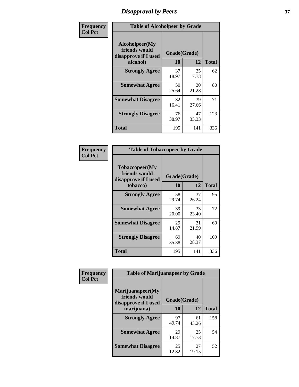## *Disapproval by Peers* **37**

| Frequency      | <b>Table of Alcoholpeer by Grade</b>                    |              |             |              |  |
|----------------|---------------------------------------------------------|--------------|-------------|--------------|--|
| <b>Col Pct</b> | Alcoholpeer(My<br>friends would<br>disapprove if I used | Grade(Grade) |             |              |  |
|                | alcohol)                                                | 10           | 12          | <b>Total</b> |  |
|                | <b>Strongly Agree</b>                                   | 37<br>18.97  | 25<br>17.73 | 62           |  |
|                | <b>Somewhat Agree</b>                                   | 50<br>25.64  | 30<br>21.28 | 80           |  |
|                | <b>Somewhat Disagree</b>                                | 32<br>16.41  | 39<br>27.66 | 71           |  |
|                | <b>Strongly Disagree</b>                                | 76<br>38.97  | 47<br>33.33 | 123          |  |
|                | Total                                                   | 195          | 141         | 336          |  |

| Frequency      | <b>Table of Tobaccopeer by Grade</b>                                |                           |             |              |  |
|----------------|---------------------------------------------------------------------|---------------------------|-------------|--------------|--|
| <b>Col Pct</b> | Tobaccopeer(My<br>friends would<br>disapprove if I used<br>tobacco) | Grade(Grade)<br><b>10</b> | 12          | <b>Total</b> |  |
|                | <b>Strongly Agree</b>                                               | 58<br>29.74               | 37<br>26.24 | 95           |  |
|                | <b>Somewhat Agree</b>                                               | 39<br>20.00               | 33<br>23.40 | 72           |  |
|                | <b>Somewhat Disagree</b>                                            | 29<br>14.87               | 31<br>21.99 | 60           |  |
|                | <b>Strongly Disagree</b>                                            | 69<br>35.38               | 40<br>28.37 | 109          |  |
|                | Total                                                               | 195                       | 141         | 336          |  |

| Frequency      | <b>Table of Marijuanapeer by Grade</b>                    |              |             |              |
|----------------|-----------------------------------------------------------|--------------|-------------|--------------|
| <b>Col Pct</b> | Marijuanapeer(My<br>friends would<br>disapprove if I used | Grade(Grade) |             |              |
|                | marijuana)                                                | <b>10</b>    | 12          | <b>Total</b> |
|                | <b>Strongly Agree</b>                                     | 97<br>49.74  | 61<br>43.26 | 158          |
|                | <b>Somewhat Agree</b>                                     | 29<br>14.87  | 25<br>17.73 | 54           |
|                | <b>Somewhat Disagree</b>                                  | 25<br>12.82  | 27<br>19.15 | 52           |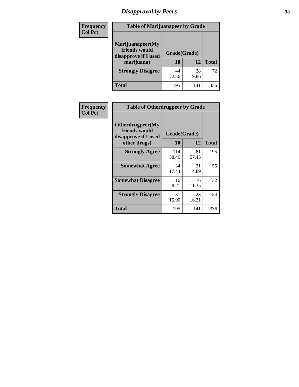# *Disapproval by Peers* **38**

| <b>Frequency</b> | <b>Table of Marijuanapeer by Grade</b>                                  |                           |             |              |  |
|------------------|-------------------------------------------------------------------------|---------------------------|-------------|--------------|--|
| <b>Col Pct</b>   | Marijuanapeer(My<br>friends would<br>disapprove if I used<br>marijuana) | Grade(Grade)<br><b>10</b> | 12          | <b>Total</b> |  |
|                  | <b>Strongly Disagree</b>                                                | 44<br>22.56               | 28<br>19.86 | 72           |  |
|                  | <b>Total</b>                                                            | 195                       | 141         | 336          |  |

| <b>Frequency</b> | <b>Table of Otherdrugpeer by Grade</b>                                    |                    |             |              |
|------------------|---------------------------------------------------------------------------|--------------------|-------------|--------------|
| <b>Col Pct</b>   | Otherdrugpeer(My<br>friends would<br>disapprove if I used<br>other drugs) | Grade(Grade)<br>10 | 12          | <b>Total</b> |
|                  |                                                                           |                    |             |              |
|                  | <b>Strongly Agree</b>                                                     | 114<br>58.46       | 81<br>57.45 | 195          |
|                  | <b>Somewhat Agree</b>                                                     | 34<br>17.44        | 21<br>14.89 | 55           |
|                  | <b>Somewhat Disagree</b>                                                  | 16<br>8.21         | 16<br>11.35 | 32           |
|                  | <b>Strongly Disagree</b>                                                  | 31<br>15.90        | 23<br>16.31 | 54           |
|                  | Total                                                                     | 195                | 141         | 336          |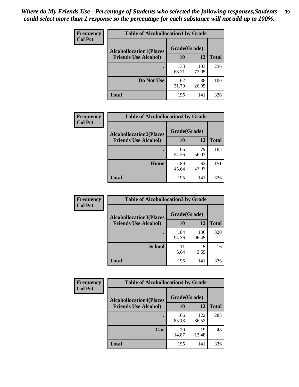| Frequency      | <b>Table of Alcohollocation1 by Grade</b> |              |              |              |  |
|----------------|-------------------------------------------|--------------|--------------|--------------|--|
| <b>Col Pct</b> | <b>Alcohollocation1(Places</b>            | Grade(Grade) |              |              |  |
|                | <b>Friends Use Alcohol)</b>               | 10           | 12           | <b>Total</b> |  |
|                |                                           | 133<br>68.21 | 103<br>73.05 | 236          |  |
|                | Do Not Use                                | 62<br>31.79  | 38<br>26.95  | 100          |  |
|                | <b>Total</b>                              | 195          | 141          | 336          |  |

| Frequency      | <b>Table of Alcohollocation2 by Grade</b>                     |                    |             |              |
|----------------|---------------------------------------------------------------|--------------------|-------------|--------------|
| <b>Col Pct</b> | <b>Alcohollocation2(Places</b><br><b>Friends Use Alcohol)</b> | Grade(Grade)<br>10 | <b>12</b>   | <b>Total</b> |
|                |                                                               | 106<br>54.36       | 79<br>56.03 | 185          |
|                | Home                                                          | 89<br>45.64        | 62<br>43.97 | 151          |
|                | <b>Total</b>                                                  | 195                | 141         | 336          |

| Frequency<br><b>Col Pct</b> | <b>Table of Alcohollocation 3 by Grade</b>                    |                    |              |              |
|-----------------------------|---------------------------------------------------------------|--------------------|--------------|--------------|
|                             | <b>Alcohollocation3(Places</b><br><b>Friends Use Alcohol)</b> | Grade(Grade)<br>10 | 12           | <b>Total</b> |
|                             |                                                               | 184<br>94.36       | 136<br>96.45 | 320          |
|                             | <b>School</b>                                                 | 11<br>5.64         | 5<br>3.55    | 16           |
|                             | Total                                                         | 195                | 141          | 336          |

| <b>Frequency</b> | <b>Table of Alcohollocation4 by Grade</b> |              |              |              |  |
|------------------|-------------------------------------------|--------------|--------------|--------------|--|
| <b>Col Pct</b>   | <b>Alcohollocation4(Places</b>            | Grade(Grade) |              |              |  |
|                  | <b>Friends Use Alcohol)</b>               | 10           | 12           | <b>Total</b> |  |
|                  |                                           | 166<br>85.13 | 122<br>86.52 | 288          |  |
|                  | Car                                       | 29<br>14.87  | 19<br>13.48  | 48           |  |
|                  | <b>Total</b>                              | 195          | 141          | 336          |  |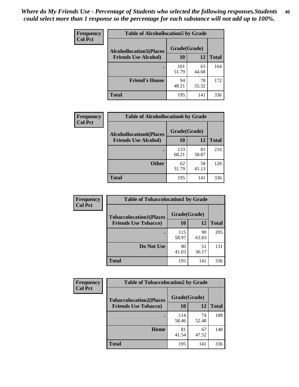| Frequency<br><b>Col Pct</b> | <b>Table of Alcohollocation5 by Grade</b>      |              |             |              |  |
|-----------------------------|------------------------------------------------|--------------|-------------|--------------|--|
|                             | Grade(Grade)<br><b>Alcohollocation5(Places</b> |              |             |              |  |
|                             | <b>Friends Use Alcohol)</b>                    | 10           | 12          | <b>Total</b> |  |
|                             |                                                | 101<br>51.79 | 63<br>44.68 | 164          |  |
|                             | <b>Friend's House</b>                          | 94<br>48.21  | 78<br>55.32 | 172          |  |
|                             | <b>Total</b>                                   | 195          | 141         | 336          |  |

| <b>Frequency</b> | <b>Table of Alcohollocation6 by Grade</b> |              |             |              |
|------------------|-------------------------------------------|--------------|-------------|--------------|
| <b>Col Pct</b>   | <b>Alcohollocation6(Places</b>            | Grade(Grade) |             |              |
|                  | <b>Friends Use Alcohol)</b>               | 10           | 12          | <b>Total</b> |
|                  |                                           | 133<br>68.21 | 83<br>58.87 | 216          |
|                  | <b>Other</b>                              | 62<br>31.79  | 58<br>41.13 | 120          |
|                  | <b>Total</b>                              | 195          | 141         | 336          |

| <b>Frequency</b> | <b>Table of Tobaccolocation1 by Grade</b> |              |             |              |
|------------------|-------------------------------------------|--------------|-------------|--------------|
| <b>Col Pct</b>   | <b>Tobaccolocation1(Places</b>            | Grade(Grade) |             |              |
|                  | <b>Friends Use Tobacco)</b>               | 10           | 12          | <b>Total</b> |
|                  |                                           | 115<br>58.97 | 90<br>63.83 | 205          |
|                  | Do Not Use                                | 80<br>41.03  | 51<br>36.17 | 131          |
|                  | <b>Total</b>                              | 195          | 141         | 336          |

| <b>Frequency</b> | <b>Table of Tobaccolocation2 by Grade</b> |              |             |              |  |
|------------------|-------------------------------------------|--------------|-------------|--------------|--|
| <b>Col Pct</b>   | <b>Tobaccolocation2(Places</b>            | Grade(Grade) |             |              |  |
|                  | <b>Friends Use Tobacco)</b>               | 10           | 12          | <b>Total</b> |  |
|                  |                                           | 114<br>58.46 | 74<br>52.48 | 188          |  |
|                  | Home                                      | 81<br>41.54  | 67<br>47.52 | 148          |  |
|                  | <b>Total</b>                              | 195          | 141         | 336          |  |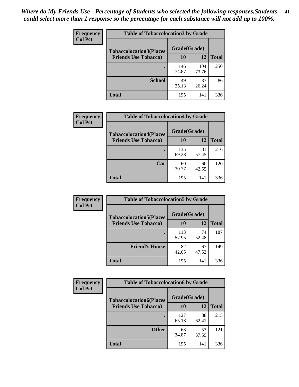| Frequency      | <b>Table of Tobaccolocation 3 by Grade</b> |              |              |              |
|----------------|--------------------------------------------|--------------|--------------|--------------|
| <b>Col Pct</b> | <b>Tobaccolocation3(Places</b>             | Grade(Grade) |              |              |
|                | <b>Friends Use Tobacco)</b>                | 10           | <b>12</b>    | <b>Total</b> |
|                |                                            | 146<br>74.87 | 104<br>73.76 | 250          |
|                | <b>School</b>                              | 49<br>25.13  | 37<br>26.24  | 86           |
|                | <b>Total</b>                               | 195          | 141          | 336          |

| Frequency      | <b>Table of Tobaccolocation4 by Grade</b> |                    |             |              |
|----------------|-------------------------------------------|--------------------|-------------|--------------|
| <b>Col Pct</b> | <b>Tobaccolocation4(Places</b>            | Grade(Grade)<br>10 |             |              |
|                | <b>Friends Use Tobacco)</b>               |                    | 12          | <b>Total</b> |
|                |                                           | 135<br>69.23       | 81<br>57.45 | 216          |
|                | Car                                       | 60<br>30.77        | 60<br>42.55 | 120          |
|                | <b>Total</b>                              | 195                | 141         | 336          |

| Frequency<br><b>Col Pct</b> | <b>Table of Tobaccolocation5 by Grade</b>                     |                    |             |              |
|-----------------------------|---------------------------------------------------------------|--------------------|-------------|--------------|
|                             | <b>Tobaccolocation5(Places</b><br><b>Friends Use Tobacco)</b> | Grade(Grade)<br>10 | <b>12</b>   | <b>Total</b> |
|                             |                                                               |                    |             |              |
|                             |                                                               | 113<br>57.95       | 74<br>52.48 | 187          |
|                             | <b>Friend's House</b>                                         | 82<br>42.05        | 67<br>47.52 | 149          |
|                             | <b>Total</b>                                                  | 195                | 141         | 336          |

| <b>Frequency</b> | <b>Table of Tobaccolocation6 by Grade</b> |              |             |              |  |
|------------------|-------------------------------------------|--------------|-------------|--------------|--|
| <b>Col Pct</b>   | <b>Tobaccolocation6(Places</b>            | Grade(Grade) |             |              |  |
|                  | <b>Friends Use Tobacco)</b>               | 10           | 12          | <b>Total</b> |  |
|                  |                                           | 127<br>65.13 | 88<br>62.41 | 215          |  |
|                  | <b>Other</b>                              | 68<br>34.87  | 53<br>37.59 | 121          |  |
|                  | <b>Total</b>                              | 195          | 141         | 336          |  |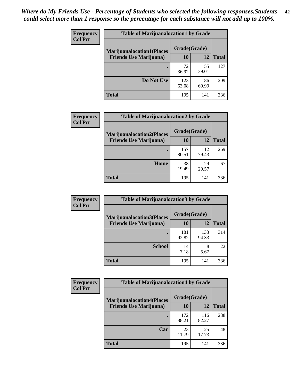| <b>Frequency</b> | <b>Table of Marijuanalocation1 by Grade</b> |              |             |              |
|------------------|---------------------------------------------|--------------|-------------|--------------|
| <b>Col Pct</b>   | <b>Marijuanalocation1(Places</b>            | Grade(Grade) |             |              |
|                  | <b>Friends Use Marijuana</b> )              | 10           | 12          | <b>Total</b> |
|                  |                                             | 72<br>36.92  | 55<br>39.01 | 127          |
|                  | Do Not Use                                  | 123<br>63.08 | 86<br>60.99 | 209          |
|                  | <b>Total</b>                                | 195          | 141         | 336          |

| <b>Frequency</b> | <b>Table of Marijuanalocation2 by Grade</b>                        |                    |              |              |
|------------------|--------------------------------------------------------------------|--------------------|--------------|--------------|
| <b>Col Pct</b>   | <b>Marijuanalocation2(Places</b><br><b>Friends Use Marijuana</b> ) | Grade(Grade)<br>10 | 12           | <b>Total</b> |
|                  |                                                                    | 157<br>80.51       | 112<br>79.43 | 269          |
|                  | Home                                                               | 38<br>19.49        | 29<br>20.57  | 67           |
|                  | <b>Total</b>                                                       | 195                | 141          | 336          |

| Frequency<br><b>Col Pct</b> | <b>Table of Marijuanalocation3 by Grade</b> |              |              |              |
|-----------------------------|---------------------------------------------|--------------|--------------|--------------|
|                             | <b>Marijuanalocation3</b> (Places           | Grade(Grade) |              |              |
|                             | <b>Friends Use Marijuana</b> )              | 10           | 12           | <b>Total</b> |
|                             |                                             | 181<br>92.82 | 133<br>94.33 | 314          |
|                             | <b>School</b>                               | 14<br>7.18   | 8<br>5.67    | 22           |
|                             | <b>Total</b>                                | 195          | 141          | 336          |

| Frequency      | <b>Table of Marijuanalocation4 by Grade</b> |              |              |              |  |
|----------------|---------------------------------------------|--------------|--------------|--------------|--|
| <b>Col Pct</b> | <b>Marijuanalocation4(Places</b>            | Grade(Grade) |              |              |  |
|                | <b>Friends Use Marijuana</b> )              | <b>10</b>    | 12           | <b>Total</b> |  |
|                |                                             | 172<br>88.21 | 116<br>82.27 | 288          |  |
|                | Car                                         | 23<br>11.79  | 25<br>17.73  | 48           |  |
|                | <b>Total</b>                                | 195          | 141          | 336          |  |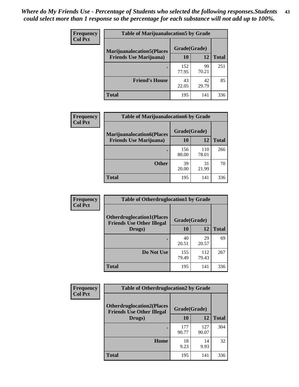| <b>Frequency</b> | <b>Table of Marijuanalocation5 by Grade</b> |              |             |              |
|------------------|---------------------------------------------|--------------|-------------|--------------|
| <b>Col Pct</b>   | <b>Marijuanalocation5</b> (Places           | Grade(Grade) |             |              |
|                  | <b>Friends Use Marijuana</b> )              | 10           | 12          | <b>Total</b> |
|                  |                                             | 152<br>77.95 | 99<br>70.21 | 251          |
|                  | <b>Friend's House</b>                       | 43<br>22.05  | 42<br>29.79 | 85           |
|                  | <b>Total</b>                                | 195          | 141         | 336          |

| Frequency      | <b>Table of Marijuanalocation6 by Grade</b>                        |                    |              |              |
|----------------|--------------------------------------------------------------------|--------------------|--------------|--------------|
| <b>Col Pct</b> | <b>Marijuanalocation6(Places</b><br><b>Friends Use Marijuana</b> ) | Grade(Grade)<br>10 | 12           | <b>Total</b> |
|                |                                                                    | 156<br>80.00       | 110<br>78.01 | 266          |
|                | <b>Other</b>                                                       | 39<br>20.00        | 31<br>21.99  | 70           |
|                | <b>Total</b>                                                       | 195                | 141          | 336          |

| <b>Frequency</b> | <b>Table of Otherdruglocation1 by Grade</b>                          |              |              |              |
|------------------|----------------------------------------------------------------------|--------------|--------------|--------------|
| <b>Col Pct</b>   | <b>Otherdruglocation1(Places</b><br><b>Friends Use Other Illegal</b> | Grade(Grade) |              |              |
|                  | Drugs)                                                               | 10           | 12           | <b>Total</b> |
|                  |                                                                      | 40<br>20.51  | 29<br>20.57  | 69           |
|                  | Do Not Use                                                           | 155<br>79.49 | 112<br>79.43 | 267          |
|                  | <b>Total</b>                                                         | 195          | 141          | 336          |

| Frequency      | <b>Table of Otherdruglocation2 by Grade</b>                          |              |              |              |
|----------------|----------------------------------------------------------------------|--------------|--------------|--------------|
| <b>Col Pct</b> | <b>Otherdruglocation2(Places</b><br><b>Friends Use Other Illegal</b> | Grade(Grade) |              |              |
|                | Drugs)                                                               | 10           | 12           | <b>Total</b> |
|                |                                                                      | 177<br>90.77 | 127<br>90.07 | 304          |
|                | Home                                                                 | 18<br>9.23   | 14<br>9.93   | 32           |
|                | <b>Total</b>                                                         | 195          | 141          | 336          |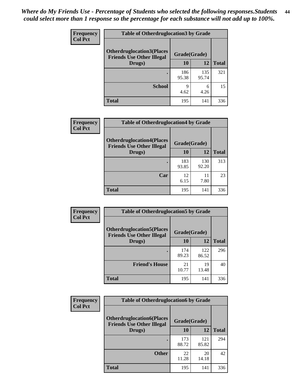| <b>Frequency</b> | <b>Table of Otherdruglocation 3 by Grade</b>                         |              |              |              |
|------------------|----------------------------------------------------------------------|--------------|--------------|--------------|
| <b>Col Pct</b>   | <b>Otherdruglocation3(Places</b><br><b>Friends Use Other Illegal</b> | Grade(Grade) |              |              |
|                  | Drugs)                                                               | 10           | 12           | <b>Total</b> |
|                  |                                                                      | 186<br>95.38 | 135<br>95.74 | 321          |
|                  | <b>School</b>                                                        | Q<br>4.62    | 6<br>4.26    | 15           |
|                  | <b>Total</b>                                                         | 195          | 141          | 336          |

| Frequency      | <b>Table of Otherdruglocation4 by Grade</b>                          |              |              |              |
|----------------|----------------------------------------------------------------------|--------------|--------------|--------------|
| <b>Col Pct</b> | <b>Otherdruglocation4(Places</b><br><b>Friends Use Other Illegal</b> | Grade(Grade) |              |              |
|                | Drugs)                                                               | 10           | 12           | <b>Total</b> |
|                |                                                                      | 183<br>93.85 | 130<br>92.20 | 313          |
|                | Car                                                                  | 12<br>6.15   | 11<br>7.80   | 23           |
|                | <b>Total</b>                                                         | 195          | 141          | 336          |

| Frequency      | <b>Table of Otherdruglocation5 by Grade</b>                          |              |              |              |
|----------------|----------------------------------------------------------------------|--------------|--------------|--------------|
| <b>Col Pct</b> | <b>Otherdruglocation5(Places</b><br><b>Friends Use Other Illegal</b> | Grade(Grade) |              |              |
|                | Drugs)                                                               | 10           | 12           | <b>Total</b> |
|                |                                                                      | 174<br>89.23 | 122<br>86.52 | 296          |
|                | <b>Friend's House</b>                                                | 21<br>10.77  | 19<br>13.48  | 40           |
|                | <b>Total</b>                                                         | 195          | 141          | 336          |

| <b>Frequency</b> | <b>Table of Otherdruglocation6 by Grade</b>                          |              |              |              |
|------------------|----------------------------------------------------------------------|--------------|--------------|--------------|
| <b>Col Pct</b>   | <b>Otherdruglocation6(Places</b><br><b>Friends Use Other Illegal</b> |              | Grade(Grade) |              |
|                  | Drugs)                                                               | <b>10</b>    | 12           | <b>Total</b> |
|                  |                                                                      | 173<br>88.72 | 121<br>85.82 | 294          |
|                  | <b>Other</b>                                                         | 22<br>11.28  | 20<br>14.18  | 42           |
|                  | <b>Total</b>                                                         | 195          | 141          | 336          |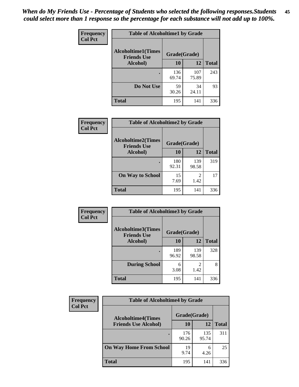| Frequency      | <b>Table of Alcoholtime1 by Grade</b>                           |              |              |              |
|----------------|-----------------------------------------------------------------|--------------|--------------|--------------|
| <b>Col Pct</b> | <b>Alcoholtime1(Times</b><br>Grade(Grade)<br><b>Friends Use</b> |              |              |              |
|                | Alcohol)                                                        | 10           | 12           | <b>Total</b> |
|                |                                                                 | 136<br>69.74 | 107<br>75.89 | 243          |
|                | Do Not Use                                                      | 59<br>30.26  | 34<br>24.11  | 93           |
|                | <b>Total</b>                                                    | 195          | 141          | 336          |

| <b>Frequency</b> | <b>Table of Alcoholtime2 by Grade</b>           |              |                        |              |
|------------------|-------------------------------------------------|--------------|------------------------|--------------|
| <b>Col Pct</b>   | <b>Alcoholtime2(Times</b><br><b>Friends Use</b> | Grade(Grade) |                        |              |
|                  | Alcohol)                                        | 10           | <b>12</b>              | <b>Total</b> |
|                  |                                                 | 180<br>92.31 | 139<br>98.58           | 319          |
|                  | <b>On Way to School</b>                         | 15<br>7.69   | $\mathfrak{D}$<br>1.42 | 17           |
|                  | <b>Total</b>                                    | 195          | 141                    | 336          |

| Frequency      | <b>Table of Alcoholtime3 by Grade</b>           |              |                       |              |
|----------------|-------------------------------------------------|--------------|-----------------------|--------------|
| <b>Col Pct</b> | <b>Alcoholtime3(Times</b><br><b>Friends Use</b> | Grade(Grade) |                       |              |
|                | <b>Alcohol</b> )                                | 10           | 12                    | <b>Total</b> |
|                |                                                 | 189<br>96.92 | 139<br>98.58          | 328          |
|                | <b>During School</b>                            | 6<br>3.08    | $\mathcal{D}$<br>1.42 | 8            |
|                | Total                                           | 195          | 141                   | 336          |

| <b>Frequency</b> | <b>Table of Alcoholtime4 by Grade</b> |              |              |              |
|------------------|---------------------------------------|--------------|--------------|--------------|
| <b>Col Pct</b>   | <b>Alcoholtime4(Times</b>             | Grade(Grade) |              |              |
|                  | <b>Friends Use Alcohol)</b>           | 10           | 12           | <b>Total</b> |
|                  | ٠                                     | 176<br>90.26 | 135<br>95.74 | 311          |
|                  | <b>On Way Home From School</b>        | 19<br>9.74   | 6<br>4.26    | 25           |
|                  | <b>Total</b>                          | 195          | 141          | 336          |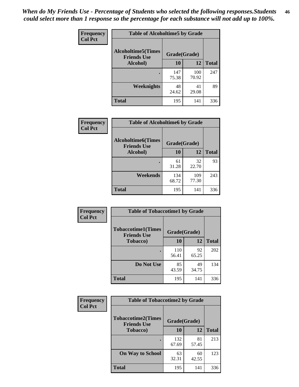*When do My Friends Use - Percentage of Students who selected the following responses.Students could select more than 1 response so the percentage for each substance will not add up to 100%.* **46**

| Frequency      | <b>Table of Alcoholtime5 by Grade</b>           |              |              |              |
|----------------|-------------------------------------------------|--------------|--------------|--------------|
| <b>Col Pct</b> | <b>Alcoholtime5(Times</b><br><b>Friends Use</b> | Grade(Grade) |              |              |
|                | Alcohol)                                        | 10           | 12           | <b>Total</b> |
|                |                                                 | 147<br>75.38 | 100<br>70.92 | 247          |
|                | Weeknights                                      | 48<br>24.62  | 41<br>29.08  | 89           |
|                | <b>Total</b>                                    | 195          | 141          | 336          |

| Frequency      | <b>Table of Alcoholtime6 by Grade</b>           |              |              |              |
|----------------|-------------------------------------------------|--------------|--------------|--------------|
| <b>Col Pct</b> | <b>Alcoholtime6(Times</b><br><b>Friends Use</b> | Grade(Grade) |              |              |
|                | Alcohol)                                        | 10           | 12           | <b>Total</b> |
|                |                                                 | 61<br>31.28  | 32<br>22.70  | 93           |
|                | Weekends                                        | 134<br>68.72 | 109<br>77.30 | 243          |
|                | <b>Total</b>                                    | 195          | 141          | 336          |

| Frequency      | <b>Table of Tobaccotime1 by Grade</b>           |              |             |              |
|----------------|-------------------------------------------------|--------------|-------------|--------------|
| <b>Col Pct</b> | <b>Tobaccotime1(Times</b><br><b>Friends Use</b> | Grade(Grade) |             |              |
|                | <b>Tobacco</b> )                                | 10           | 12          | <b>Total</b> |
|                | ٠                                               | 110<br>56.41 | 92<br>65.25 | 202          |
|                | Do Not Use                                      | 85<br>43.59  | 49<br>34.75 | 134          |
|                | <b>Total</b>                                    | 195          | 141         | 336          |

| <b>Frequency</b> | <b>Table of Tobaccotime2 by Grade</b>           |              |             |              |
|------------------|-------------------------------------------------|--------------|-------------|--------------|
| <b>Col Pct</b>   | <b>Tobaccotime2(Times</b><br><b>Friends Use</b> | Grade(Grade) |             |              |
|                  | <b>Tobacco</b> )                                | 10           | 12          | <b>Total</b> |
|                  |                                                 | 132<br>67.69 | 81<br>57.45 | 213          |
|                  | <b>On Way to School</b>                         | 63<br>32.31  | 60<br>42.55 | 123          |
|                  | <b>Total</b>                                    | 195          | 141         | 336          |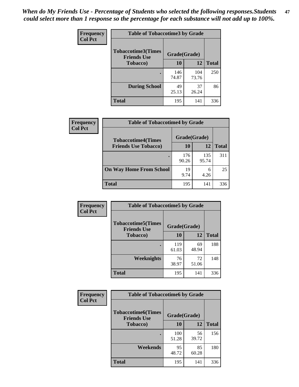*When do My Friends Use - Percentage of Students who selected the following responses.Students could select more than 1 response so the percentage for each substance will not add up to 100%.* **47**

| Frequency      | <b>Table of Tobaccotime3 by Grade</b>           |              |              |              |  |
|----------------|-------------------------------------------------|--------------|--------------|--------------|--|
| <b>Col Pct</b> | <b>Tobaccotime3(Times</b><br><b>Friends Use</b> | Grade(Grade) |              |              |  |
|                | <b>Tobacco</b> )                                | 10           | 12           | <b>Total</b> |  |
|                | ٠                                               | 146<br>74.87 | 104<br>73.76 | 250          |  |
|                | <b>During School</b>                            | 49<br>25.13  | 37<br>26.24  | 86           |  |
|                | <b>Total</b>                                    | 195          | 141          | 336          |  |

| Frequency<br><b>Col Pct</b> | <b>Table of Tobaccotime4 by Grade</b> |              |              |              |
|-----------------------------|---------------------------------------|--------------|--------------|--------------|
|                             | <b>Tobaccotime4(Times</b>             | Grade(Grade) |              |              |
|                             | <b>Friends Use Tobacco)</b>           | 10           | 12           | <b>Total</b> |
|                             |                                       | 176<br>90.26 | 135<br>95.74 | 311          |
|                             | <b>On Way Home From School</b>        | 19<br>9.74   | 6<br>4.26    | 25           |
|                             | <b>Total</b>                          | 195          | 141          | 336          |

| <b>Frequency</b> | <b>Table of Tobaccotime5 by Grade</b>            |              |             |              |
|------------------|--------------------------------------------------|--------------|-------------|--------------|
| <b>Col Pct</b>   | <b>Tobaccotime5</b> (Times<br><b>Friends Use</b> | Grade(Grade) |             |              |
|                  | <b>Tobacco</b> )                                 | 10           | 12          | <b>Total</b> |
|                  |                                                  | 119<br>61.03 | 69<br>48.94 | 188          |
|                  | Weeknights                                       | 76<br>38.97  | 72<br>51.06 | 148          |
|                  | <b>Total</b>                                     | 195          | 141         | 336          |

| Frequency      | <b>Table of Tobaccotime6 by Grade</b>           |              |             |              |  |
|----------------|-------------------------------------------------|--------------|-------------|--------------|--|
| <b>Col Pct</b> | <b>Tobaccotime6(Times</b><br><b>Friends Use</b> | Grade(Grade) |             |              |  |
|                | <b>Tobacco</b> )                                | 10           | 12          | <b>Total</b> |  |
|                | ٠                                               | 100<br>51.28 | 56<br>39.72 | 156          |  |
|                | Weekends                                        | 95<br>48.72  | 85<br>60.28 | 180          |  |
|                | <b>Total</b>                                    | 195          | 141         | 336          |  |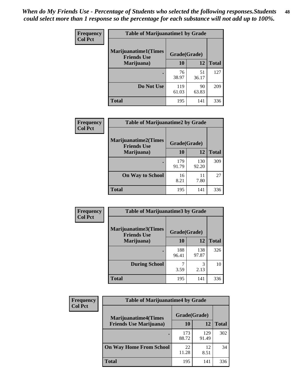| Frequency      | <b>Table of Marijuanatime1 by Grade</b>           |              |             |              |  |
|----------------|---------------------------------------------------|--------------|-------------|--------------|--|
| <b>Col Pct</b> | <b>Marijuanatime1(Times</b><br><b>Friends Use</b> | Grade(Grade) |             |              |  |
|                | Marijuana)                                        | 10           | 12          | <b>Total</b> |  |
|                |                                                   | 76<br>38.97  | 51<br>36.17 | 127          |  |
|                | Do Not Use                                        | 119<br>61.03 | 90<br>63.83 | 209          |  |
|                | <b>Total</b>                                      | 195          | 141         | 336          |  |

| <b>Frequency</b> | <b>Table of Marijuanatime2 by Grade</b>           |              |              |              |
|------------------|---------------------------------------------------|--------------|--------------|--------------|
| <b>Col Pct</b>   | <b>Marijuanatime2(Times</b><br><b>Friends Use</b> | Grade(Grade) |              |              |
|                  | Marijuana)                                        | 10           | 12           | <b>Total</b> |
|                  | ٠                                                 | 179<br>91.79 | 130<br>92.20 | 309          |
|                  | <b>On Way to School</b>                           | 16<br>8.21   | 11<br>7.80   | 27           |
|                  | <b>Total</b>                                      | 195          | 141          | 336          |

| <b>Frequency</b> | <b>Table of Marijuanatime3 by Grade</b>    |              |              |              |
|------------------|--------------------------------------------|--------------|--------------|--------------|
| <b>Col Pct</b>   | Marijuanatime3(Times<br><b>Friends Use</b> | Grade(Grade) |              |              |
|                  | Marijuana)                                 | 10           | 12           | <b>Total</b> |
|                  |                                            | 188<br>96.41 | 138<br>97.87 | 326          |
|                  | <b>During School</b>                       | 3.59         | 3<br>2.13    | 10           |
|                  | Total                                      | 195          | 141          | 336          |

| <b>Frequency</b><br><b>Col Pct</b> | <b>Table of Marijuanatime4 by Grade</b> |              |              |       |
|------------------------------------|-----------------------------------------|--------------|--------------|-------|
|                                    | <b>Marijuanatime4</b> (Times            | Grade(Grade) |              |       |
|                                    | <b>Friends Use Marijuana</b> )          | 10           | 12           | Total |
|                                    |                                         | 173<br>88.72 | 129<br>91.49 | 302   |
|                                    | <b>On Way Home From School</b>          | 22<br>11.28  | 12<br>8.51   | 34    |
|                                    | <b>Total</b>                            | 195          | 141          | 336   |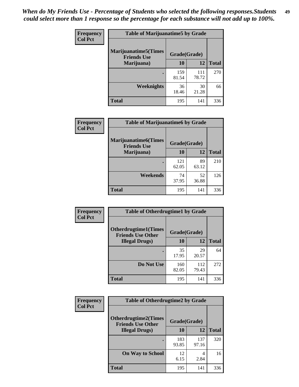| Frequency      | <b>Table of Marijuanatime5 by Grade</b>            |              |              |              |
|----------------|----------------------------------------------------|--------------|--------------|--------------|
| <b>Col Pct</b> | <b>Marijuanatime5</b> (Times<br><b>Friends Use</b> | Grade(Grade) |              |              |
|                | Marijuana)                                         | 10           | 12           | <b>Total</b> |
|                |                                                    | 159<br>81.54 | 111<br>78.72 | 270          |
|                | Weeknights                                         | 36<br>18.46  | 30<br>21.28  | 66           |
|                | <b>Total</b>                                       | 195          | 141          | 336          |

| <b>Frequency</b><br><b>Col Pct</b> | <b>Table of Marijuanatime6 by Grade</b>            |              |             |              |
|------------------------------------|----------------------------------------------------|--------------|-------------|--------------|
|                                    | <b>Marijuanatime6</b> (Times<br><b>Friends Use</b> | Grade(Grade) |             |              |
|                                    | Marijuana)                                         | 10           | 12          | <b>Total</b> |
|                                    |                                                    | 121<br>62.05 | 89<br>63.12 | 210          |
|                                    | Weekends                                           | 74<br>37.95  | 52<br>36.88 | 126          |
|                                    | <b>Total</b>                                       | 195          | 141         | 336          |

| <b>Frequency</b> | <b>Table of Otherdrugtime1 by Grade</b>                 |              |              |              |
|------------------|---------------------------------------------------------|--------------|--------------|--------------|
| <b>Col Pct</b>   | <b>Otherdrugtime1(Times</b><br><b>Friends Use Other</b> | Grade(Grade) |              |              |
|                  | <b>Illegal Drugs</b> )                                  | 10           | 12           | <b>Total</b> |
|                  |                                                         | 35<br>17.95  | 29<br>20.57  | 64           |
|                  | Do Not Use                                              | 160<br>82.05 | 112<br>79.43 | 272          |
|                  | <b>Total</b>                                            | 195          | 141          | 336          |

| Frequency      | <b>Table of Otherdrugtime2 by Grade</b>                 |              |              |              |
|----------------|---------------------------------------------------------|--------------|--------------|--------------|
| <b>Col Pct</b> | <b>Otherdrugtime2(Times</b><br><b>Friends Use Other</b> | Grade(Grade) |              |              |
|                | <b>Illegal Drugs</b> )                                  | 10           | 12           | <b>Total</b> |
|                |                                                         | 183<br>93.85 | 137<br>97.16 | 320          |
|                | <b>On Way to School</b>                                 | 12<br>6.15   | 4<br>2.84    | 16           |
|                | Total                                                   | 195          | 141          | 336          |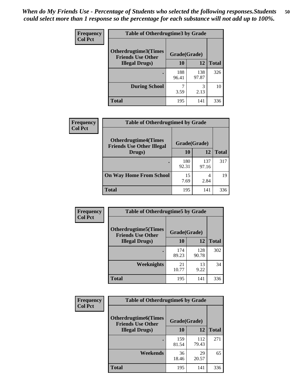| <b>Frequency</b> | <b>Table of Otherdrugtime3 by Grade</b>                 |              |              |              |
|------------------|---------------------------------------------------------|--------------|--------------|--------------|
| <b>Col Pct</b>   | <b>Otherdrugtime3(Times</b><br><b>Friends Use Other</b> | Grade(Grade) |              |              |
|                  | <b>Illegal Drugs</b> )                                  | 10           | 12           | <b>Total</b> |
|                  |                                                         | 188<br>96.41 | 138<br>97.87 | 326          |
|                  | <b>During School</b>                                    | 3.59         | 3<br>2.13    | 10           |
|                  | <b>Total</b>                                            | 195          | 141          | 336          |

| <b>Frequency</b> | <b>Table of Otherdrugtime4 by Grade</b>                         |              |              |              |
|------------------|-----------------------------------------------------------------|--------------|--------------|--------------|
| <b>Col Pct</b>   | <b>Otherdrugtime4(Times</b><br><b>Friends Use Other Illegal</b> | Grade(Grade) |              |              |
|                  | Drugs)                                                          | 10           | 12           | <b>Total</b> |
|                  | $\bullet$                                                       | 180<br>92.31 | 137<br>97.16 | 317          |
|                  | <b>On Way Home From School</b>                                  | 15<br>7.69   | 4<br>2.84    | 19           |
|                  | <b>Total</b>                                                    | 195          | 141          | 336          |

| <b>Frequency</b> | <b>Table of Otherdrugtime5 by Grade</b>                  |              |              |              |
|------------------|----------------------------------------------------------|--------------|--------------|--------------|
| <b>Col Pct</b>   | <b>Otherdrugtime5</b> (Times<br><b>Friends Use Other</b> | Grade(Grade) |              |              |
|                  | <b>Illegal Drugs</b> )                                   | 10           | 12           | <b>Total</b> |
|                  |                                                          | 174<br>89.23 | 128<br>90.78 | 302          |
|                  | <b>Weeknights</b>                                        | 21<br>10.77  | 13<br>9.22   | 34           |
|                  | Total                                                    | 195          | 141          | 336          |

| Frequency      | <b>Table of Otherdrugtime6 by Grade</b>                                 |              |              |              |
|----------------|-------------------------------------------------------------------------|--------------|--------------|--------------|
| <b>Col Pct</b> | <b>Otherdrugtime6(Times</b><br>Grade(Grade)<br><b>Friends Use Other</b> |              |              |              |
|                | <b>Illegal Drugs</b> )                                                  | 10           | 12           | <b>Total</b> |
|                |                                                                         | 159<br>81.54 | 112<br>79.43 | 271          |
|                | Weekends                                                                | 36<br>18.46  | 29<br>20.57  | 65           |
|                | <b>Total</b>                                                            | 195          | 141          | 336          |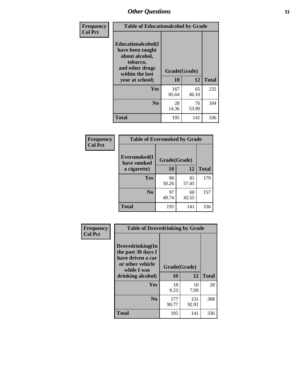| Frequency      | <b>Table of Educationalcohol by Grade</b>                                                                  |              |             |              |
|----------------|------------------------------------------------------------------------------------------------------------|--------------|-------------|--------------|
| <b>Col Pct</b> | Educationalcohol(I<br>have been taught<br>about alcohol,<br>tobacco,<br>and other drugs<br>within the last | Grade(Grade) |             |              |
|                | year at school)                                                                                            | 10           | 12          | <b>Total</b> |
|                | <b>Yes</b>                                                                                                 | 167<br>85.64 | 65<br>46.10 | 232          |
|                | N <sub>0</sub>                                                                                             | 28<br>14.36  | 76<br>53.90 | 104          |
|                | <b>Total</b>                                                                                               | 195          | 141         | 336          |

| Frequency      | <b>Table of Eversmoked by Grade</b> |              |             |              |
|----------------|-------------------------------------|--------------|-------------|--------------|
| <b>Col Pct</b> | Eversmoked(I<br>have smoked         | Grade(Grade) |             |              |
|                | a cigarette)                        | 10           | 12          | <b>Total</b> |
|                | Yes                                 | 98<br>50.26  | 81<br>57.45 | 179          |
|                | N <sub>0</sub>                      | 97<br>49.74  | 60<br>42.55 | 157          |
|                | <b>Total</b>                        | 195          | 141         | 336          |

| Frequency      | <b>Table of Drovedrinking by Grade</b>                                                                              |                    |              |              |
|----------------|---------------------------------------------------------------------------------------------------------------------|--------------------|--------------|--------------|
| <b>Col Pct</b> | Drovedrinking(In<br>the past 30 days I<br>have driven a car<br>or other vehicle<br>while I was<br>drinking alcohol) | Grade(Grade)<br>10 | 12           | <b>Total</b> |
|                | <b>Yes</b>                                                                                                          | 18<br>9.23         | 10<br>7.09   | 28           |
|                | N <sub>0</sub>                                                                                                      | 177<br>90.77       | 131<br>92.91 | 308          |
|                | <b>Total</b>                                                                                                        | 195                | 141          | 336          |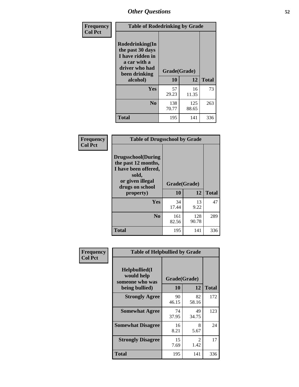| Frequency      | <b>Table of Rodedrinking by Grade</b>                                                                      |              |              |              |
|----------------|------------------------------------------------------------------------------------------------------------|--------------|--------------|--------------|
| <b>Col Pct</b> | Rodedrinking(In<br>the past 30 days<br>I have ridden in<br>a car with a<br>driver who had<br>been drinking | Grade(Grade) |              |              |
|                | alcohol)                                                                                                   | 10           | 12           | <b>Total</b> |
|                | <b>Yes</b>                                                                                                 | 57<br>29.23  | 16<br>11.35  | 73           |
|                | N <sub>0</sub>                                                                                             | 138<br>70.77 | 125<br>88.65 | 263          |
|                | <b>Total</b>                                                                                               | 195          | 141          | 336          |

#### **Frequency Col Pct**

| <b>Table of Drugsschool by Grade</b>                                                                                      |              |              |              |
|---------------------------------------------------------------------------------------------------------------------------|--------------|--------------|--------------|
| <b>Drugsschool</b> (During<br>the past 12 months,<br>I have been offered,<br>sold,<br>or given illegal<br>drugs on school | Grade(Grade) |              |              |
| property)                                                                                                                 | 10           | 12           | <b>Total</b> |
| Yes                                                                                                                       | 34<br>17.44  | 13<br>9.22   | 47           |
| N <sub>0</sub>                                                                                                            | 161<br>82.56 | 128<br>90.78 | 289          |
| <b>Total</b>                                                                                                              | 195          | 141          | 336          |

| Frequency      | <b>Table of Helpbullied by Grade</b>                 |              |                                     |              |
|----------------|------------------------------------------------------|--------------|-------------------------------------|--------------|
| <b>Col Pct</b> | $Helpb$ ullied $(I$<br>would help<br>someone who was | Grade(Grade) |                                     |              |
|                | being bullied)                                       | 10           | 12                                  | <b>Total</b> |
|                | <b>Strongly Agree</b>                                | 90<br>46.15  | 82<br>58.16                         | 172          |
|                | <b>Somewhat Agree</b>                                | 74<br>37.95  | 49<br>34.75                         | 123          |
|                | <b>Somewhat Disagree</b>                             | 16<br>8.21   | 8<br>5.67                           | 24           |
|                | <b>Strongly Disagree</b>                             | 15<br>7.69   | $\mathcal{D}_{\mathcal{L}}$<br>1.42 | 17           |
|                | <b>Total</b>                                         | 195          | 141                                 | 336          |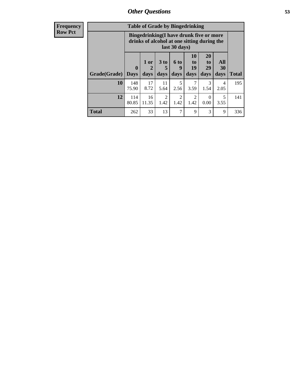| <b>Frequency</b><br>Row Pct |
|-----------------------------|
|                             |

| <b>Table of Grade by Bingedrinking</b> |                                                                                                         |                   |                        |                        |                        |                               |                   |              |
|----------------------------------------|---------------------------------------------------------------------------------------------------------|-------------------|------------------------|------------------------|------------------------|-------------------------------|-------------------|--------------|
|                                        | Bingedrinking(I have drunk five or more<br>drinks of alcohol at one sitting during the<br>last 30 days) |                   |                        |                        |                        |                               |                   |              |
| Grade(Grade)                           | $\mathbf{0}$<br><b>Days</b>                                                                             | 1 or<br>2<br>days | 3 to<br>5<br>days      | 6 to<br>9<br>days      | 10<br>to<br>19<br>days | <b>20</b><br>to<br>29<br>days | All<br>30<br>days | <b>Total</b> |
|                                        |                                                                                                         |                   |                        |                        |                        |                               |                   |              |
| 10                                     | 148<br>75.90                                                                                            | 17<br>8.72        | 11<br>5.64             | 5<br>2.56              | 3.59                   | 3<br>1.54                     | 4<br>2.05         | 195          |
| 12                                     | 114<br>80.85                                                                                            | 16<br>11.35       | $\mathfrak{D}$<br>1.42 | $\mathfrak{D}$<br>1.42 | 2<br>1.42              | $\Omega$<br>0.00              | 5<br>3.55         | 141          |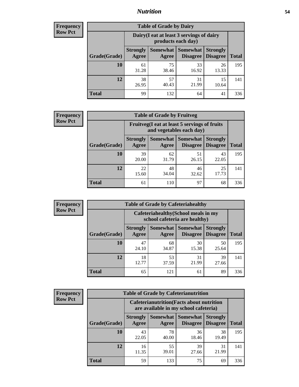## *Nutrition* **54**

| <b>Frequency</b><br>Row Pct |  |
|-----------------------------|--|
|                             |  |

| <b>Table of Grade by Dairy</b> |                          |                                                                 |                             |                                    |              |  |  |  |
|--------------------------------|--------------------------|-----------------------------------------------------------------|-----------------------------|------------------------------------|--------------|--|--|--|
|                                |                          | Dairy (I eat at least 3 servings of dairy<br>products each day) |                             |                                    |              |  |  |  |
| Grade(Grade)                   | <b>Strongly</b><br>Agree | <b>Somewhat</b><br>Agree                                        | <b>Somewhat</b><br>Disagree | <b>Strongly</b><br><b>Disagree</b> | <b>Total</b> |  |  |  |
| 10                             | 61<br>31.28              | 75<br>38.46                                                     | 33<br>16.92                 | 26<br>13.33                        | 195          |  |  |  |
| 12                             | 38<br>26.95              | 57<br>40.43                                                     | 31<br>21.99                 | 15<br>10.64                        | 141          |  |  |  |
| <b>Total</b>                   | 99                       | 132                                                             | 64                          | 41                                 | 336          |  |  |  |

| <b>Frequency</b> |  |
|------------------|--|
| <b>Row Pct</b>   |  |

| <b>Table of Grade by Fruitveg</b>                                        |                          |             |                            |                                             |              |  |  |
|--------------------------------------------------------------------------|--------------------------|-------------|----------------------------|---------------------------------------------|--------------|--|--|
| Fruitveg(I eat at least 5 servings of fruits<br>and vegetables each day) |                          |             |                            |                                             |              |  |  |
| Grade(Grade)                                                             | <b>Strongly</b><br>Agree | Agree       | <b>Somewhat   Somewhat</b> | <b>Strongly</b><br><b>Disagree</b> Disagree | <b>Total</b> |  |  |
| 10                                                                       | 39<br>20.00              | 62<br>31.79 | 51<br>26.15                | 43<br>22.05                                 | 195          |  |  |
| 12                                                                       | 22<br>15.60              | 48<br>34.04 | 46<br>32.62                | 25<br>17.73                                 | 141          |  |  |
| <b>Total</b>                                                             | 61                       | 110         | 97                         | 68                                          | 336          |  |  |

| <b>Frequency</b> | <b>Table of Grade by Cafeteriahealthy</b> |                          |                                                                       |                               |                                    |              |  |  |
|------------------|-------------------------------------------|--------------------------|-----------------------------------------------------------------------|-------------------------------|------------------------------------|--------------|--|--|
| <b>Row Pct</b>   |                                           |                          | Cafeteriahealthy (School meals in my<br>school cafeteria are healthy) |                               |                                    |              |  |  |
|                  | Grade(Grade)                              | <b>Strongly</b><br>Agree | Agree                                                                 | Somewhat Somewhat<br>Disagree | <b>Strongly</b><br><b>Disagree</b> | <b>Total</b> |  |  |
|                  | 10                                        | 47<br>24.10              | 68<br>34.87                                                           | 30<br>15.38                   | 50<br>25.64                        | 195          |  |  |
|                  | 12                                        | 18<br>12.77              | 53<br>37.59                                                           | 31<br>21.99                   | 39<br>27.66                        | 141          |  |  |
|                  | Total                                     | 65                       | 121                                                                   | 61                            | 89                                 | 336          |  |  |

| <b>Frequency</b> |  |
|------------------|--|
| <b>Row Pct</b>   |  |

| <b>Table of Grade by Cafeterianutrition</b>                                               |                          |                     |                                    |                                    |              |  |  |
|-------------------------------------------------------------------------------------------|--------------------------|---------------------|------------------------------------|------------------------------------|--------------|--|--|
| <b>Cafeterianutrition</b> (Facts about nutrition<br>are available in my school cafeteria) |                          |                     |                                    |                                    |              |  |  |
| Grade(Grade)                                                                              | <b>Strongly</b><br>Agree | Somewhat  <br>Agree | <b>Somewhat</b><br><b>Disagree</b> | <b>Strongly</b><br><b>Disagree</b> | <b>Total</b> |  |  |
| 10                                                                                        | 43<br>22.05              | 78<br>40.00         | 36<br>18.46                        | 38<br>19.49                        | 195          |  |  |
| 12                                                                                        | 16<br>11.35              | 55<br>39.01         | 39<br>27.66                        | 31<br>21.99                        | 141          |  |  |
| <b>Total</b>                                                                              | 59                       | 133                 | 75                                 | 69                                 | 336          |  |  |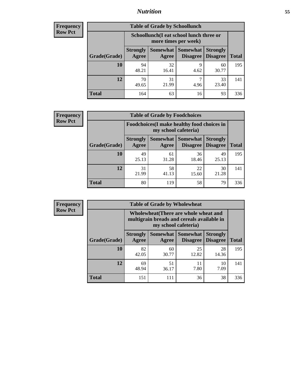## *Nutrition* **55**

| <b>Frequency</b> |
|------------------|
| Row Pct          |

| <b>Table of Grade by Schoollunch</b> |                                                                 |                     |                             |                                    |              |  |  |  |
|--------------------------------------|-----------------------------------------------------------------|---------------------|-----------------------------|------------------------------------|--------------|--|--|--|
|                                      | Schoollunch(I eat school lunch three or<br>more times per week) |                     |                             |                                    |              |  |  |  |
| Grade(Grade)                         | <b>Strongly</b><br>Agree                                        | Somewhat  <br>Agree | <b>Somewhat</b><br>Disagree | <b>Strongly</b><br><b>Disagree</b> | <b>Total</b> |  |  |  |
| 10                                   | 94<br>48.21                                                     | 32<br>16.41         | 9<br>4.62                   | 60<br>30.77                        | 195          |  |  |  |
| 12                                   | 70<br>49.65                                                     | 31<br>21.99         | 7<br>4.96                   | 33<br>23.40                        | 141          |  |  |  |
| <b>Total</b>                         | 164                                                             | 63                  | 16                          | 93                                 | 336          |  |  |  |

| <b>Frequency</b> |  |
|------------------|--|
| <b>Row Pct</b>   |  |

| <b>Table of Grade by Foodchoices</b>                                       |                          |             |                                      |                                    |              |  |  |
|----------------------------------------------------------------------------|--------------------------|-------------|--------------------------------------|------------------------------------|--------------|--|--|
| <b>Foodchoices</b> (I make healthy food choices in<br>my school cafeteria) |                          |             |                                      |                                    |              |  |  |
| Grade(Grade)                                                               | <b>Strongly</b><br>Agree | Agree       | Somewhat Somewhat<br><b>Disagree</b> | <b>Strongly</b><br><b>Disagree</b> | <b>Total</b> |  |  |
| 10                                                                         | 49<br>25.13              | 61<br>31.28 | 36<br>18.46                          | 49<br>25.13                        | 195          |  |  |
| 12                                                                         | 31<br>21.99              | 58<br>41.13 | 22<br>15.60                          | 30<br>21.28                        | 141          |  |  |
| <b>Total</b>                                                               | 80                       | 119         | 58                                   | 79                                 | 336          |  |  |

**Total** 151 111 36 38 336

**Total**

195

141

| <b>Frequency</b> | <b>Table of Grade by Wholewheat</b> |                          |                                                                                                             |                                        |                                    |
|------------------|-------------------------------------|--------------------------|-------------------------------------------------------------------------------------------------------------|----------------------------------------|------------------------------------|
| <b>Row Pct</b>   |                                     |                          | Wholewheat (There are whole wheat and<br>multigrain breads and cereals available in<br>my school cafeteria) |                                        |                                    |
|                  | Grade(Grade)                        | <b>Strongly</b><br>Agree | Agree                                                                                                       | Somewhat   Somewhat<br><b>Disagree</b> | <b>Strongly</b><br><b>Disagree</b> |
|                  | <b>10</b>                           | 82<br>42.05              | 60<br>30.77                                                                                                 | 25<br>12.82                            | 28<br>14.36                        |
|                  | 12                                  | 69<br>48.94              | 51<br>36.17                                                                                                 | 11<br>7.80                             | 10<br>7.09                         |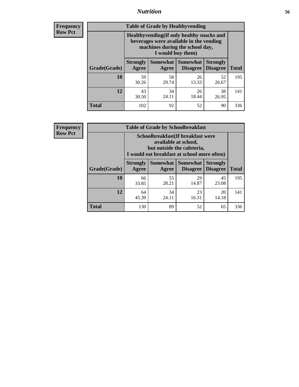## *Nutrition* **56**

**Frequency Row Pct**

| <b>Table of Grade by Healthyvending</b> |                                                                                                                                               |                          |                                    |                                    |              |  |
|-----------------------------------------|-----------------------------------------------------------------------------------------------------------------------------------------------|--------------------------|------------------------------------|------------------------------------|--------------|--|
|                                         | Healthyvending (If only healthy snacks and<br>beverages were available in the vending<br>machines during the school day,<br>I would buy them) |                          |                                    |                                    |              |  |
| Grade(Grade)                            | <b>Strongly</b><br>Agree                                                                                                                      | <b>Somewhat</b><br>Agree | <b>Somewhat</b><br><b>Disagree</b> | <b>Strongly</b><br><b>Disagree</b> | <b>Total</b> |  |
| 10                                      | 59<br>30.26                                                                                                                                   | 58<br>29.74              | 26<br>13.33                        | 52<br>26.67                        | 195          |  |
| 12                                      | 43<br>30.50                                                                                                                                   | 34<br>24.11              | 26<br>18.44                        | 38<br>26.95                        | 141          |  |
| <b>Total</b>                            | 102                                                                                                                                           | 92                       | 52                                 | 90                                 | 336          |  |

**Frequency Row Pct**

| <b>Table of Grade by Schoolbreakfast</b> |                                                                                                                                         |             |                                        |                                    |              |  |
|------------------------------------------|-----------------------------------------------------------------------------------------------------------------------------------------|-------------|----------------------------------------|------------------------------------|--------------|--|
|                                          | Schoolbreakfast (If breakfast were<br>available at school,<br>but outside the cafeteria,<br>I would eat breakfast at school more often) |             |                                        |                                    |              |  |
| Grade(Grade)                             | <b>Strongly</b><br>Agree                                                                                                                | Agree       | Somewhat   Somewhat<br><b>Disagree</b> | <b>Strongly</b><br><b>Disagree</b> | <b>Total</b> |  |
| 10                                       | 66<br>33.85                                                                                                                             | 55<br>28.21 | 29<br>14.87                            | 45<br>23.08                        | 195          |  |
| 12                                       | 64<br>45.39                                                                                                                             | 34<br>24.11 | 23<br>16.31                            | 20<br>14.18                        | 141          |  |
| <b>Total</b>                             | 130                                                                                                                                     | 89          | 52                                     | 65                                 | 336          |  |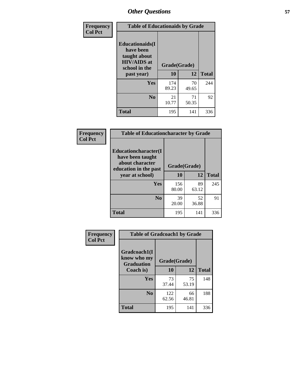| Frequency<br><b>Col Pct</b> | <b>Table of Educationaids by Grade</b>                                                      |              |             |              |
|-----------------------------|---------------------------------------------------------------------------------------------|--------------|-------------|--------------|
|                             | <b>Educationaids</b> (I<br>have been<br>taught about<br><b>HIV/AIDS</b> at<br>school in the | Grade(Grade) |             |              |
|                             | past year)                                                                                  | 10           | 12          | <b>Total</b> |
|                             | Yes                                                                                         | 174<br>89.23 | 70<br>49.65 | 244          |
|                             | N <sub>0</sub>                                                                              | 21<br>10.77  | 71<br>50.35 | 92           |
|                             | <b>Total</b>                                                                                | 195          | 141         | 336          |

| Frequency      | <b>Table of Educationcharacter by Grade</b>                         |              |             |              |
|----------------|---------------------------------------------------------------------|--------------|-------------|--------------|
| <b>Col Pct</b> | <b>Educationcharacter(I)</b><br>have been taught<br>about character | Grade(Grade) |             |              |
|                | education in the past<br>year at school)                            | 10           | 12          | <b>Total</b> |
|                | Yes                                                                 | 156<br>80.00 | 89<br>63.12 | 245          |
|                | N <sub>0</sub>                                                      | 39<br>20.00  | 52<br>36.88 | 91           |
|                | <b>Total</b>                                                        | 195          | 141         | 336          |

| Frequency      | <b>Table of Gradcoach1 by Grade</b> |              |             |              |
|----------------|-------------------------------------|--------------|-------------|--------------|
| <b>Col Pct</b> | Gradcoach1(I<br>know who my         | Grade(Grade) |             |              |
|                | <b>Graduation</b><br>Coach is)      | 10           | 12          | <b>Total</b> |
|                | Yes                                 | 73<br>37.44  | 75<br>53.19 | 148          |
|                | N <sub>0</sub>                      | 122<br>62.56 | 66<br>46.81 | 188          |
|                | <b>Total</b>                        | 195          | 141         | 336          |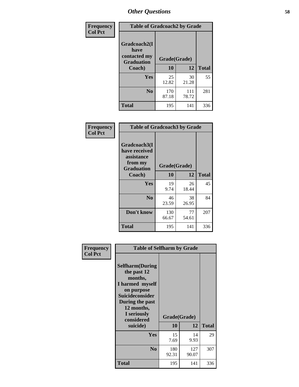| Frequency      | <b>Table of Gradcoach2 by Grade</b> |              |              |              |
|----------------|-------------------------------------|--------------|--------------|--------------|
| <b>Col Pct</b> | Gradcoach2(I<br>have                |              |              |              |
|                | contacted my<br><b>Graduation</b>   | Grade(Grade) |              |              |
|                | Coach)                              | 10           | 12           | <b>Total</b> |
|                | Yes                                 | 25<br>12.82  | 30<br>21.28  | 55           |
|                | N <sub>0</sub>                      | 170<br>87.18 | 111<br>78.72 | 281          |
|                | <b>Total</b>                        | 195          | 141          | 336          |

| Frequency<br><b>Col Pct</b> | <b>Table of Gradcoach3 by Grade</b>                                         |              |             |              |  |
|-----------------------------|-----------------------------------------------------------------------------|--------------|-------------|--------------|--|
|                             | Gradcoach3(I<br>have received<br>assistance<br>from my<br><b>Graduation</b> | Grade(Grade) |             |              |  |
|                             | Coach)                                                                      | 10           | 12          | <b>Total</b> |  |
|                             | Yes                                                                         | 19<br>9.74   | 26<br>18.44 | 45           |  |
|                             | N <sub>0</sub>                                                              | 46<br>23.59  | 38<br>26.95 | 84           |  |
|                             | Don't know                                                                  | 130<br>66.67 | 77<br>54.61 | 207          |  |
|                             | <b>Total</b>                                                                | 195          | 141         | 336          |  |

| Frequency<br><b>Col Pct</b> | <b>Table of Selfharm by Grade</b>                                                                                                                                   |              |              |              |
|-----------------------------|---------------------------------------------------------------------------------------------------------------------------------------------------------------------|--------------|--------------|--------------|
|                             | <b>Selfharm</b> (During<br>the past 12<br>months,<br>I harmed myself<br>on purpose<br>Suicideconsider<br>During the past<br>12 months,<br>I seriously<br>considered | Grade(Grade) |              |              |
|                             | suicide)                                                                                                                                                            | <b>10</b>    | 12           | <b>Total</b> |
|                             | Yes                                                                                                                                                                 | 15<br>7.69   | 14<br>9.93   | 29           |
|                             | N <sub>0</sub>                                                                                                                                                      | 180<br>92.31 | 127<br>90.07 | 307          |
|                             | Total                                                                                                                                                               | 195          | 141          | 336          |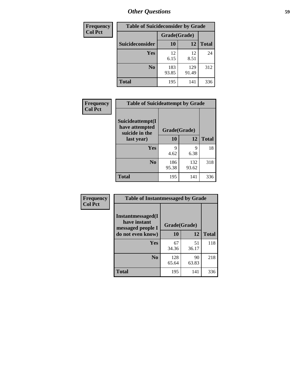| <b>Frequency</b> | <b>Table of Suicideconsider by Grade</b> |              |              |              |  |
|------------------|------------------------------------------|--------------|--------------|--------------|--|
| <b>Col Pct</b>   |                                          | Grade(Grade) |              |              |  |
|                  | Suicideconsider                          | <b>10</b>    | 12           | <b>Total</b> |  |
|                  | Yes                                      | 12<br>6.15   | 12<br>8.51   | 24           |  |
|                  | N <sub>0</sub>                           | 183<br>93.85 | 129<br>91.49 | 312          |  |
|                  | <b>Total</b>                             | 195          | 141          | 336          |  |

| Frequency      | <b>Table of Suicideattempt by Grade</b>              |              |       |              |
|----------------|------------------------------------------------------|--------------|-------|--------------|
| <b>Col Pct</b> | Suicideattempt(I<br>have attempted<br>suicide in the | Grade(Grade) |       |              |
|                | last year)                                           | <b>10</b>    | 12    | <b>Total</b> |
|                | Yes                                                  | 9            | Q     | 18           |
|                |                                                      | 4.62         | 6.38  |              |
|                | N <sub>0</sub>                                       | 186          | 132   | 318          |
|                |                                                      | 95.38        | 93.62 |              |
|                | <b>Total</b>                                         | 195          | 141   | 336          |

| Frequency      | <b>Table of Instantmessaged by Grade</b>               |              |             |              |
|----------------|--------------------------------------------------------|--------------|-------------|--------------|
| <b>Col Pct</b> | Instantmessaged(I<br>have instant<br>messaged people I | Grade(Grade) |             |              |
|                | do not even know)                                      | 10           | 12          | <b>Total</b> |
|                | Yes                                                    | 67<br>34.36  | 51<br>36.17 | 118          |
|                | N <sub>0</sub>                                         | 128<br>65.64 | 90<br>63.83 | 218          |
|                | <b>Total</b>                                           | 195          | 141         | 336          |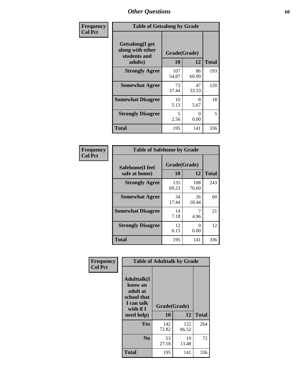| Frequency      |                                                                        | <b>Table of Getsalong by Grade</b> |             |              |  |  |  |  |
|----------------|------------------------------------------------------------------------|------------------------------------|-------------|--------------|--|--|--|--|
| <b>Col Pct</b> | <b>Getsalong</b> (I get<br>along with other<br>students and<br>adults) | Grade(Grade)<br>10                 | 12          | <b>Total</b> |  |  |  |  |
|                | <b>Strongly Agree</b>                                                  | 107<br>54.87                       | 86<br>60.99 | 193          |  |  |  |  |
|                | <b>Somewhat Agree</b>                                                  | 73<br>37.44                        | 47<br>33.33 | 120          |  |  |  |  |
|                | <b>Somewhat Disagree</b>                                               | 10<br>5.13                         | 8<br>5.67   | 18           |  |  |  |  |
|                | <b>Strongly Disagree</b>                                               | 5<br>2.56                          | 0<br>0.00   | 5            |  |  |  |  |
|                | <b>Total</b>                                                           | 195                                | 141         | 336          |  |  |  |  |

| Frequency      | <b>Table of Safehome by Grade</b> |                    |              |              |  |  |  |  |
|----------------|-----------------------------------|--------------------|--------------|--------------|--|--|--|--|
| <b>Col Pct</b> | Safehome(I feel<br>safe at home)  | Grade(Grade)<br>10 | 12           | <b>Total</b> |  |  |  |  |
|                | <b>Strongly Agree</b>             | 135<br>69.23       | 108<br>76.60 | 243          |  |  |  |  |
|                | <b>Somewhat Agree</b>             | 34<br>17.44        | 26<br>18.44  | 60           |  |  |  |  |
|                | <b>Somewhat Disagree</b>          | 14<br>7.18         | 4.96         | 21           |  |  |  |  |
|                | <b>Strongly Disagree</b>          | 12<br>6.15         | 0<br>0.00    | 12           |  |  |  |  |
|                | <b>Total</b>                      | 195                | 141          | 336          |  |  |  |  |

| Frequency<br><b>Col Pct</b> | <b>Table of Adulttalk by Grade</b>                                                                |                    |              |              |  |  |
|-----------------------------|---------------------------------------------------------------------------------------------------|--------------------|--------------|--------------|--|--|
|                             | <b>Adulttalk(I</b><br>know an<br>adult at<br>school that<br>I can talk<br>with if I<br>need help) | Grade(Grade)<br>10 | 12           | <b>Total</b> |  |  |
|                             | Yes                                                                                               | 142<br>72.82       | 122<br>86.52 | 264          |  |  |
|                             | N <sub>0</sub>                                                                                    | 53<br>27.18        | 19<br>13.48  | 72           |  |  |
|                             | <b>Total</b>                                                                                      | 195                | 141          | 336          |  |  |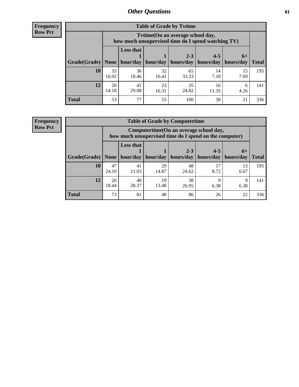**Frequency Row Pct**

| <b>Table of Grade by Tytime</b> |             |                                                                                         |             |                                            |                                    |            |              |  |  |  |
|---------------------------------|-------------|-----------------------------------------------------------------------------------------|-------------|--------------------------------------------|------------------------------------|------------|--------------|--|--|--|
|                                 |             | Tvtime (On an average school day,<br>how much unsupervised time do I spend watching TV) |             |                                            |                                    |            |              |  |  |  |
| Grade(Grade)   None             |             | <b>Less that</b>                                                                        |             | $2 - 3$<br>hour/day   hour/day   hours/day | $4 - 5$<br>  hours/day   hours/day | $6+$       | <b>Total</b> |  |  |  |
| 10                              | 33<br>16.92 | 36<br>18.46                                                                             | 32<br>16.41 | 65<br>33.33                                | 14<br>7.18                         | 15<br>7.69 | 195          |  |  |  |
| 12                              | 20<br>14.18 | 23<br>35<br>41<br>16<br>6<br>24.82<br>29.08<br>11.35<br>4.26<br>16.31                   |             |                                            |                                    |            |              |  |  |  |
| <b>Total</b>                    | 53          | 77                                                                                      | 55          | 100                                        | 30                                 | 21         | 336          |  |  |  |

**Frequency Row Pct**

| <b>Table of Grade by Computertime</b> |             |                                                                                                   |             |                      |                      |                   |              |  |  |  |
|---------------------------------------|-------------|---------------------------------------------------------------------------------------------------|-------------|----------------------|----------------------|-------------------|--------------|--|--|--|
|                                       |             | Computertime (On an average school day,<br>how much unsupervised time do I spend on the computer) |             |                      |                      |                   |              |  |  |  |
| Grade(Grade)                          | None        | <b>Less that</b><br>hour/day                                                                      | hour/day    | $2 - 3$<br>hours/day | $4 - 5$<br>hours/day | $6+$<br>hours/day | <b>Total</b> |  |  |  |
| 10                                    | 47<br>24.10 | 41<br>21.03                                                                                       | 29<br>14.87 | 48<br>24.62          | 17<br>8.72           | 13<br>6.67        | 195          |  |  |  |
| 12                                    | 26<br>18.44 | 38<br>40<br>19<br>q<br>$\mathbf Q$<br>13.48<br>28.37<br>26.95<br>6.38<br>6.38                     |             |                      |                      |                   |              |  |  |  |
| <b>Total</b>                          | 73          | 81                                                                                                | 48          | 86                   | 26                   | 22                | 336          |  |  |  |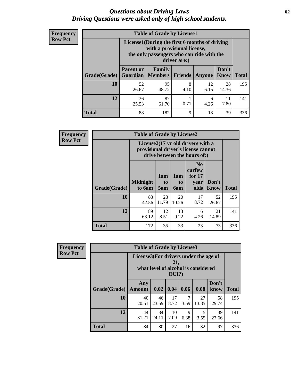#### *Questions about Driving Laws* **62** *Driving Questions were asked only of high school students.*

| <b>Frequency</b> |
|------------------|
| <b>Row Pct</b>   |

| <b>Table of Grade by License1</b> |                                     |                                                                                                                                           |                |            |                      |              |  |  |  |  |
|-----------------------------------|-------------------------------------|-------------------------------------------------------------------------------------------------------------------------------------------|----------------|------------|----------------------|--------------|--|--|--|--|
|                                   |                                     | License1(During the first 6 months of driving<br>with a provisional license,<br>the only passengers who can ride with the<br>driver are:) |                |            |                      |              |  |  |  |  |
| Grade(Grade)                      | <b>Parent or</b><br><b>Guardian</b> | Family<br>  Members                                                                                                                       | <b>Friends</b> | Anyone     | Don't<br><b>Know</b> | <b>Total</b> |  |  |  |  |
| 10                                | 52<br>26.67                         | 95<br>48.72                                                                                                                               | 8<br>4.10      | 12<br>6.15 | 28<br>14.36          | 195          |  |  |  |  |
| 12                                | 36<br>25.53                         | 87<br>11<br>6<br>7.80<br>0.71<br>61.70<br>4.26                                                                                            |                |            |                      |              |  |  |  |  |
| <b>Total</b>                      | 88                                  | 182                                                                                                                                       | 9              | 18         | 39                   | 336          |  |  |  |  |

| <b>Frequency</b> |                                                                                                          | <b>Table of Grade by License2</b> |                  |                              |                                                      |                      |              |  |  |  |
|------------------|----------------------------------------------------------------------------------------------------------|-----------------------------------|------------------|------------------------------|------------------------------------------------------|----------------------|--------------|--|--|--|
| <b>Row Pct</b>   | License2(17 yr old drivers with a<br>provisional driver's license cannot<br>drive between the hours of:) |                                   |                  |                              |                                                      |                      |              |  |  |  |
|                  | Grade(Grade)                                                                                             | <b>Midnight</b><br>to 6am         | 1am<br>to<br>5am | 1am<br>t <sub>0</sub><br>6am | N <sub>0</sub><br>curfew<br>for $17$<br>year<br>olds | Don't<br><b>Know</b> | <b>Total</b> |  |  |  |
|                  | 10                                                                                                       | 83<br>42.56                       | 23<br>11.79      | 20<br>10.26                  | 17<br>8.72                                           | 52<br>26.67          | 195          |  |  |  |
|                  | 12                                                                                                       | 89<br>63.12                       | 12<br>8.51       | 13<br>9.22                   | 6<br>4.26                                            | 21<br>14.89          | 141          |  |  |  |
|                  | <b>Total</b>                                                                                             | 172                               | 35               | 33                           | 23                                                   | 73                   | 336          |  |  |  |

| Frequency      |              | <b>Table of Grade by License3</b>                                                            |             |              |           |             |               |              |
|----------------|--------------|----------------------------------------------------------------------------------------------|-------------|--------------|-----------|-------------|---------------|--------------|
| <b>Row Pct</b> |              | License3(For drivers under the age of<br>21,<br>what level of alcohol is considered<br>DUI?) |             |              |           |             |               |              |
|                | Grade(Grade) | Any<br><b>Amount</b>                                                                         | 0.02        | $\vert 0.04$ | 0.06      | 0.08        | Don't<br>know | <b>Total</b> |
|                | 10           | 40<br>20.51                                                                                  | 46<br>23.59 | 17<br>8.72   | 3.59      | 27<br>13.85 | 58<br>29.74   | 195          |
|                | 12           | 44<br>31.21                                                                                  | 34<br>24.11 | 10<br>7.09   | 9<br>6.38 | 5<br>3.55   | 39<br>27.66   | 141          |
|                | <b>Total</b> | 84                                                                                           | 80          | 27           | 16        | 32          | 97            | 336          |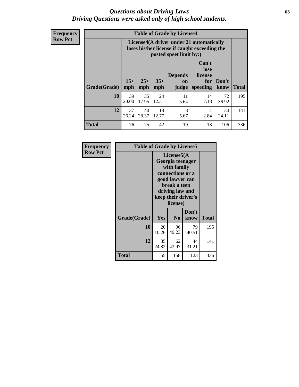#### *Questions about Driving Laws* **63** *Driving Questions were asked only of high school students.*

**Frequency Row Pct**

|              |             |                                                                                                                                                                                                                                                                                       |             | <b>Table of Grade by License4</b> |            |             |     |  |  |  |
|--------------|-------------|---------------------------------------------------------------------------------------------------------------------------------------------------------------------------------------------------------------------------------------------------------------------------------------|-------------|-----------------------------------|------------|-------------|-----|--|--|--|
|              |             | License4(A driver under 21 automatically<br>loses his/her license if caught exceeding the<br>posted speet limit by:)<br>Can't<br>lose<br><b>Depends</b><br>license<br>$15+$<br>$25+$<br>$35+$<br>Don't<br>for<br><b>on</b><br>mph<br>speeding<br><b>Total</b><br>know<br>mph<br>judge |             |                                   |            |             |     |  |  |  |
| Grade(Grade) | mph         |                                                                                                                                                                                                                                                                                       |             |                                   |            |             |     |  |  |  |
| 10           | 39<br>20.00 | 35<br>17.95                                                                                                                                                                                                                                                                           | 24<br>12.31 | 11<br>5.64                        | 14<br>7.18 | 72<br>36.92 | 195 |  |  |  |
| 12           | 37<br>26.24 | 18<br>8<br>40<br>34<br>4<br>28.37<br>12.77<br>2.84<br>24.11<br>5.67                                                                                                                                                                                                                   |             |                                   |            |             |     |  |  |  |
| <b>Total</b> | 76          | 75                                                                                                                                                                                                                                                                                    | 42          | 19                                | 18         | 106         | 336 |  |  |  |

| Frequency      | <b>Table of Grade by License5</b> |             |                                                                                                                                      |                     |              |
|----------------|-----------------------------------|-------------|--------------------------------------------------------------------------------------------------------------------------------------|---------------------|--------------|
| <b>Row Pct</b> |                                   |             | License5(A)<br>Georgia teenager<br>with family<br>connections or a<br>good lawyer can<br>break a teen<br>driving law and<br>license) | keep their driver's |              |
|                | Grade(Grade)                      | Yes         | N <sub>0</sub>                                                                                                                       | Don't<br>know       | <b>Total</b> |
|                | 10                                | 20<br>10.26 | 96<br>49.23                                                                                                                          | 79<br>40.51         | 195          |
|                | 12                                | 35<br>24.82 | 62<br>43.97                                                                                                                          | 44<br>31.21         | 141          |
|                | Total                             | 55          | 158                                                                                                                                  | 123                 | 336          |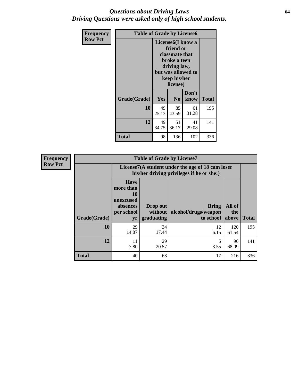#### *Questions about Driving Laws* **64** *Driving Questions were asked only of high school students.*

| <b>Frequency</b> | <b>Table of Grade by License6</b> |                                           |                                                                                                                                                 |               |              |
|------------------|-----------------------------------|-------------------------------------------|-------------------------------------------------------------------------------------------------------------------------------------------------|---------------|--------------|
| <b>Row Pct</b>   |                                   |                                           | License <sub>6</sub> (I know a<br>friend or<br>classmate that<br>broke a teen<br>driving law,<br>but was allowed to<br>keep his/her<br>license) |               |              |
|                  | Grade(Grade)                      | Yes                                       | N <sub>0</sub>                                                                                                                                  | Don't<br>know | <b>Total</b> |
|                  | 10                                | 49<br>25.13                               | 85<br>43.59                                                                                                                                     | 61<br>31.28   | 195          |
|                  | 12                                | 49<br>51<br>41<br>29.08<br>34.75<br>36.17 |                                                                                                                                                 |               | 141          |
|                  | <b>Total</b>                      | 98                                        | 136                                                                                                                                             | 102           | 336          |

| <b>Frequency</b> |              |                                                                             | <b>Table of Grade by License7</b>                                                             |                                                   |                        |              |  |
|------------------|--------------|-----------------------------------------------------------------------------|-----------------------------------------------------------------------------------------------|---------------------------------------------------|------------------------|--------------|--|
| <b>Row Pct</b>   |              |                                                                             | License7(A student under the age of 18 cam loser<br>his/her driving privileges if he or she:) |                                                   |                        |              |  |
|                  | Grade(Grade) | <b>Have</b><br>more than<br>10<br>unexcused<br>absences<br>per school<br>yr | Drop out<br>without  <br>graduating                                                           | <b>Bring</b><br>alcohol/drugs/weapon<br>to school | All of<br>the<br>above | <b>Total</b> |  |
|                  | 10           | 29<br>14.87                                                                 | 34<br>17.44                                                                                   | 12<br>6.15                                        | 120<br>61.54           | 195          |  |
|                  | 12           | 11<br>7.80                                                                  | 29<br>20.57                                                                                   | 3.55                                              | 96<br>68.09            | 141          |  |
|                  | <b>Total</b> | 40                                                                          | 63                                                                                            | 17                                                | 216                    | 336          |  |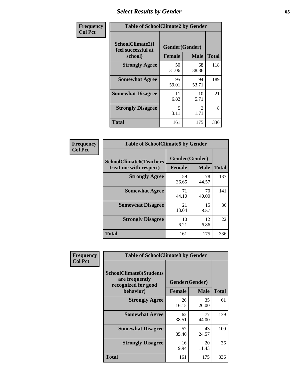# *Select Results by Gender* **65**

| Frequency      | <b>Table of SchoolClimate2 by Gender</b>          |                                 |             |              |
|----------------|---------------------------------------------------|---------------------------------|-------------|--------------|
| <b>Col Pct</b> | SchoolClimate2(I<br>feel successful at<br>school) | Gender(Gender)<br><b>Female</b> | <b>Male</b> | <b>Total</b> |
|                | <b>Strongly Agree</b>                             | 50<br>31.06                     | 68<br>38.86 | 118          |
|                | <b>Somewhat Agree</b>                             | 95<br>59.01                     | 94<br>53.71 | 189          |
|                | <b>Somewhat Disagree</b>                          | 11<br>6.83                      | 10<br>5.71  | 21           |
|                | <b>Strongly Disagree</b>                          | 5<br>3.11                       | 3<br>1.71   | 8            |
|                | <b>Total</b>                                      | 161                             | 175         | 336          |

| Frequency      | <b>Table of SchoolClimate6 by Gender</b>                 |                                 |             |              |  |
|----------------|----------------------------------------------------------|---------------------------------|-------------|--------------|--|
| <b>Col Pct</b> | <b>SchoolClimate6(Teachers</b><br>treat me with respect) | Gender(Gender)<br><b>Female</b> | <b>Male</b> | <b>Total</b> |  |
|                | <b>Strongly Agree</b>                                    | 59<br>36.65                     | 78<br>44.57 | 137          |  |
|                | <b>Somewhat Agree</b>                                    | 71<br>44.10                     | 70<br>40.00 | 141          |  |
|                | <b>Somewhat Disagree</b>                                 | 21<br>13.04                     | 15<br>8.57  | 36           |  |
|                | <b>Strongly Disagree</b>                                 | 10<br>6.21                      | 12<br>6.86  | 22           |  |
|                | <b>Total</b>                                             | 161                             | 175         | 336          |  |

| Frequency      | <b>Table of SchoolClimate8 by Gender</b>                                             |                                 |             |              |  |
|----------------|--------------------------------------------------------------------------------------|---------------------------------|-------------|--------------|--|
| <b>Col Pct</b> | <b>SchoolClimate8(Students</b><br>are frequently<br>recognized for good<br>behavior) | Gender(Gender)<br><b>Female</b> | <b>Male</b> | <b>Total</b> |  |
|                | <b>Strongly Agree</b>                                                                | 26<br>16.15                     | 35<br>20.00 | 61           |  |
|                | <b>Somewhat Agree</b>                                                                | 62<br>38.51                     | 77<br>44.00 | 139          |  |
|                | <b>Somewhat Disagree</b>                                                             | 57<br>35.40                     | 43<br>24.57 | 100          |  |
|                | <b>Strongly Disagree</b>                                                             | 16<br>9.94                      | 20<br>11.43 | 36           |  |
|                | Total                                                                                | 161                             | 175         | 336          |  |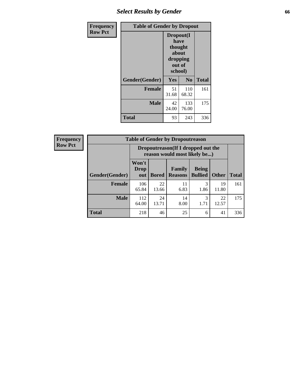## *Select Results by Gender* **66**

| Frequency      | <b>Table of Gender by Dropout</b> |                                                                        |                |              |
|----------------|-----------------------------------|------------------------------------------------------------------------|----------------|--------------|
| <b>Row Pct</b> |                                   | Dropout(I<br>have<br>thought<br>about<br>dropping<br>out of<br>school) |                |              |
|                | Gender(Gender)                    | Yes                                                                    | N <sub>0</sub> | <b>Total</b> |
|                | <b>Female</b>                     | 51<br>31.68                                                            | 110<br>68.32   | 161          |
|                | <b>Male</b>                       | 42<br>24.00                                                            | 133<br>76.00   | 175          |
|                | <b>Total</b>                      | 93                                                                     | 243            | 336          |

| <b>Frequency</b> | <b>Table of Gender by Dropoutreason</b> |                                                                    |              |                          |                                |              |              |
|------------------|-----------------------------------------|--------------------------------------------------------------------|--------------|--------------------------|--------------------------------|--------------|--------------|
| <b>Row Pct</b>   |                                         | Dropoutreason(If I dropped out the<br>reason would most likely be) |              |                          |                                |              |              |
|                  | Gender(Gender)                          | Won't<br>Drop<br>out                                               | <b>Bored</b> | Family<br><b>Reasons</b> | <b>Being</b><br><b>Bullied</b> | <b>Other</b> | <b>Total</b> |
|                  | <b>Female</b>                           | 106<br>65.84                                                       | 22<br>13.66  | 11<br>6.83               | 3<br>1.86                      | 19<br>11.80  | 161          |
|                  | <b>Male</b>                             | 112<br>64.00                                                       | 24<br>13.71  | 14<br>8.00               | 3<br>1.71                      | 22<br>12.57  | 175          |
|                  | Total                                   | 218                                                                | 46           | 25                       | 6                              | 41           | 336          |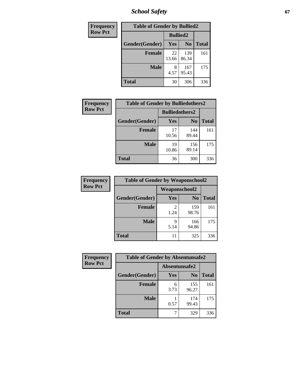*School Safety* **67**

| Frequency      | <b>Table of Gender by Bullied2</b> |                 |                |              |  |
|----------------|------------------------------------|-----------------|----------------|--------------|--|
| <b>Row Pct</b> |                                    | <b>Bullied2</b> |                |              |  |
|                | Gender(Gender)                     | <b>Yes</b>      | N <sub>0</sub> | <b>Total</b> |  |
|                | <b>Female</b>                      | 22<br>13.66     | 139<br>86.34   | 161          |  |
|                | <b>Male</b>                        | 8<br>4.57       | 167<br>95.43   | 175          |  |
|                | <b>Total</b>                       | 30              | 306            | 336          |  |

| <b>Frequency</b> | <b>Table of Gender by Bulliedothers2</b> |                       |                |              |
|------------------|------------------------------------------|-----------------------|----------------|--------------|
| <b>Row Pct</b>   |                                          | <b>Bulliedothers2</b> |                |              |
|                  | Gender(Gender)                           | Yes                   | N <sub>0</sub> | <b>Total</b> |
|                  | <b>Female</b>                            | 17<br>10.56           | 144<br>89.44   | 161          |
|                  | <b>Male</b>                              | 19<br>10.86           | 156<br>89.14   | 175          |
|                  | Total                                    | 36                    | 300            | 336          |

| Frequency      | <b>Table of Gender by Weaponschool2</b> |                      |                |              |
|----------------|-----------------------------------------|----------------------|----------------|--------------|
| <b>Row Pct</b> |                                         | <b>Weaponschool2</b> |                |              |
|                | Gender(Gender)                          | Yes                  | N <sub>0</sub> | <b>Total</b> |
|                | <b>Female</b>                           | 1.24                 | 159<br>98.76   | 161          |
|                | <b>Male</b>                             | q<br>5.14            | 166<br>94.86   | 175          |
|                | <b>Total</b>                            | 11                   | 325            | 336          |

| Frequency      | <b>Table of Gender by Absentunsafe2</b> |               |                |              |
|----------------|-----------------------------------------|---------------|----------------|--------------|
| <b>Row Pct</b> |                                         | Absentunsafe2 |                |              |
|                | Gender(Gender)                          | Yes           | N <sub>0</sub> | <b>Total</b> |
|                | <b>Female</b>                           | 6<br>3.73     | 155<br>96.27   | 161          |
|                | <b>Male</b>                             | 0.57          | 174<br>99.43   | 175          |
|                | <b>Total</b>                            |               | 329            | 336          |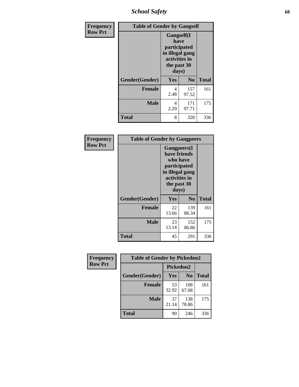*School Safety* **68**

| Frequency      | <b>Table of Gender by Gangself</b> |                                                                                                        |                |              |
|----------------|------------------------------------|--------------------------------------------------------------------------------------------------------|----------------|--------------|
| <b>Row Pct</b> |                                    | <b>Gangself</b> (I<br>have<br>participated<br>in illegal gang<br>activities in<br>the past 30<br>days) |                |              |
|                | Gender(Gender)                     | Yes                                                                                                    | N <sub>0</sub> | <b>Total</b> |
|                | <b>Female</b>                      | 4<br>2.48                                                                                              | 157<br>97.52   | 161          |
|                | <b>Male</b>                        | 4<br>2.29                                                                                              | 171<br>97.71   | 175          |
|                | <b>Total</b>                       | 8                                                                                                      | 328            | 336          |

| Frequency      | <b>Table of Gender by Gangpeers</b> |                                                                                                                             |                |              |
|----------------|-------------------------------------|-----------------------------------------------------------------------------------------------------------------------------|----------------|--------------|
| <b>Row Pct</b> |                                     | <b>Gangpeers</b> (I<br>have friends<br>who have<br>participated<br>in illegal gang<br>activities in<br>the past 30<br>days) |                |              |
|                | Gender(Gender)                      | Yes                                                                                                                         | N <sub>0</sub> | <b>Total</b> |
|                | <b>Female</b>                       | 22<br>13.66                                                                                                                 | 139<br>86.34   | 161          |
|                | <b>Male</b>                         | 23<br>13.14                                                                                                                 | 152<br>86.86   | 175          |
|                | <b>Total</b>                        | 45                                                                                                                          | 291            | 336          |

| Frequency      | <b>Table of Gender by Pickedon2</b> |             |                |              |  |
|----------------|-------------------------------------|-------------|----------------|--------------|--|
| <b>Row Pct</b> |                                     | Pickedon2   |                |              |  |
|                | Gender(Gender)                      | Yes         | N <sub>0</sub> | <b>Total</b> |  |
|                | <b>Female</b>                       | 53<br>32.92 | 108<br>67.08   | 161          |  |
|                | <b>Male</b>                         | 37<br>21.14 | 138<br>78.86   | 175          |  |
|                | <b>Total</b>                        | 90          | 246            | 336          |  |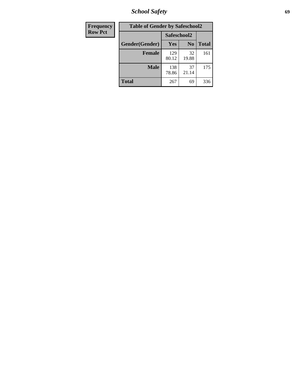*School Safety* **69**

| Frequency      | <b>Table of Gender by Safeschool2</b> |              |                |              |  |
|----------------|---------------------------------------|--------------|----------------|--------------|--|
| <b>Row Pct</b> |                                       | Safeschool2  |                |              |  |
|                | Gender(Gender)                        | Yes          | N <sub>0</sub> | <b>Total</b> |  |
|                | <b>Female</b>                         | 129<br>80.12 | 32<br>19.88    | 161          |  |
|                | <b>Male</b>                           | 138<br>78.86 | 37<br>21.14    | 175          |  |
|                | <b>Total</b>                          | 267          | 69             | 336          |  |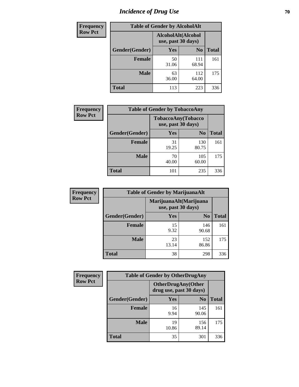# *Incidence of Drug Use* **70**

| <b>Frequency</b> |                                          | <b>Table of Gender by AlcoholAlt</b> |                |              |
|------------------|------------------------------------------|--------------------------------------|----------------|--------------|
| <b>Row Pct</b>   | AlcoholAlt(Alcohol<br>use, past 30 days) |                                      |                |              |
|                  | Gender(Gender)                           | <b>Yes</b>                           | N <sub>0</sub> | <b>Total</b> |
|                  | <b>Female</b>                            | 50<br>31.06                          | 111<br>68.94   | 161          |
|                  | <b>Male</b>                              | 63<br>36.00                          | 112<br>64.00   | 175          |
|                  | <b>Total</b>                             | 113                                  | 223            | 336          |

| <b>Frequency</b> | <b>Table of Gender by TobaccoAny</b> |                                          |                |              |
|------------------|--------------------------------------|------------------------------------------|----------------|--------------|
| <b>Row Pct</b>   |                                      | TobaccoAny(Tobacco<br>use, past 30 days) |                |              |
|                  | Gender(Gender)                       | Yes                                      | N <sub>0</sub> | <b>Total</b> |
|                  | <b>Female</b>                        | 31<br>19.25                              | 130<br>80.75   | 161          |
|                  | <b>Male</b>                          | 70<br>40.00                              | 105<br>60.00   | 175          |
|                  | <b>Total</b>                         | 101                                      | 235            | 336          |

| <b>Frequency</b> | <b>Table of Gender by MarijuanaAlt</b> |                                              |                |              |
|------------------|----------------------------------------|----------------------------------------------|----------------|--------------|
| <b>Row Pct</b>   |                                        | MarijuanaAlt(Marijuana<br>use, past 30 days) |                |              |
|                  | Gender(Gender)                         | <b>Yes</b>                                   | N <sub>0</sub> | <b>Total</b> |
|                  | Female                                 | 15<br>9.32                                   | 146<br>90.68   | 161          |
|                  | <b>Male</b>                            | 23<br>13.14                                  | 152<br>86.86   | 175          |
|                  | <b>Total</b>                           | 38                                           | 298            | 336          |

| <b>Frequency</b> | <b>Table of Gender by OtherDrugAny</b> |                         |                           |              |  |
|------------------|----------------------------------------|-------------------------|---------------------------|--------------|--|
| <b>Row Pct</b>   |                                        | drug use, past 30 days) | <b>OtherDrugAny(Other</b> |              |  |
|                  | Gender(Gender)                         | <b>Yes</b>              | N <sub>0</sub>            | <b>Total</b> |  |
|                  | <b>Female</b>                          | 16<br>9.94              | 145<br>90.06              | 161          |  |
|                  | <b>Male</b>                            | 19<br>10.86             | 156<br>89.14              | 175          |  |
|                  | <b>Total</b>                           | 35                      | 301                       | 336          |  |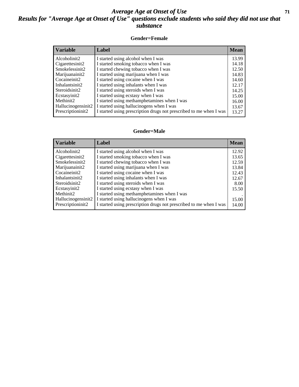#### *Average Age at Onset of Use* **71** *Results for "Average Age at Onset of Use" questions exclude students who said they did not use that substance*

#### **Gender=Female**

| <b>Variable</b>                 | Label                                                              | <b>Mean</b> |
|---------------------------------|--------------------------------------------------------------------|-------------|
| Alcoholinit2                    | I started using alcohol when I was                                 | 13.99       |
| Cigarettesinit2                 | I started smoking tobacco when I was                               | 14.18       |
| Smokelessinit2                  | I started chewing tobacco when I was                               | 12.50       |
| Marijuanainit2                  | I started using marijuana when I was                               | 14.83       |
| Cocaineinit2                    | I started using cocaine when I was                                 | 14.60       |
| Inhalantsinit2                  | I started using inhalants when I was                               | 12.17       |
| Steroidsinit2                   | I started using steroids when I was                                | 14.25       |
| Ecstasyinit2                    | I started using ecstasy when I was                                 | 15.00       |
| Methinit2                       | I started using methamphetamines when I was                        | 16.00       |
| Hallucinogensinit2              | I started using hallucinogens when I was                           | 13.67       |
| Prescription in it <sub>2</sub> | I started using prescription drugs not prescribed to me when I was | 13.27       |

#### **Gender=Male**

| Variable                        | Label                                                              | <b>Mean</b> |
|---------------------------------|--------------------------------------------------------------------|-------------|
| Alcoholinit2                    | I started using alcohol when I was                                 | 12.92       |
| Cigarettesinit2                 | I started smoking tobacco when I was                               | 13.65       |
| Smokelessinit2                  | I started chewing tobacco when I was                               | 12.59       |
| Marijuanainit2                  | I started using marijuana when I was                               | 13.84       |
| Cocaineinit2                    | I started using cocaine when I was                                 | 12.43       |
| Inhalantsinit2                  | I started using inhalants when I was                               | 12.67       |
| Steroidsinit2                   | I started using steroids when I was                                | 8.00        |
| Ecstasyinit2                    | I started using ecstasy when I was                                 | 15.50       |
| Methinit2                       | I started using methamphetamines when I was                        |             |
| Hallucinogensinit2              | I started using hallucinogens when I was                           | 15.00       |
| Prescription in it <sub>2</sub> | I started using prescription drugs not prescribed to me when I was | 14.00       |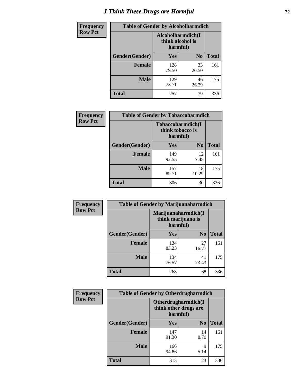# *I Think These Drugs are Harmful* **72**

| Frequency      | <b>Table of Gender by Alcoholharmdich</b> |                                                    |                |              |
|----------------|-------------------------------------------|----------------------------------------------------|----------------|--------------|
| <b>Row Pct</b> |                                           | Alcoholharmdich(I)<br>think alcohol is<br>harmful) |                |              |
|                | Gender(Gender)                            | <b>Yes</b>                                         | N <sub>0</sub> | <b>Total</b> |
|                | <b>Female</b>                             | 128<br>79.50                                       | 33<br>20.50    | 161          |
|                | <b>Male</b>                               | 129<br>73.71                                       | 46<br>26.29    | 175          |
|                | Total                                     | 257                                                | 79             | 336          |

| Frequency      | <b>Table of Gender by Tobaccoharmdich</b> |                                                   |                |              |
|----------------|-------------------------------------------|---------------------------------------------------|----------------|--------------|
| <b>Row Pct</b> |                                           | Tobaccoharmdich(I<br>think tobacco is<br>harmful) |                |              |
|                | Gender(Gender)                            | Yes                                               | N <sub>0</sub> | <b>Total</b> |
|                | <b>Female</b>                             | 149<br>92.55                                      | 12<br>7.45     | 161          |
|                | <b>Male</b>                               | 157<br>89.71                                      | 18<br>10.29    | 175          |
|                | <b>Total</b>                              | 306                                               | 30             | 336          |

| Frequency      | <b>Table of Gender by Marijuanaharmdich</b> |                                |                     |              |  |
|----------------|---------------------------------------------|--------------------------------|---------------------|--------------|--|
| <b>Row Pct</b> |                                             | think marijuana is<br>harmful) | Marijuanaharmdich(I |              |  |
|                | Gender(Gender)                              | <b>Yes</b>                     | N <sub>0</sub>      | <b>Total</b> |  |
|                | <b>Female</b>                               | 134<br>83.23                   | 27<br>16.77         | 161          |  |
|                | <b>Male</b>                                 | 134<br>76.57                   | 41<br>23.43         | 175          |  |
|                | <b>Total</b>                                | 268                            | 68                  | 336          |  |

| Frequency      | <b>Table of Gender by Otherdrugharmdich</b> |                                                          |                |              |  |
|----------------|---------------------------------------------|----------------------------------------------------------|----------------|--------------|--|
| <b>Row Pct</b> |                                             | Otherdrugharmdich(I<br>think other drugs are<br>harmful) |                |              |  |
|                | Gender(Gender)                              | <b>Yes</b>                                               | N <sub>0</sub> | <b>Total</b> |  |
|                | <b>Female</b>                               | 147<br>91.30                                             | 14<br>8.70     | 161          |  |
|                | <b>Male</b>                                 | 166<br>94.86                                             | 9<br>5.14      | 175          |  |
|                | <b>Total</b>                                | 313                                                      | 23             | 336          |  |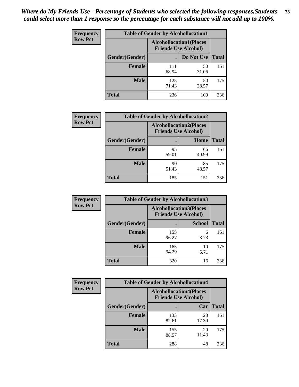| <b>Frequency</b> | <b>Table of Gender by Alcohollocation1</b> |                                                               |             |              |
|------------------|--------------------------------------------|---------------------------------------------------------------|-------------|--------------|
| <b>Row Pct</b>   |                                            | <b>Alcohollocation1(Places</b><br><b>Friends Use Alcohol)</b> |             |              |
|                  | Gender(Gender)                             |                                                               | Do Not Use  | <b>Total</b> |
|                  | <b>Female</b>                              | 111<br>68.94                                                  | 50<br>31.06 | 161          |
|                  | <b>Male</b>                                | 125<br>71.43                                                  | 50<br>28.57 | 175          |
|                  | <b>Total</b>                               | 236                                                           | 100         | 336          |

| <b>Frequency</b> | <b>Table of Gender by Alcohollocation2</b> |             |                                                               |              |
|------------------|--------------------------------------------|-------------|---------------------------------------------------------------|--------------|
| <b>Row Pct</b>   |                                            |             | <b>Alcohollocation2(Places</b><br><b>Friends Use Alcohol)</b> |              |
|                  | Gender(Gender)                             |             | Home                                                          | <b>Total</b> |
|                  | <b>Female</b>                              | 95<br>59.01 | 66<br>40.99                                                   | 161          |
|                  | <b>Male</b>                                | 90<br>51.43 | 85<br>48.57                                                   | 175          |
|                  | <b>Total</b>                               | 185         | 151                                                           | 336          |

| Frequency      | <b>Table of Gender by Alcohollocation3</b> |                                                               |               |              |
|----------------|--------------------------------------------|---------------------------------------------------------------|---------------|--------------|
| <b>Row Pct</b> |                                            | <b>Alcohollocation3(Places</b><br><b>Friends Use Alcohol)</b> |               |              |
|                | Gender(Gender)                             |                                                               | <b>School</b> | <b>Total</b> |
|                | <b>Female</b>                              | 155<br>96.27                                                  | 6<br>3.73     | 161          |
|                | <b>Male</b>                                | 165<br>94.29                                                  | 10<br>5.71    | 175          |
|                | <b>Total</b>                               | 320                                                           | 16            | 336          |

| Frequency      | <b>Table of Gender by Alcohollocation4</b> |              |                                                               |              |  |
|----------------|--------------------------------------------|--------------|---------------------------------------------------------------|--------------|--|
| <b>Row Pct</b> |                                            |              | <b>Alcohollocation4(Places</b><br><b>Friends Use Alcohol)</b> |              |  |
|                | <b>Gender</b> (Gender)                     |              | Car                                                           | <b>Total</b> |  |
|                | <b>Female</b>                              | 133<br>82.61 | 28<br>17.39                                                   | 161          |  |
|                | <b>Male</b>                                | 155<br>88.57 | 20<br>11.43                                                   | 175          |  |
|                | <b>Total</b>                               | 288          | 48                                                            | 336          |  |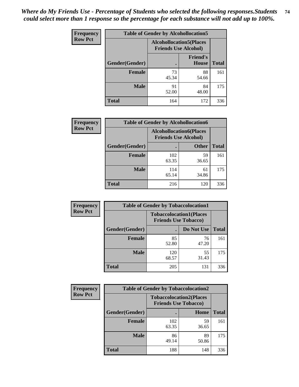| <b>Frequency</b> | <b>Table of Gender by Alcohollocation5</b> |                                                                |                                 |              |
|------------------|--------------------------------------------|----------------------------------------------------------------|---------------------------------|--------------|
| <b>Row Pct</b>   |                                            | <b>Alcohollocation5</b> (Places<br><b>Friends Use Alcohol)</b> |                                 |              |
|                  | Gender(Gender)                             | $\bullet$                                                      | <b>Friend's</b><br><b>House</b> | <b>Total</b> |
|                  | <b>Female</b>                              | 73<br>45.34                                                    | 88<br>54.66                     | 161          |
|                  | <b>Male</b>                                | 91<br>52.00                                                    | 84<br>48.00                     | 175          |
|                  | <b>Total</b>                               | 164                                                            | 172                             | 336          |

| <b>Frequency</b> | <b>Table of Gender by Alcohollocation6</b> |                                                               |              |              |  |
|------------------|--------------------------------------------|---------------------------------------------------------------|--------------|--------------|--|
| <b>Row Pct</b>   |                                            | <b>Alcohollocation6(Places</b><br><b>Friends Use Alcohol)</b> |              |              |  |
|                  | <b>Gender</b> (Gender)                     |                                                               | <b>Other</b> | <b>Total</b> |  |
|                  | <b>Female</b>                              | 102<br>63.35                                                  | 59<br>36.65  | 161          |  |
|                  | <b>Male</b>                                | 114<br>65.14                                                  | 61<br>34.86  | 175          |  |
|                  | <b>Total</b>                               | 216                                                           | 120          | 336          |  |

| Frequency      | <b>Table of Gender by Tobaccolocation1</b> |                                                               |             |              |  |
|----------------|--------------------------------------------|---------------------------------------------------------------|-------------|--------------|--|
| <b>Row Pct</b> |                                            | <b>Tobaccolocation1(Places</b><br><b>Friends Use Tobacco)</b> |             |              |  |
|                | Gender(Gender)                             |                                                               | Do Not Use  | <b>Total</b> |  |
|                | Female                                     | 85<br>52.80                                                   | 76<br>47.20 | 161          |  |
|                | <b>Male</b>                                | 120<br>68.57                                                  | 55<br>31.43 | 175          |  |
|                | <b>Total</b>                               | 205                                                           | 131         | 336          |  |

| <b>Frequency</b> | <b>Table of Gender by Tobaccolocation2</b> |                             |                                |              |  |
|------------------|--------------------------------------------|-----------------------------|--------------------------------|--------------|--|
| <b>Row Pct</b>   |                                            | <b>Friends Use Tobacco)</b> | <b>Tobaccolocation2(Places</b> |              |  |
|                  | Gender(Gender)                             |                             | Home                           | <b>Total</b> |  |
|                  | Female                                     | 102<br>63.35                | 59<br>36.65                    | 161          |  |
|                  | <b>Male</b>                                | 86<br>49.14                 | 89<br>50.86                    | 175          |  |
|                  | <b>Total</b>                               | 188                         | 148                            | 336          |  |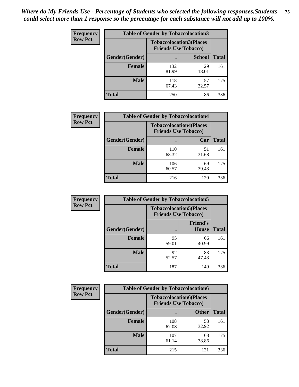| <b>Frequency</b> | <b>Table of Gender by Tobaccolocation3</b> |                                                               |               |              |
|------------------|--------------------------------------------|---------------------------------------------------------------|---------------|--------------|
| <b>Row Pct</b>   |                                            | <b>Tobaccolocation3(Places</b><br><b>Friends Use Tobacco)</b> |               |              |
|                  | Gender(Gender)                             |                                                               | <b>School</b> | <b>Total</b> |
|                  | <b>Female</b>                              | 132<br>81.99                                                  | 29<br>18.01   | 161          |
|                  | <b>Male</b>                                | 118<br>67.43                                                  | 57<br>32.57   | 175          |
|                  | <b>Total</b>                               | 250                                                           | 86            | 336          |

| <b>Frequency</b> | <b>Table of Gender by Tobaccolocation4</b> |                                                               |             |              |
|------------------|--------------------------------------------|---------------------------------------------------------------|-------------|--------------|
| <b>Row Pct</b>   |                                            | <b>Tobaccolocation4(Places</b><br><b>Friends Use Tobacco)</b> |             |              |
|                  | Gender(Gender)                             |                                                               | Car         | <b>Total</b> |
|                  | <b>Female</b>                              | 110<br>68.32                                                  | 51<br>31.68 | 161          |
|                  | <b>Male</b>                                | 106<br>60.57                                                  | 69<br>39.43 | 175          |
|                  | <b>Total</b>                               | 216                                                           | 120         | 336          |

| <b>Frequency</b> | <b>Table of Gender by Tobaccolocation5</b> |                                                               |                                 |              |
|------------------|--------------------------------------------|---------------------------------------------------------------|---------------------------------|--------------|
| <b>Row Pct</b>   |                                            | <b>Tobaccolocation5(Places</b><br><b>Friends Use Tobacco)</b> |                                 |              |
|                  | Gender(Gender)                             |                                                               | <b>Friend's</b><br><b>House</b> | <b>Total</b> |
|                  | <b>Female</b>                              | 95<br>59.01                                                   | 66<br>40.99                     | 161          |
|                  | <b>Male</b>                                | 92<br>52.57                                                   | 83<br>47.43                     | 175          |
|                  | <b>Total</b>                               | 187                                                           | 149                             | 336          |

| <b>Frequency</b> |                | <b>Table of Gender by Tobaccolocation6</b> |                                |              |
|------------------|----------------|--------------------------------------------|--------------------------------|--------------|
| <b>Row Pct</b>   |                | <b>Friends Use Tobacco)</b>                | <b>Tobaccolocation6(Places</b> |              |
|                  | Gender(Gender) |                                            | <b>Other</b>                   | <b>Total</b> |
|                  | <b>Female</b>  | 108<br>67.08                               | 53<br>32.92                    | 161          |
|                  | <b>Male</b>    | 107<br>61.14                               | 68<br>38.86                    | 175          |
|                  | <b>Total</b>   | 215                                        | 121                            | 336          |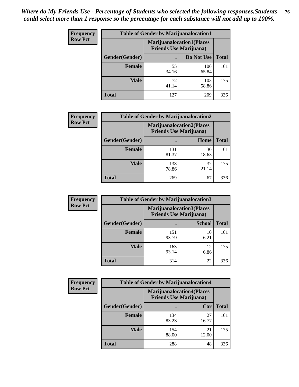| <b>Frequency</b> | <b>Table of Gender by Marijuanalocation1</b> |                                                                    |              |              |
|------------------|----------------------------------------------|--------------------------------------------------------------------|--------------|--------------|
| <b>Row Pct</b>   |                                              | <b>Marijuanalocation1(Places</b><br><b>Friends Use Marijuana</b> ) |              |              |
|                  | Gender(Gender)                               |                                                                    | Do Not Use   | <b>Total</b> |
|                  | <b>Female</b>                                | 55<br>34.16                                                        | 106<br>65.84 | 161          |
|                  | <b>Male</b>                                  | 72<br>41.14                                                        | 103<br>58.86 | 175          |
|                  | <b>Total</b>                                 | 127                                                                | 209          | 336          |

| <b>Frequency</b> | <b>Table of Gender by Marijuanalocation2</b> |                                                                    |             |              |  |
|------------------|----------------------------------------------|--------------------------------------------------------------------|-------------|--------------|--|
| <b>Row Pct</b>   |                                              | <b>Marijuanalocation2(Places</b><br><b>Friends Use Marijuana</b> ) |             |              |  |
|                  | Gender(Gender)                               |                                                                    | Home        | <b>Total</b> |  |
|                  | Female                                       | 131<br>81.37                                                       | 30<br>18.63 | 161          |  |
|                  | <b>Male</b>                                  | 138<br>78.86                                                       | 37<br>21.14 | 175          |  |
|                  | <b>Total</b>                                 | 269                                                                | 67          | 336          |  |

| Frequency      |                | <b>Table of Gender by Marijuanalocation3</b> |                                                                     |              |  |
|----------------|----------------|----------------------------------------------|---------------------------------------------------------------------|--------------|--|
| <b>Row Pct</b> |                |                                              | <b>Marijuanalocation3(Places)</b><br><b>Friends Use Marijuana</b> ) |              |  |
|                | Gender(Gender) |                                              | <b>School</b>                                                       | <b>Total</b> |  |
|                | Female         | 151<br>93.79                                 | 10<br>6.21                                                          | 161          |  |
|                | <b>Male</b>    | 163<br>93.14                                 | 12<br>6.86                                                          | 175          |  |
|                | <b>Total</b>   | 314                                          | 22                                                                  | 336          |  |

| <b>Frequency</b> | <b>Table of Gender by Marijuanalocation4</b> |                                                                    |             |              |  |
|------------------|----------------------------------------------|--------------------------------------------------------------------|-------------|--------------|--|
| <b>Row Pct</b>   |                                              | <b>Marijuanalocation4(Places</b><br><b>Friends Use Marijuana</b> ) |             |              |  |
|                  | Gender(Gender)                               |                                                                    | Car         | <b>Total</b> |  |
|                  | Female                                       | 134<br>83.23                                                       | 27<br>16.77 | 161          |  |
|                  | <b>Male</b>                                  | 154<br>88.00                                                       | 21<br>12.00 | 175          |  |
|                  | <b>Total</b>                                 | 288                                                                | 48          | 336          |  |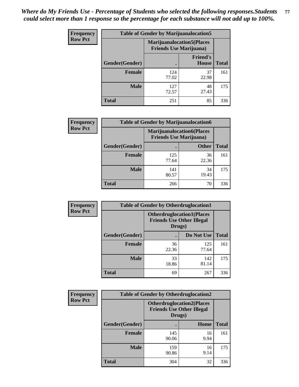| <b>Frequency</b> | <b>Table of Gender by Marijuanalocation5</b> |                                                                     |                          |              |
|------------------|----------------------------------------------|---------------------------------------------------------------------|--------------------------|--------------|
| <b>Row Pct</b>   |                                              | <b>Marijuanalocation5</b> (Places<br><b>Friends Use Marijuana</b> ) |                          |              |
|                  | Gender(Gender)                               |                                                                     | <b>Friend's</b><br>House | <b>Total</b> |
|                  | <b>Female</b>                                | 124<br>77.02                                                        | 37<br>22.98              | 161          |
|                  | <b>Male</b>                                  | 127<br>72.57                                                        | 48<br>27.43              | 175          |
|                  | <b>Total</b>                                 | 251                                                                 | 85                       | 336          |

| <b>Frequency</b> | <b>Table of Gender by Marijuanalocation6</b> |                                                                    |              |              |  |
|------------------|----------------------------------------------|--------------------------------------------------------------------|--------------|--------------|--|
| <b>Row Pct</b>   |                                              | <b>Marijuanalocation6(Places</b><br><b>Friends Use Marijuana</b> ) |              |              |  |
|                  | <b>Gender</b> (Gender)                       |                                                                    | <b>Other</b> | <b>Total</b> |  |
|                  | <b>Female</b>                                | 125<br>77.64                                                       | 36<br>22.36  | 161          |  |
|                  | <b>Male</b>                                  | 141<br>80.57                                                       | 34<br>19.43  | 175          |  |
|                  | <b>Total</b>                                 | 266                                                                | 70           | 336          |  |

| Frequency      | <b>Table of Gender by Otherdruglocation1</b> |                                                                                |              |              |
|----------------|----------------------------------------------|--------------------------------------------------------------------------------|--------------|--------------|
| <b>Row Pct</b> |                                              | <b>Otherdruglocation1(Places</b><br><b>Friends Use Other Illegal</b><br>Drugs) |              |              |
|                | Gender(Gender)                               |                                                                                | Do Not Use   | <b>Total</b> |
|                | <b>Female</b>                                | 36<br>22.36                                                                    | 125<br>77.64 | 161          |
|                | <b>Male</b>                                  | 33<br>18.86                                                                    | 142<br>81.14 | 175          |
|                | <b>Total</b>                                 | 69                                                                             | 267          | 336          |

| <b>Frequency</b> | <b>Table of Gender by Otherdruglocation2</b> |                                            |                                  |              |
|------------------|----------------------------------------------|--------------------------------------------|----------------------------------|--------------|
| <b>Row Pct</b>   |                                              | <b>Friends Use Other Illegal</b><br>Drugs) | <b>Otherdruglocation2(Places</b> |              |
|                  | Gender(Gender)                               |                                            | Home                             | <b>Total</b> |
|                  | Female                                       | 145<br>90.06                               | 16<br>9.94                       | 161          |
|                  | <b>Male</b>                                  | 159<br>90.86                               | 16<br>9.14                       | 175          |
|                  | <b>Total</b>                                 | 304                                        | 32                               | 336          |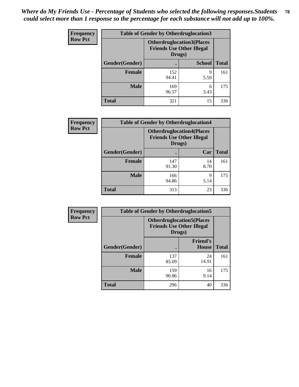| <b>Frequency</b> | <b>Table of Gender by Otherdruglocation3</b> |                                                                                |               |              |
|------------------|----------------------------------------------|--------------------------------------------------------------------------------|---------------|--------------|
| <b>Row Pct</b>   |                                              | <b>Otherdruglocation3(Places</b><br><b>Friends Use Other Illegal</b><br>Drugs) |               |              |
|                  | Gender(Gender)                               |                                                                                | <b>School</b> | <b>Total</b> |
|                  | <b>Female</b>                                | 152<br>94.41                                                                   | 9<br>5.59     | 161          |
|                  | <b>Male</b>                                  | 169<br>96.57                                                                   | 6<br>3.43     | 175          |
|                  | <b>Total</b>                                 | 321                                                                            | 15            | 336          |

| <b>Frequency</b> | <b>Table of Gender by Otherdruglocation4</b> |                                                                                |            |              |
|------------------|----------------------------------------------|--------------------------------------------------------------------------------|------------|--------------|
| <b>Row Pct</b>   |                                              | <b>Otherdruglocation4(Places</b><br><b>Friends Use Other Illegal</b><br>Drugs) |            |              |
|                  | Gender(Gender)                               |                                                                                | Car        | <b>Total</b> |
|                  | Female                                       | 147<br>91.30                                                                   | 14<br>8.70 | 161          |
|                  | <b>Male</b>                                  | 166<br>94.86                                                                   | 9<br>5.14  | 175          |
|                  | <b>Total</b>                                 | 313                                                                            | 23         | 336          |

| Frequency      | <b>Table of Gender by Otherdruglocation5</b> |              |                                                                      |              |
|----------------|----------------------------------------------|--------------|----------------------------------------------------------------------|--------------|
| <b>Row Pct</b> |                                              | Drugs)       | <b>Otherdruglocation5(Places</b><br><b>Friends Use Other Illegal</b> |              |
|                | Gender(Gender)                               |              | <b>Friend's</b><br><b>House</b>                                      | <b>Total</b> |
|                | <b>Female</b>                                | 137<br>85.09 | 24<br>14.91                                                          | 161          |
|                | <b>Male</b>                                  | 159<br>90.86 | 16<br>9.14                                                           | 175          |
|                | <b>Total</b>                                 | 296          | 40                                                                   | 336          |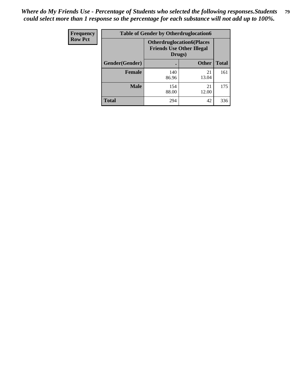| Frequency      | <b>Table of Gender by Otherdruglocation6</b> |                                            |                                  |              |
|----------------|----------------------------------------------|--------------------------------------------|----------------------------------|--------------|
| <b>Row Pct</b> |                                              | <b>Friends Use Other Illegal</b><br>Drugs) | <b>Otherdruglocation6(Places</b> |              |
|                | Gender(Gender)                               |                                            | <b>Other</b>                     | <b>Total</b> |
|                | <b>Female</b>                                | 140<br>86.96                               | 21<br>13.04                      | 161          |
|                | <b>Male</b>                                  | 154<br>88.00                               | 21<br>12.00                      | 175          |
|                | <b>Total</b>                                 | 294                                        | 42                               | 336          |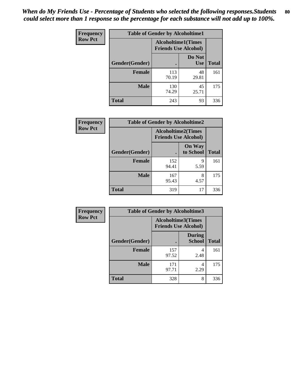| <b>Frequency</b> | <b>Table of Gender by Alcoholtime1</b> |                                                          |                      |              |
|------------------|----------------------------------------|----------------------------------------------------------|----------------------|--------------|
| <b>Row Pct</b>   |                                        | <b>Alcoholtime1(Times</b><br><b>Friends Use Alcohol)</b> |                      |              |
|                  | Gender(Gender)                         | $\bullet$                                                | Do Not<br><b>Use</b> | <b>Total</b> |
|                  | <b>Female</b>                          | 113<br>70.19                                             | 48<br>29.81          | 161          |
|                  | <b>Male</b>                            | 130<br>74.29                                             | 45<br>25.71          | 175          |
|                  | <b>Total</b>                           | 243                                                      | 93                   | 336          |

| Frequency      | <b>Table of Gender by Alcoholtime2</b> |                                                          |                            |              |
|----------------|----------------------------------------|----------------------------------------------------------|----------------------------|--------------|
| <b>Row Pct</b> |                                        | <b>Alcoholtime2(Times</b><br><b>Friends Use Alcohol)</b> |                            |              |
|                | Gender(Gender)                         |                                                          | <b>On Way</b><br>to School | <b>Total</b> |
|                | <b>Female</b>                          | 152<br>94.41                                             | 9<br>5.59                  | 161          |
|                | <b>Male</b>                            | 167<br>95.43                                             | 8<br>4.57                  | 175          |
|                | <b>Total</b>                           | 319                                                      | 17                         | 336          |

| Frequency      | <b>Table of Gender by Alcoholtime3</b> |                                                          |                                |              |
|----------------|----------------------------------------|----------------------------------------------------------|--------------------------------|--------------|
| <b>Row Pct</b> |                                        | <b>Alcoholtime3(Times</b><br><b>Friends Use Alcohol)</b> |                                |              |
|                | Gender(Gender)                         |                                                          | <b>During</b><br><b>School</b> | <b>Total</b> |
|                | <b>Female</b>                          | 157<br>97.52                                             | 4<br>2.48                      | 161          |
|                | <b>Male</b>                            | 171<br>97.71                                             | 4<br>2.29                      | 175          |
|                | <b>Total</b>                           | 328                                                      | 8                              | 336          |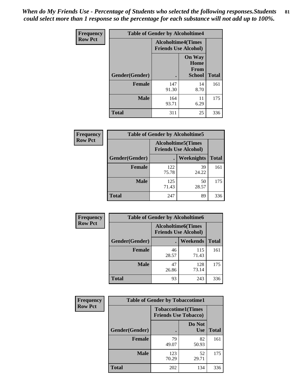*When do My Friends Use - Percentage of Students who selected the following responses.Students could select more than 1 response so the percentage for each substance will not add up to 100%.* **81**

| <b>Frequency</b> | <b>Table of Gender by Alcoholtime4</b> |                           |                                                       |              |
|------------------|----------------------------------------|---------------------------|-------------------------------------------------------|--------------|
| <b>Row Pct</b>   |                                        | <b>Alcoholtime4(Times</b> | <b>Friends Use Alcohol)</b>                           |              |
|                  | Gender(Gender)                         |                           | <b>On Way</b><br>Home<br><b>From</b><br><b>School</b> | <b>Total</b> |
|                  | <b>Female</b>                          | 147<br>91.30              | 14<br>8.70                                            | 161          |
|                  | <b>Male</b>                            | 164<br>93.71              | 11<br>6.29                                            | 175          |
|                  | <b>Total</b>                           | 311                       | 25                                                    | 336          |

| <b>Frequency</b> | <b>Table of Gender by Alcoholtime5</b> |                                                          |             |              |
|------------------|----------------------------------------|----------------------------------------------------------|-------------|--------------|
| <b>Row Pct</b>   |                                        | <b>Alcoholtime5(Times</b><br><b>Friends Use Alcohol)</b> |             |              |
|                  | Gender(Gender)                         |                                                          | Weeknights  | <b>Total</b> |
|                  | <b>Female</b>                          | 122<br>75.78                                             | 39<br>24.22 | 161          |
|                  | <b>Male</b>                            | 125<br>71.43                                             | 50<br>28.57 | 175          |
|                  | <b>Total</b>                           | 247                                                      | 89          | 336          |

| <b>Frequency</b> | <b>Table of Gender by Alcoholtime6</b> |             |                                                           |              |  |
|------------------|----------------------------------------|-------------|-----------------------------------------------------------|--------------|--|
| <b>Row Pct</b>   |                                        |             | <b>Alcoholtime6</b> (Times<br><b>Friends Use Alcohol)</b> |              |  |
|                  | Gender(Gender)                         |             | Weekends                                                  | <b>Total</b> |  |
|                  | Female                                 | 46<br>28.57 | 115<br>71.43                                              | 161          |  |
|                  | <b>Male</b>                            | 47<br>26.86 | 128<br>73.14                                              | 175          |  |
|                  | <b>Total</b>                           | 93          | 243                                                       | 336          |  |

| <b>Frequency</b> | <b>Table of Gender by Tobaccotime1</b> |                                                          |                      |              |
|------------------|----------------------------------------|----------------------------------------------------------|----------------------|--------------|
| <b>Row Pct</b>   |                                        | <b>Tobaccotime1(Times</b><br><b>Friends Use Tobacco)</b> |                      |              |
|                  | Gender(Gender)                         |                                                          | Do Not<br><b>Use</b> | <b>Total</b> |
|                  | <b>Female</b>                          | 79<br>49.07                                              | 82<br>50.93          | 161          |
|                  | <b>Male</b>                            | 123<br>70.29                                             | 52<br>29.71          | 175          |
|                  | <b>Total</b>                           | 202                                                      | 134                  | 336          |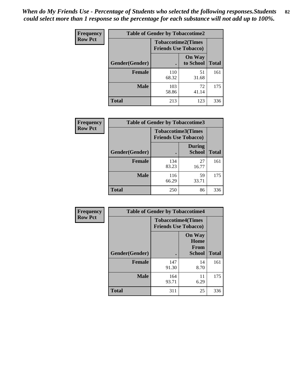| <b>Frequency</b> | <b>Table of Gender by Tobaccotime2</b> |                             |                            |              |
|------------------|----------------------------------------|-----------------------------|----------------------------|--------------|
| <b>Row Pct</b>   |                                        | <b>Friends Use Tobacco)</b> | <b>Tobaccotime2(Times</b>  |              |
|                  | Gender(Gender)                         |                             | <b>On Way</b><br>to School | <b>Total</b> |
|                  | <b>Female</b>                          | 110<br>68.32                | 51<br>31.68                | 161          |
|                  | <b>Male</b>                            | 103<br>58.86                | 72<br>41.14                | 175          |
|                  | <b>Total</b>                           | 213                         | 123                        | 336          |

| Frequency      | <b>Table of Gender by Tobaccotime3</b> |                                                          |                                |              |
|----------------|----------------------------------------|----------------------------------------------------------|--------------------------------|--------------|
| <b>Row Pct</b> |                                        | <b>Tobaccotime3(Times</b><br><b>Friends Use Tobacco)</b> |                                |              |
|                | Gender(Gender)                         |                                                          | <b>During</b><br><b>School</b> | <b>Total</b> |
|                | Female                                 | 134<br>83.23                                             | 27<br>16.77                    | 161          |
|                | <b>Male</b>                            | 116<br>66.29                                             | 59<br>33.71                    | 175          |
|                | <b>Total</b>                           | 250                                                      | 86                             | 336          |

| <b>Frequency</b> | <b>Table of Gender by Tobaccotime4</b> |                                                          |                                                       |              |
|------------------|----------------------------------------|----------------------------------------------------------|-------------------------------------------------------|--------------|
| <b>Row Pct</b>   |                                        | <b>Tobaccotime4(Times</b><br><b>Friends Use Tobacco)</b> |                                                       |              |
|                  | Gender(Gender)                         |                                                          | <b>On Way</b><br>Home<br><b>From</b><br><b>School</b> | <b>Total</b> |
|                  | <b>Female</b>                          | 147<br>91.30                                             | 14<br>8.70                                            | 161          |
|                  | <b>Male</b>                            | 164<br>93.71                                             | 11<br>6.29                                            | 175          |
|                  | <b>Total</b>                           | 311                                                      | 25                                                    | 336          |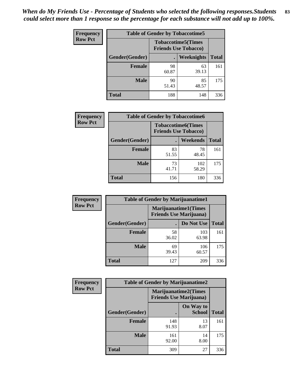| Frequency      | <b>Table of Gender by Tobaccotime5</b> |             |                                                          |              |  |
|----------------|----------------------------------------|-------------|----------------------------------------------------------|--------------|--|
| <b>Row Pct</b> |                                        |             | <b>Tobaccotime5(Times</b><br><b>Friends Use Tobacco)</b> |              |  |
|                | Gender(Gender)                         |             | Weeknights                                               | <b>Total</b> |  |
|                | <b>Female</b>                          | 98<br>60.87 | 63<br>39.13                                              | 161          |  |
|                | <b>Male</b>                            | 90<br>51.43 | 85<br>48.57                                              | 175          |  |
|                | <b>Total</b>                           | 188         | 148                                                      | 336          |  |

| Frequency      | <b>Table of Gender by Tobaccotime6</b> |                                                          |              |              |
|----------------|----------------------------------------|----------------------------------------------------------|--------------|--------------|
| <b>Row Pct</b> |                                        | <b>Tobaccotime6(Times</b><br><b>Friends Use Tobacco)</b> |              |              |
|                | Gender(Gender)                         |                                                          | Weekends     | <b>Total</b> |
|                | Female                                 | 83<br>51.55                                              | 78<br>48.45  | 161          |
|                | <b>Male</b>                            | 73<br>41.71                                              | 102<br>58.29 | 175          |
|                | <b>Total</b>                           | 156                                                      | 180          | 336          |

| <b>Frequency</b> | <b>Table of Gender by Marijuanatime1</b> |                                |                             |              |
|------------------|------------------------------------------|--------------------------------|-----------------------------|--------------|
| <b>Row Pct</b>   |                                          | <b>Friends Use Marijuana</b> ) | <b>Marijuanatime1(Times</b> |              |
|                  | Gender(Gender)                           |                                | Do Not Use                  | <b>Total</b> |
|                  | <b>Female</b>                            | 58<br>36.02                    | 103<br>63.98                | 161          |
|                  | <b>Male</b>                              | 69<br>39.43                    | 106<br>60.57                | 175          |
|                  | <b>Total</b>                             | 127                            | 209                         | 336          |

| <b>Frequency</b> | <b>Table of Gender by Marijuanatime2</b> |                                |                             |              |
|------------------|------------------------------------------|--------------------------------|-----------------------------|--------------|
| <b>Row Pct</b>   |                                          | <b>Friends Use Marijuana</b> ) | <b>Marijuanatime2(Times</b> |              |
|                  | Gender(Gender)                           |                                | On Way to<br><b>School</b>  | <b>Total</b> |
|                  | <b>Female</b>                            | 148<br>91.93                   | 13<br>8.07                  | 161          |
|                  | <b>Male</b>                              | 161<br>92.00                   | 14<br>8.00                  | 175          |
|                  | <b>Total</b>                             | 309                            | 27                          | 336          |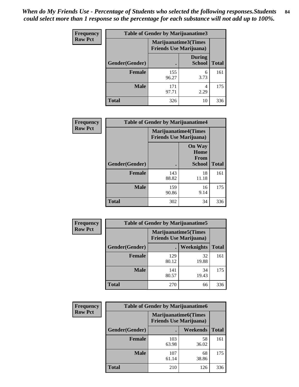*When do My Friends Use - Percentage of Students who selected the following responses.Students could select more than 1 response so the percentage for each substance will not add up to 100%.* **84**

| <b>Frequency</b> | Table of Gender by Marijuanatime3 |                                                                |                                |              |
|------------------|-----------------------------------|----------------------------------------------------------------|--------------------------------|--------------|
| <b>Row Pct</b>   |                                   | <b>Marijuanatime3</b> (Times<br><b>Friends Use Marijuana</b> ) |                                |              |
|                  | Gender(Gender)                    |                                                                | <b>During</b><br><b>School</b> | <b>Total</b> |
|                  | <b>Female</b>                     | 155<br>96.27                                                   | 6<br>3.73                      | 161          |
|                  | <b>Male</b>                       | 171<br>97.71                                                   | 4<br>2.29                      | 175          |
|                  | <b>Total</b>                      | 326                                                            | 10                             | 336          |

| Frequency      | <b>Table of Gender by Marijuanatime4</b> |                                                               |                                                |              |
|----------------|------------------------------------------|---------------------------------------------------------------|------------------------------------------------|--------------|
| <b>Row Pct</b> |                                          | <b>Marijuanatime4(Times</b><br><b>Friends Use Marijuana</b> ) |                                                |              |
|                | Gender(Gender)                           |                                                               | <b>On Way</b><br>Home<br>From<br><b>School</b> | <b>Total</b> |
|                | <b>Female</b>                            | 143<br>88.82                                                  | 18<br>11.18                                    | 161          |
|                | <b>Male</b>                              | 159<br>90.86                                                  | 16<br>9.14                                     | 175          |
|                | <b>Total</b>                             | 302                                                           | 34                                             | 336          |

| <b>Frequency</b> | <b>Table of Gender by Marijuanatime5</b> |                                                                |             |              |
|------------------|------------------------------------------|----------------------------------------------------------------|-------------|--------------|
| <b>Row Pct</b>   |                                          | <b>Marijuanatime5</b> (Times<br><b>Friends Use Marijuana</b> ) |             |              |
|                  | Gender(Gender)                           | $\blacksquare$                                                 | Weeknights  | <b>Total</b> |
|                  | <b>Female</b>                            | 129<br>80.12                                                   | 32<br>19.88 | 161          |
|                  | <b>Male</b>                              | 141<br>80.57                                                   | 34<br>19.43 | 175          |
|                  | <b>Total</b>                             | 270                                                            | 66          | 336          |

| <b>Frequency</b> | <b>Table of Gender by Marijuanatime6</b> |                                                               |             |              |
|------------------|------------------------------------------|---------------------------------------------------------------|-------------|--------------|
| <b>Row Pct</b>   |                                          | <b>Marijuanatime6(Times</b><br><b>Friends Use Marijuana</b> ) |             |              |
|                  | Gender(Gender)                           |                                                               | Weekends    | <b>Total</b> |
|                  | Female                                   | 103<br>63.98                                                  | 58<br>36.02 | 161          |
|                  | <b>Male</b>                              | 107<br>61.14                                                  | 68<br>38.86 | 175          |
|                  | <b>Total</b>                             | 210                                                           | 126         | 336          |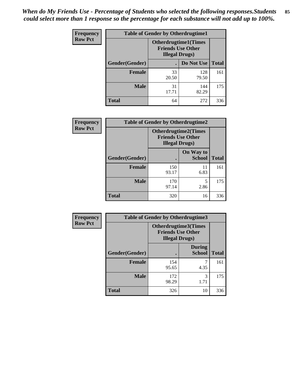*When do My Friends Use - Percentage of Students who selected the following responses.Students could select more than 1 response so the percentage for each substance will not add up to 100%.* **85**

| <b>Frequency</b> | <b>Table of Gender by Otherdrugtime1</b> |                                                                                    |              |              |
|------------------|------------------------------------------|------------------------------------------------------------------------------------|--------------|--------------|
| <b>Row Pct</b>   |                                          | <b>Otherdrugtime1</b> (Times<br><b>Friends Use Other</b><br><b>Illegal Drugs</b> ) |              |              |
|                  | Gender(Gender)                           |                                                                                    | Do Not Use   | <b>Total</b> |
|                  | <b>Female</b>                            | 33<br>20.50                                                                        | 128<br>79.50 | 161          |
|                  | <b>Male</b>                              | 31<br>17.71                                                                        | 144<br>82.29 | 175          |
|                  | <b>Total</b>                             | 64                                                                                 | 272          | 336          |

| Frequency      | <b>Table of Gender by Otherdrugtime2</b> |                                                    |                             |              |
|----------------|------------------------------------------|----------------------------------------------------|-----------------------------|--------------|
| <b>Row Pct</b> |                                          | <b>Friends Use Other</b><br><b>Illegal Drugs</b> ) | <b>Otherdrugtime2(Times</b> |              |
|                | Gender(Gender)                           |                                                    | On Way to<br><b>School</b>  | <b>Total</b> |
|                | <b>Female</b>                            | 150<br>93.17                                       | 11<br>6.83                  | 161          |
|                | <b>Male</b>                              | 170<br>97.14                                       | 5<br>2.86                   | 175          |
|                | <b>Total</b>                             | 320                                                | 16                          | 336          |

| <b>Frequency</b> | <b>Table of Gender by Otherdrugtime3</b> |                        |                                                  |              |
|------------------|------------------------------------------|------------------------|--------------------------------------------------|--------------|
| <b>Row Pct</b>   |                                          | <b>Illegal Drugs</b> ) | Otherdrugtime3(Times<br><b>Friends Use Other</b> |              |
|                  | Gender(Gender)                           |                        | <b>During</b><br><b>School</b>                   | <b>Total</b> |
|                  | <b>Female</b>                            | 154<br>95.65           | 7<br>4.35                                        | 161          |
|                  | <b>Male</b>                              | 172<br>98.29           | 3<br>1.71                                        | 175          |
|                  | <b>Total</b>                             | 326                    | 10                                               | 336          |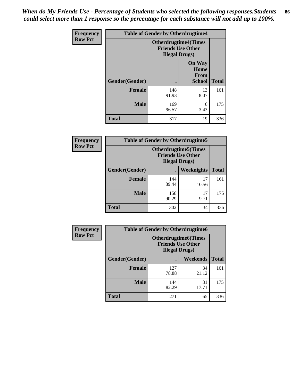*When do My Friends Use - Percentage of Students who selected the following responses.Students could select more than 1 response so the percentage for each substance will not add up to 100%.* **86**

| <b>Frequency</b> | <b>Table of Gender by Otherdrugtime4</b> |                                                    |                                                       |              |
|------------------|------------------------------------------|----------------------------------------------------|-------------------------------------------------------|--------------|
| <b>Row Pct</b>   |                                          | <b>Friends Use Other</b><br><b>Illegal Drugs</b> ) | <b>Otherdrugtime4(Times</b>                           |              |
|                  | Gender(Gender)                           |                                                    | <b>On Way</b><br>Home<br><b>From</b><br><b>School</b> | <b>Total</b> |
|                  | Female                                   | 148<br>91.93                                       | 13<br>8.07                                            | 161          |
|                  | <b>Male</b>                              | 169<br>96.57                                       | 6<br>3.43                                             | 175          |
|                  | <b>Total</b>                             | 317                                                | 19                                                    | 336          |

| Frequency      | <b>Table of Gender by Otherdrugtime5</b> |                                                                                    |             |              |
|----------------|------------------------------------------|------------------------------------------------------------------------------------|-------------|--------------|
| <b>Row Pct</b> |                                          | <b>Otherdrugtime5</b> (Times<br><b>Friends Use Other</b><br><b>Illegal Drugs</b> ) |             |              |
|                | Gender(Gender)                           |                                                                                    | Weeknights  | <b>Total</b> |
|                | <b>Female</b>                            | 144<br>89.44                                                                       | 17<br>10.56 | 161          |
|                | <b>Male</b>                              | 158<br>90.29                                                                       | 17<br>9.71  | 175          |
|                | <b>Total</b>                             | 302                                                                                | 34          | 336          |

| <b>Frequency</b> | <b>Table of Gender by Otherdrugtime6</b> |                                                                                   |             |              |
|------------------|------------------------------------------|-----------------------------------------------------------------------------------|-------------|--------------|
| <b>Row Pct</b>   |                                          | <b>Otherdrugtime6(Times</b><br><b>Friends Use Other</b><br><b>Illegal Drugs</b> ) |             |              |
|                  | Gender(Gender)                           |                                                                                   | Weekends    | <b>Total</b> |
|                  | <b>Female</b>                            | 127<br>78.88                                                                      | 34<br>21.12 | 161          |
|                  | <b>Male</b>                              | 144<br>82.29                                                                      | 31<br>17.71 | 175          |
|                  | <b>Total</b>                             | 271                                                                               | 65          | 336          |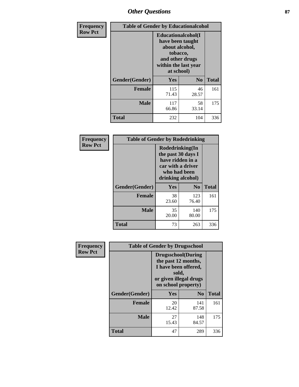# *Other Questions* **87**

| <b>Frequency</b> | <b>Table of Gender by Educationalcohol</b> |                                                                                                                                       |             |              |
|------------------|--------------------------------------------|---------------------------------------------------------------------------------------------------------------------------------------|-------------|--------------|
| <b>Row Pct</b>   |                                            | <b>Educationalcohol</b> (I<br>have been taught<br>about alcohol,<br>tobacco,<br>and other drugs<br>within the last year<br>at school) |             |              |
|                  | Gender(Gender)                             | <b>Yes</b><br>N <sub>0</sub>                                                                                                          |             | <b>Total</b> |
|                  | <b>Female</b>                              | 115<br>71.43                                                                                                                          | 46<br>28.57 | 161          |
|                  | <b>Male</b>                                | 117<br>66.86                                                                                                                          | 58<br>33.14 | 175          |
|                  | <b>Total</b>                               | 232                                                                                                                                   | 104         | 336          |

| Frequency      | <b>Table of Gender by Rodedrinking</b> |                                                                                                                     |                |              |  |
|----------------|----------------------------------------|---------------------------------------------------------------------------------------------------------------------|----------------|--------------|--|
| <b>Row Pct</b> |                                        | Rodedrinking(In<br>the past 30 days I<br>have ridden in a<br>car with a driver<br>who had been<br>drinking alcohol) |                |              |  |
|                | Gender(Gender)                         | Yes                                                                                                                 | N <sub>0</sub> | <b>Total</b> |  |
|                | <b>Female</b>                          | 38<br>23.60                                                                                                         | 123<br>76.40   | 161          |  |
|                | <b>Male</b>                            | 35<br>20.00                                                                                                         | 140<br>80.00   | 175          |  |
|                | <b>Total</b>                           | 73                                                                                                                  | 263            | 336          |  |

| Frequency      | <b>Table of Gender by Drugsschool</b> |                                                                                                                                     |                |              |  |
|----------------|---------------------------------------|-------------------------------------------------------------------------------------------------------------------------------------|----------------|--------------|--|
| <b>Row Pct</b> |                                       | <b>Drugsschool</b> (During<br>the past 12 months,<br>I have been offered,<br>sold,<br>or given illegal drugs<br>on school property) |                |              |  |
|                | Gender(Gender)                        | <b>Yes</b>                                                                                                                          | N <sub>0</sub> | <b>Total</b> |  |
|                | <b>Female</b>                         | 20<br>12.42                                                                                                                         | 141<br>87.58   | 161          |  |
|                | <b>Male</b>                           | 27<br>15.43                                                                                                                         | 148<br>84.57   | 175          |  |
|                | <b>Total</b>                          | 47                                                                                                                                  | 289            | 336          |  |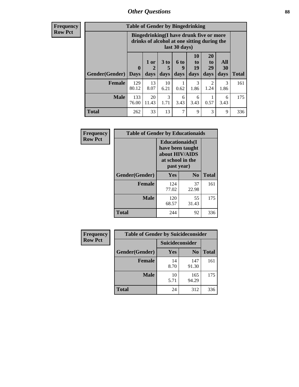# *Other Questions* **88**

**Frequency Row Pct**

| <b>Table of Gender by Bingedrinking</b> |              |                                                                                                         |            |           |                |                       |                  |              |
|-----------------------------------------|--------------|---------------------------------------------------------------------------------------------------------|------------|-----------|----------------|-----------------------|------------------|--------------|
|                                         |              | Bingedrinking(I have drunk five or more<br>drinks of alcohol at one sitting during the<br>last 30 days) |            |           |                |                       |                  |              |
|                                         | $\bf{0}$     | 1 or                                                                                                    | 3 to<br>5  | 6 to<br>q | 10<br>to<br>19 | <b>20</b><br>to<br>29 | All<br><b>30</b> |              |
| <b>Gender</b> (Gender)                  | Days         | days                                                                                                    | days       | days      | days           | days                  | days             | <b>Total</b> |
| <b>Female</b>                           | 129<br>80.12 | 13<br>8.07                                                                                              | 10<br>6.21 | 0.62      | 3<br>1.86      | 2<br>1.24             | 3<br>1.86        | 161          |
| <b>Male</b>                             | 133<br>76.00 | 20<br>11.43                                                                                             | 3<br>1.71  | 6<br>3.43 | 6<br>3.43      | 0.57                  | 6<br>3.43        | 175          |

| Frequency      | <b>Table of Gender by Educationaids</b> |                                                                                                 |                |              |  |
|----------------|-----------------------------------------|-------------------------------------------------------------------------------------------------|----------------|--------------|--|
| <b>Row Pct</b> |                                         | <b>Educationaids</b> (I<br>have been taught<br>about HIV/AIDS<br>at school in the<br>past year) |                |              |  |
|                | Gender(Gender)                          | Yes                                                                                             | N <sub>0</sub> | <b>Total</b> |  |
|                | <b>Female</b>                           | 124<br>77.02                                                                                    | 37<br>22.98    | 161          |  |
|                | <b>Male</b>                             | 120<br>68.57                                                                                    | 55<br>31.43    | 175          |  |
|                | <b>Total</b>                            | 244                                                                                             | 92             | 336          |  |

| <b>Frequency</b> | <b>Table of Gender by Suicideconsider</b> |                        |                |              |  |
|------------------|-------------------------------------------|------------------------|----------------|--------------|--|
| <b>Row Pct</b>   |                                           | <b>Suicideconsider</b> |                |              |  |
|                  | Gender(Gender)                            | Yes                    | N <sub>0</sub> | <b>Total</b> |  |
|                  | <b>Female</b>                             | 14<br>8.70             | 147<br>91.30   | 161          |  |
|                  | <b>Male</b>                               | 10<br>5.71             | 165<br>94.29   | 175          |  |
|                  | <b>Total</b>                              | 24                     | 312            | 336          |  |